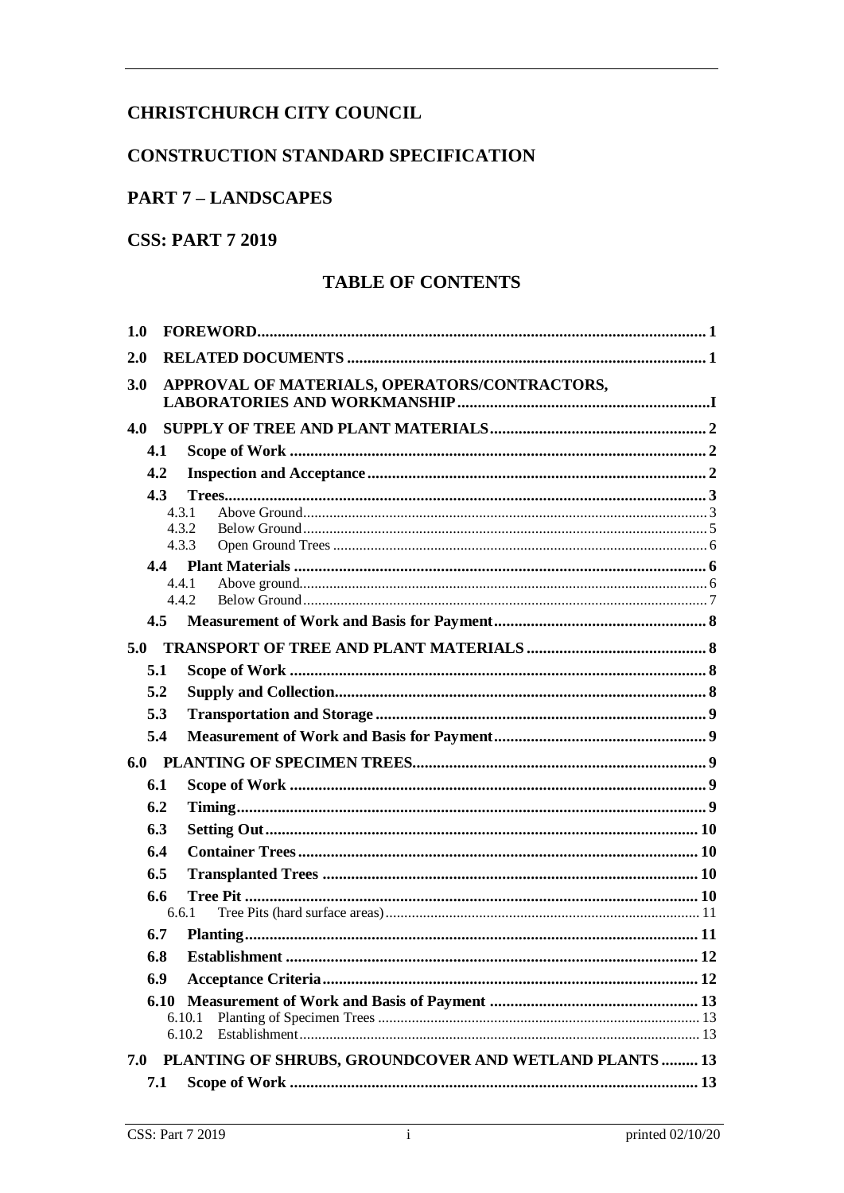# <span id="page-0-0"></span>**CHRISTCHURCH CITY COUNCIL**

# **CONSTRUCTION STANDARD SPECIFICATION**

# **PART 7 - LANDSCAPES**

# **CSS: PART 7 2019**

# **TABLE OF CONTENTS**

| 1.0 |                                |                                                        |  |  |  |  |  |
|-----|--------------------------------|--------------------------------------------------------|--|--|--|--|--|
| 2.0 |                                |                                                        |  |  |  |  |  |
| 3.0 |                                | APPROVAL OF MATERIALS, OPERATORS/CONTRACTORS,          |  |  |  |  |  |
| 4.0 |                                |                                                        |  |  |  |  |  |
|     | 4.1                            |                                                        |  |  |  |  |  |
|     | 4.2                            |                                                        |  |  |  |  |  |
|     | 4.3<br>4.3.1<br>4.3.2<br>4.3.3 |                                                        |  |  |  |  |  |
|     | 4.4.1                          |                                                        |  |  |  |  |  |
|     | 4.4.2                          |                                                        |  |  |  |  |  |
|     | 4.5                            |                                                        |  |  |  |  |  |
| 5.0 |                                |                                                        |  |  |  |  |  |
|     | 5.1                            |                                                        |  |  |  |  |  |
|     | 5.2                            |                                                        |  |  |  |  |  |
|     | 5.3                            |                                                        |  |  |  |  |  |
|     | 5.4                            |                                                        |  |  |  |  |  |
|     |                                |                                                        |  |  |  |  |  |
|     | 6.1                            |                                                        |  |  |  |  |  |
|     | 6.2                            |                                                        |  |  |  |  |  |
|     | 6.3                            |                                                        |  |  |  |  |  |
|     | 6.4                            |                                                        |  |  |  |  |  |
|     | 6.5                            |                                                        |  |  |  |  |  |
|     | 6.6<br>6.6.1                   |                                                        |  |  |  |  |  |
|     | 6.7                            |                                                        |  |  |  |  |  |
|     | 6.8                            | Establishment<br>. 12                                  |  |  |  |  |  |
|     | 6.9                            |                                                        |  |  |  |  |  |
|     | 6.10                           | 6.10.1<br>6.10.2                                       |  |  |  |  |  |
| 7.0 |                                | PLANTING OF SHRUBS, GROUNDCOVER AND WETLAND PLANTS  13 |  |  |  |  |  |
|     | 7.1                            |                                                        |  |  |  |  |  |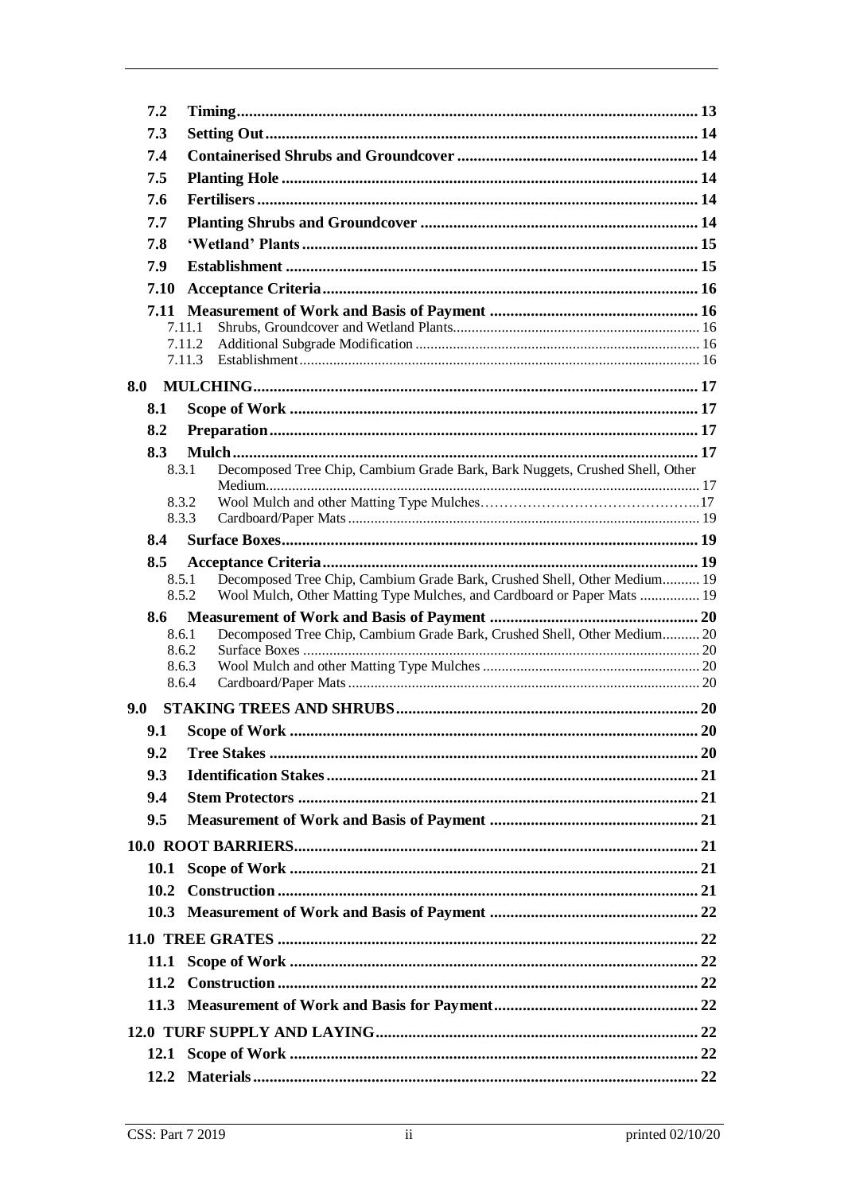|     | 7.2            |                                                                                                                                                     |  |  |  |  |  |
|-----|----------------|-----------------------------------------------------------------------------------------------------------------------------------------------------|--|--|--|--|--|
|     | 7.3            |                                                                                                                                                     |  |  |  |  |  |
|     | 7.4            |                                                                                                                                                     |  |  |  |  |  |
|     | 7.5            |                                                                                                                                                     |  |  |  |  |  |
|     | 7.6            |                                                                                                                                                     |  |  |  |  |  |
|     | 7.7            |                                                                                                                                                     |  |  |  |  |  |
|     | 7.8            |                                                                                                                                                     |  |  |  |  |  |
|     | 7.9            |                                                                                                                                                     |  |  |  |  |  |
|     | 7.10           |                                                                                                                                                     |  |  |  |  |  |
|     |                |                                                                                                                                                     |  |  |  |  |  |
|     |                | 7.11.1                                                                                                                                              |  |  |  |  |  |
|     |                | 7.11.2<br>7.11.3                                                                                                                                    |  |  |  |  |  |
|     |                |                                                                                                                                                     |  |  |  |  |  |
| 8.0 |                |                                                                                                                                                     |  |  |  |  |  |
|     | 8.1            |                                                                                                                                                     |  |  |  |  |  |
|     | 8.2            |                                                                                                                                                     |  |  |  |  |  |
|     | 8.3<br>8.3.1   |                                                                                                                                                     |  |  |  |  |  |
|     |                | Decomposed Tree Chip, Cambium Grade Bark, Bark Nuggets, Crushed Shell, Other                                                                        |  |  |  |  |  |
|     | 8.3.2          |                                                                                                                                                     |  |  |  |  |  |
|     | 8.3.3          |                                                                                                                                                     |  |  |  |  |  |
|     | 8.4            |                                                                                                                                                     |  |  |  |  |  |
|     | 8.5            |                                                                                                                                                     |  |  |  |  |  |
|     | 8.5.1<br>8.5.2 | Decomposed Tree Chip, Cambium Grade Bark, Crushed Shell, Other Medium 19<br>Wool Mulch, Other Matting Type Mulches, and Cardboard or Paper Mats  19 |  |  |  |  |  |
|     | 8.6            |                                                                                                                                                     |  |  |  |  |  |
|     | 8.6.1          | Decomposed Tree Chip, Cambium Grade Bark, Crushed Shell, Other Medium 20                                                                            |  |  |  |  |  |
|     | 8.6.2          |                                                                                                                                                     |  |  |  |  |  |
|     | 8.6.3<br>8.6.4 |                                                                                                                                                     |  |  |  |  |  |
|     |                |                                                                                                                                                     |  |  |  |  |  |
| 9.0 |                |                                                                                                                                                     |  |  |  |  |  |
|     | 9.1            |                                                                                                                                                     |  |  |  |  |  |
|     | 9.2            |                                                                                                                                                     |  |  |  |  |  |
|     | 9.3            |                                                                                                                                                     |  |  |  |  |  |
|     | 9.4            |                                                                                                                                                     |  |  |  |  |  |
|     | 9.5            |                                                                                                                                                     |  |  |  |  |  |
|     |                |                                                                                                                                                     |  |  |  |  |  |
|     | 10.1           |                                                                                                                                                     |  |  |  |  |  |
|     | 10.2           |                                                                                                                                                     |  |  |  |  |  |
|     |                |                                                                                                                                                     |  |  |  |  |  |
|     |                |                                                                                                                                                     |  |  |  |  |  |
|     |                |                                                                                                                                                     |  |  |  |  |  |
|     |                |                                                                                                                                                     |  |  |  |  |  |
|     |                |                                                                                                                                                     |  |  |  |  |  |
|     |                |                                                                                                                                                     |  |  |  |  |  |
|     |                |                                                                                                                                                     |  |  |  |  |  |
|     |                |                                                                                                                                                     |  |  |  |  |  |
|     |                |                                                                                                                                                     |  |  |  |  |  |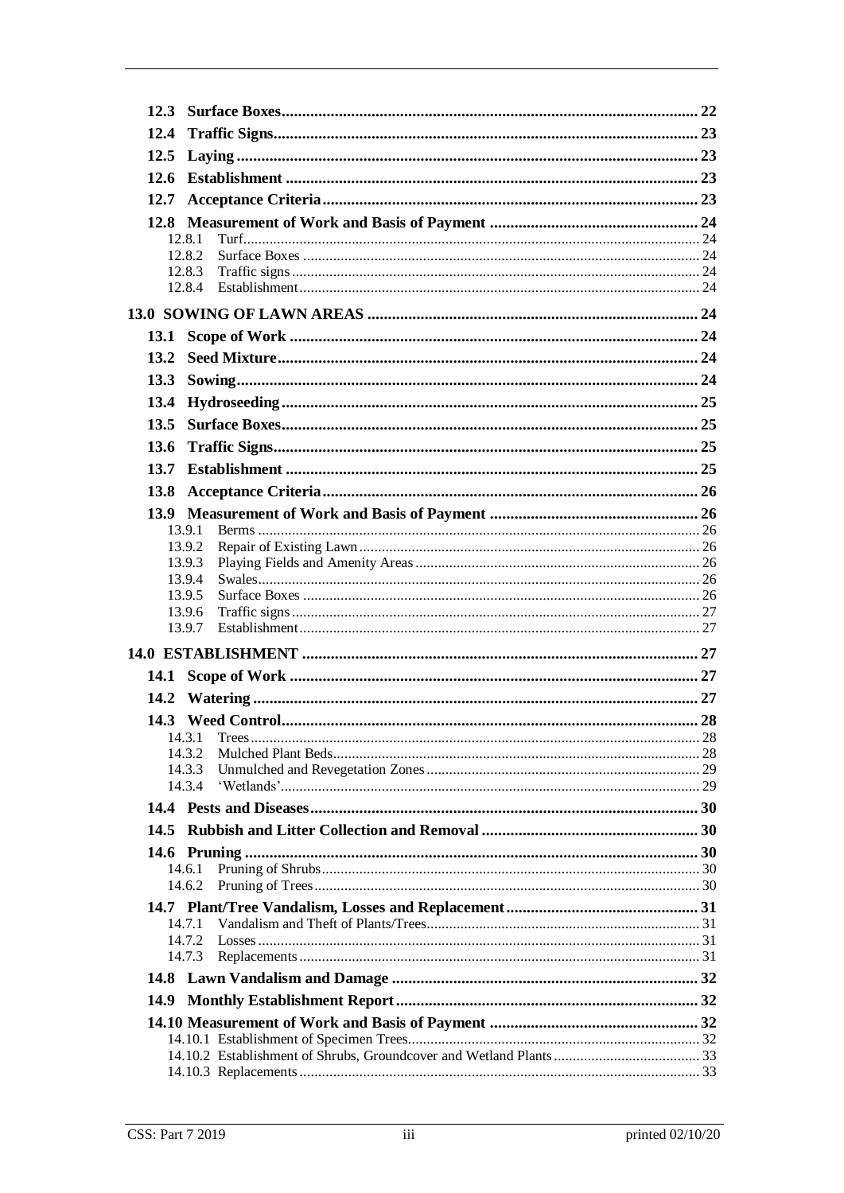|             | 12.8.1           |  |  |  |  |
|-------------|------------------|--|--|--|--|
|             | 12.8.2           |  |  |  |  |
|             | 12.8.3           |  |  |  |  |
|             | 12.8.4           |  |  |  |  |
|             |                  |  |  |  |  |
|             |                  |  |  |  |  |
| 13.2        |                  |  |  |  |  |
|             |                  |  |  |  |  |
| 13.4        |                  |  |  |  |  |
|             |                  |  |  |  |  |
| 13.6        |                  |  |  |  |  |
| 13.7        |                  |  |  |  |  |
| <b>13.8</b> |                  |  |  |  |  |
|             |                  |  |  |  |  |
|             | 13.9.1           |  |  |  |  |
|             | 13.9.2           |  |  |  |  |
|             | 13.9.3           |  |  |  |  |
|             | 13.9.4           |  |  |  |  |
|             | 13.9.5<br>13.9.6 |  |  |  |  |
|             | 13.9.7           |  |  |  |  |
|             |                  |  |  |  |  |
|             |                  |  |  |  |  |
|             |                  |  |  |  |  |
|             |                  |  |  |  |  |
|             |                  |  |  |  |  |
|             | 14.3.2           |  |  |  |  |
|             | 14.3.3           |  |  |  |  |
|             | 14.3.4           |  |  |  |  |
|             |                  |  |  |  |  |
| 14.5        |                  |  |  |  |  |
|             |                  |  |  |  |  |
|             | 14.6.1           |  |  |  |  |
|             | 14.6.2           |  |  |  |  |
|             |                  |  |  |  |  |
|             | 14.7.1           |  |  |  |  |
|             | 14.7.2<br>14.7.3 |  |  |  |  |
|             |                  |  |  |  |  |
| 14.9        |                  |  |  |  |  |
|             |                  |  |  |  |  |
|             |                  |  |  |  |  |
|             |                  |  |  |  |  |
|             |                  |  |  |  |  |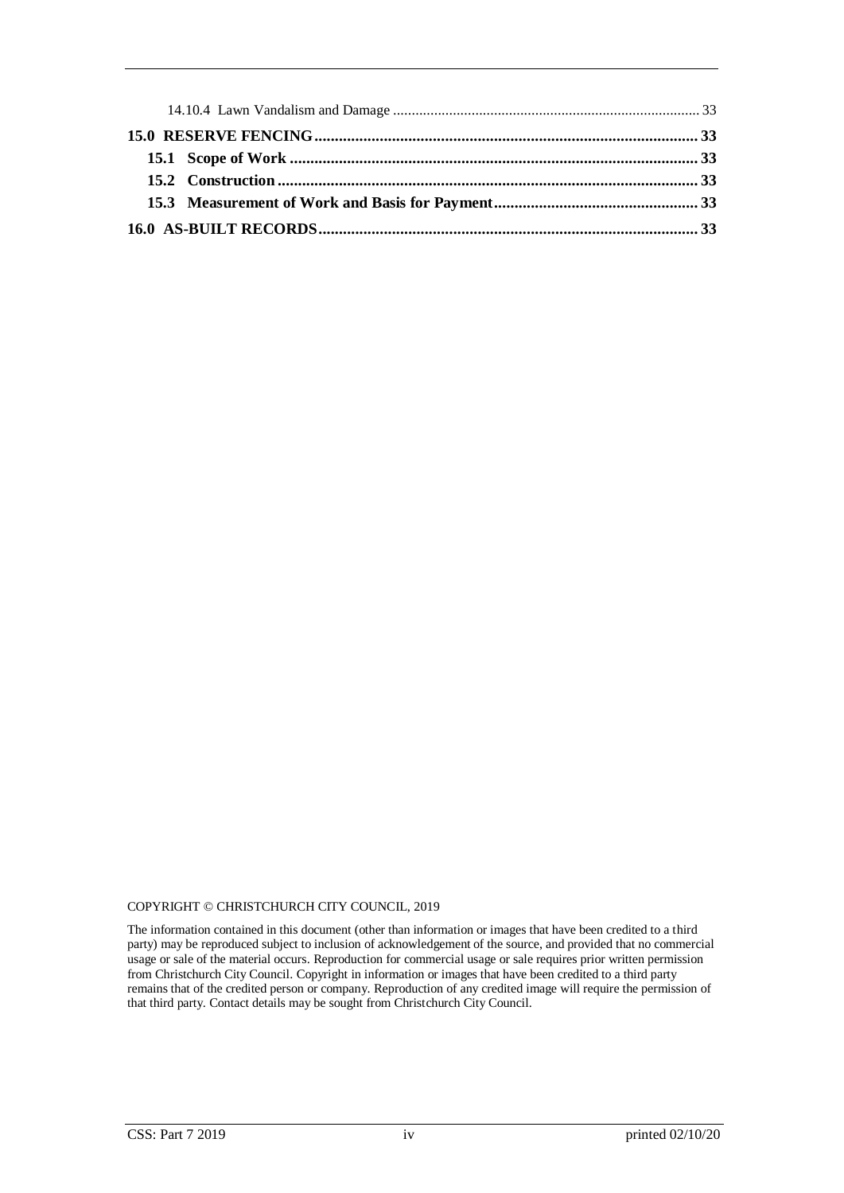#### COPYRIGHT © CHRISTCHURCH CITY COUNCIL, 2019

The information contained in this document (other than information or images that have been credited to a third party) may be reproduced subject to inclusion of acknowledgement of the source, and provided that no commercial usage or sale of the material occurs. Reproduction for commercial usage or sale requires prior written permission from Christchurch City Council. Copyright in information or images that have been credited to a third party remains that of the credited person or company. Reproduction of any credited image will require the permission of that third party. Contact details may be sought from Christchurch City Council.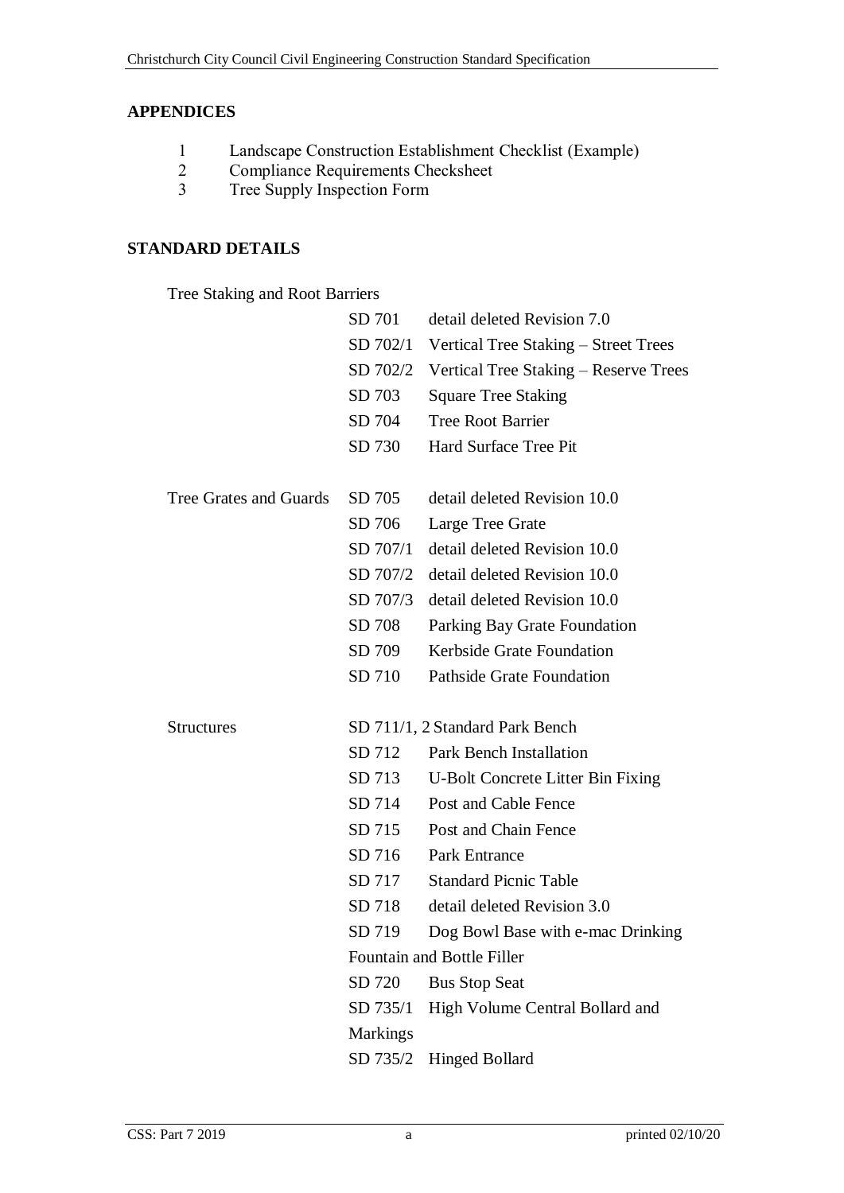# **APPENDICES**

- 1 [Landscape Construction Establishment Checklist](#page-39-0) (Example)<br>2 Compliance Requirements Checksheet
- Compliance Requirements Checksheet
- 3 Tree Supply Inspection Form

# **STANDARD DETAILS**

Tree Staking and Root Barriers

|                        | SD 701          | detail deleted Revision 7.0           |
|------------------------|-----------------|---------------------------------------|
|                        | SD 702/1        | Vertical Tree Staking - Street Trees  |
|                        | SD 702/2        | Vertical Tree Staking – Reserve Trees |
|                        | SD 703          | <b>Square Tree Staking</b>            |
|                        | SD 704          | <b>Tree Root Barrier</b>              |
|                        | SD 730          | Hard Surface Tree Pit                 |
|                        |                 |                                       |
| Tree Grates and Guards | SD 705          | detail deleted Revision 10.0          |
|                        | SD 706          | Large Tree Grate                      |
|                        | SD 707/1        | detail deleted Revision 10.0          |
|                        | SD 707/2        | detail deleted Revision 10.0          |
|                        | SD 707/3        | detail deleted Revision 10.0          |
|                        | SD 708          | Parking Bay Grate Foundation          |
|                        | SD 709          | Kerbside Grate Foundation             |
|                        | SD 710          | <b>Pathside Grate Foundation</b>      |
|                        |                 |                                       |
| <b>Structures</b>      |                 | SD 711/1, 2 Standard Park Bench       |
|                        | SD 712          | <b>Park Bench Installation</b>        |
|                        | SD 713          | U-Bolt Concrete Litter Bin Fixing     |
|                        | SD 714          | Post and Cable Fence                  |
|                        | SD 715          | Post and Chain Fence                  |
|                        | SD 716          | <b>Park Entrance</b>                  |
|                        | SD 717          | <b>Standard Picnic Table</b>          |
|                        | SD 718          | detail deleted Revision 3.0           |
|                        | SD 719          | Dog Bowl Base with e-mac Drinking     |
|                        |                 | Fountain and Bottle Filler            |
|                        | SD 720          | <b>Bus Stop Seat</b>                  |
|                        | SD 735/1        | High Volume Central Bollard and       |
|                        | <b>Markings</b> |                                       |
|                        | SD 735/2        | <b>Hinged Bollard</b>                 |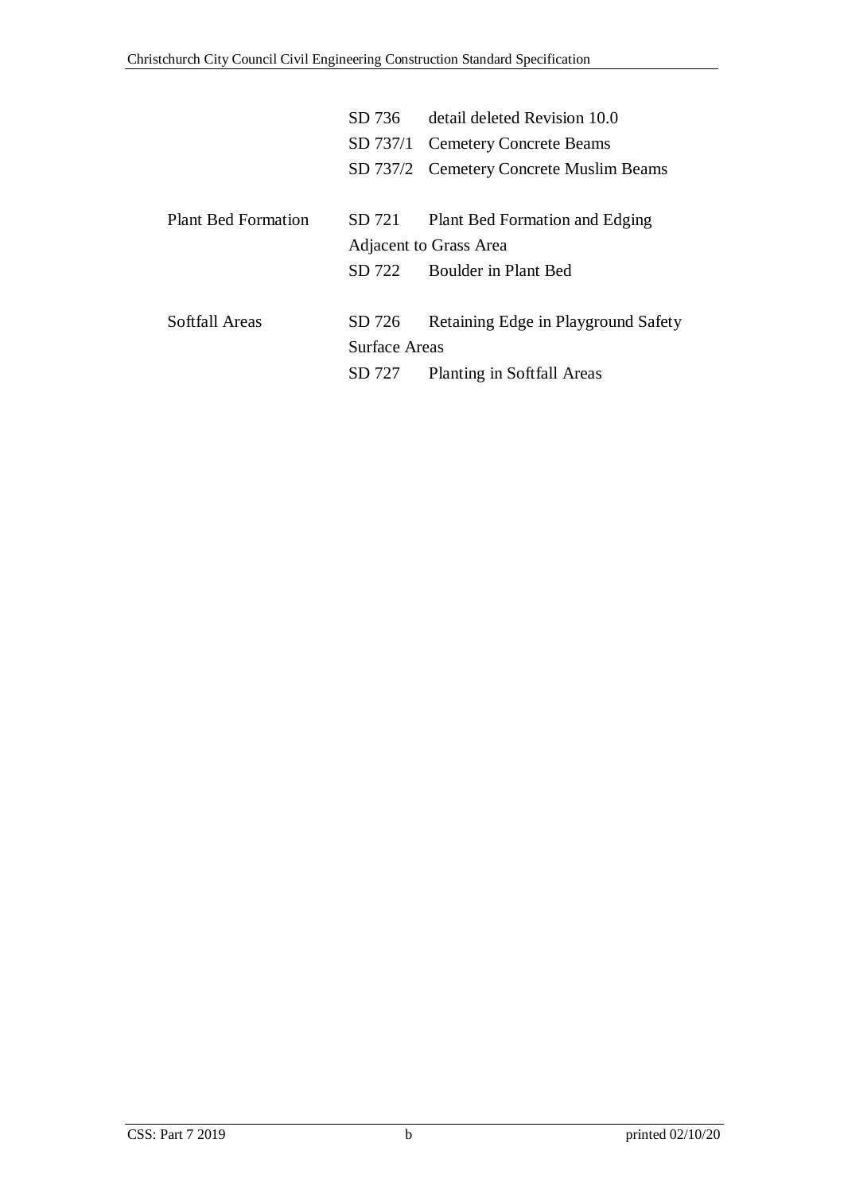|                            | SD 736        | detail deleted Revision 10.0            |
|----------------------------|---------------|-----------------------------------------|
|                            |               | SD 737/1 Cemetery Concrete Beams        |
|                            |               | SD 737/2 Cemetery Concrete Muslim Beams |
|                            |               |                                         |
| <b>Plant Bed Formation</b> | SD 721        | Plant Bed Formation and Edging          |
|                            |               | Adjacent to Grass Area                  |
|                            | SD 722        | Boulder in Plant Bed                    |
|                            |               |                                         |
| Softfall Areas             | SD 726        | Retaining Edge in Playground Safety     |
|                            | Surface Areas |                                         |
|                            | SD 727        | Planting in Softfall Areas              |
|                            |               |                                         |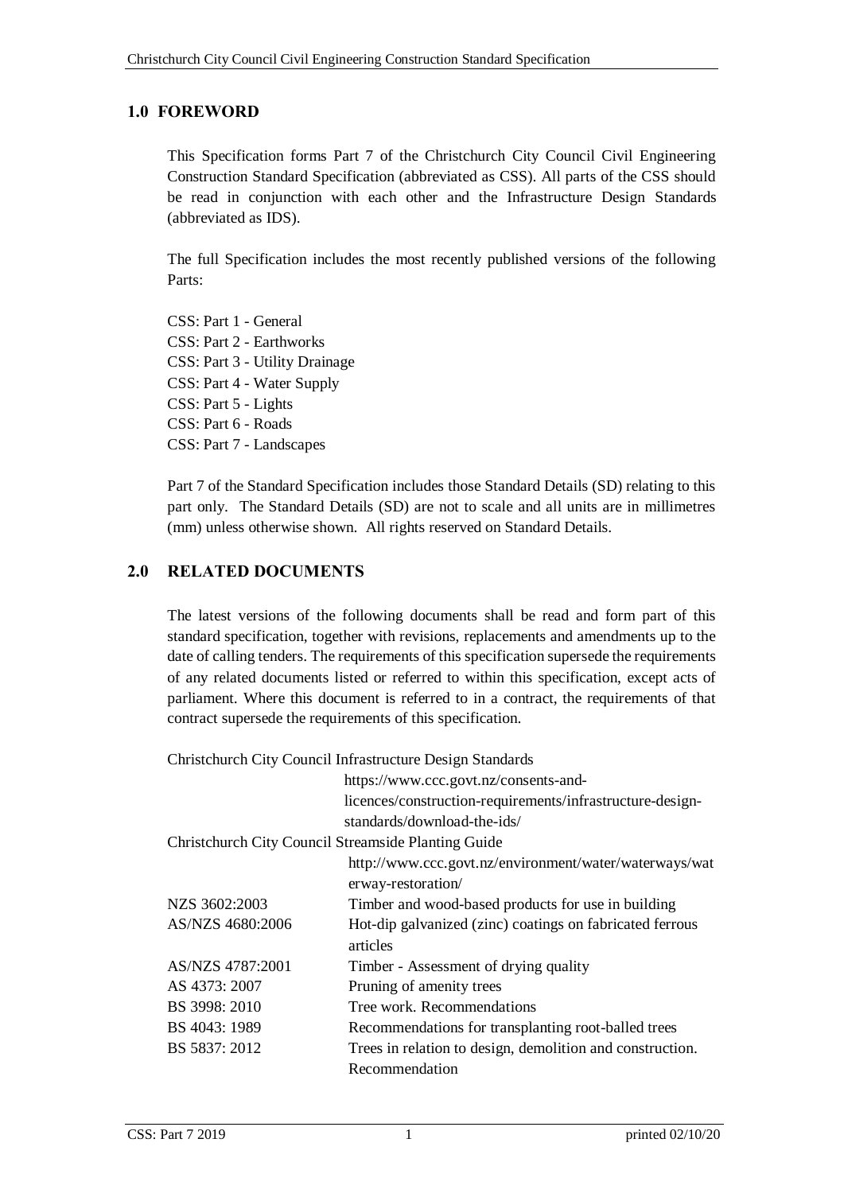# <span id="page-6-0"></span>**1.0 FOREWORD**

This Specification forms Part 7 of the Christchurch City Council Civil Engineering Construction Standard Specification (abbreviated as CSS). All parts of the CSS should be read in conjunction with each other and the Infrastructure Design Standards (abbreviated as IDS).

The full Specification includes the most recently published versions of the following Parts:

CSS: Part 1 - General CSS: Part 2 - Earthworks CSS: Part 3 - Utility Drainage CSS: Part 4 - Water Supply CSS: Part 5 - Lights CSS: Part 6 - Roads CSS: Part 7 - Landscapes

Part 7 of the Standard Specification includes those Standard Details (SD) relating to this part only. The Standard Details (SD) are not to scale and all units are in millimetres (mm) unless otherwise shown. All rights reserved on Standard Details.

# <span id="page-6-1"></span>**2.0 RELATED DOCUMENTS**

The latest versions of the following documents shall be read and form part of this standard specification, together with revisions, replacements and amendments up to the date of calling tenders. The requirements of this specification supersede the requirements of any related documents listed or referred to within this specification, except acts of parliament. Where this document is referred to in a contract, the requirements of that contract supersede the requirements of this specification.

Christchurch City Council Infrastructure Design Standards

|                                                     | https://www.ccc.govt.nz/consents-and-                                        |
|-----------------------------------------------------|------------------------------------------------------------------------------|
|                                                     | licences/construction-requirements/infrastructure-design-                    |
|                                                     | standards/download-the-ids/                                                  |
| Christchurch City Council Streamside Planting Guide |                                                                              |
|                                                     | http://www.ccc.govt.nz/environment/water/waterways/wat<br>erway-restoration/ |
| NZS 3602:2003                                       | Timber and wood-based products for use in building                           |
| AS/NZS 4680:2006                                    | Hot-dip galvanized (zinc) coatings on fabricated ferrous<br>articles         |
| AS/NZS 4787:2001                                    | Timber - Assessment of drying quality                                        |
| AS 4373: 2007                                       | Pruning of amenity trees                                                     |
| BS 3998: 2010                                       | Tree work. Recommendations                                                   |
| BS 4043: 1989                                       | Recommendations for transplanting root-balled trees                          |
| BS 5837: 2012                                       | Trees in relation to design, demolition and construction.                    |
|                                                     | Recommendation                                                               |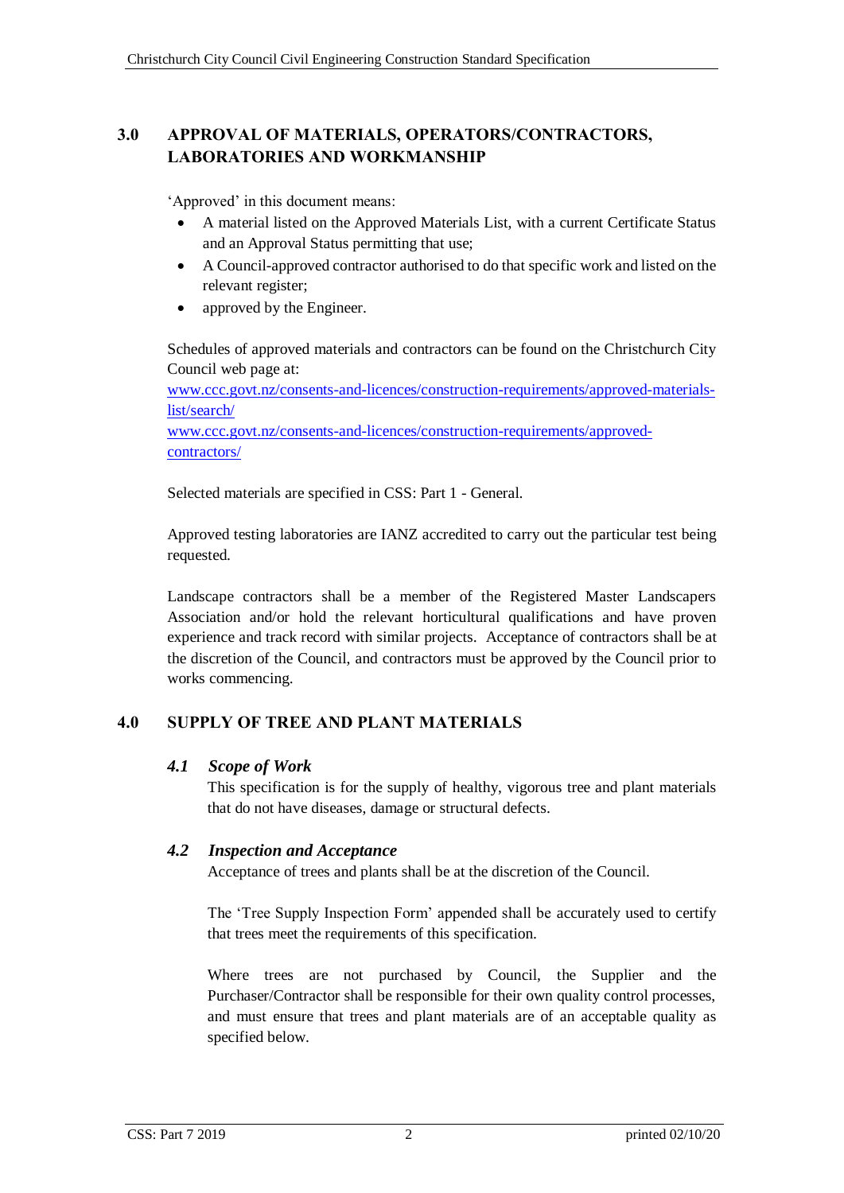# **3.0 APPROVAL OF MATERIALS, OPERATORS/CONTRACTORS, LABORATORIES AND WORKMANSHIP**

'Approved' in this document means:

- A material listed on the Approved Materials List, with a current Certificate Status and an Approval Status permitting that use;
- A Council-approved contractor authorised to do that specific work and listed on the relevant register;
- approved by the Engineer.

Schedules of approved materials and contractors can be found on the Christchurch City Council web page at:

[www.ccc.govt.nz/consents-and-licences/construction-requirements/approved-materials](http://www.ccc.govt.nz/consents-and-licences/construction-requirements/approved-materials-list/search/)[list/search/](http://www.ccc.govt.nz/consents-and-licences/construction-requirements/approved-materials-list/search/)

[www.ccc.govt.nz/consents-and-licences/construction-requirements/approved](http://www.ccc.govt.nz/consents-and-licences/construction-requirements/approved-contractors/)[contractors/](http://www.ccc.govt.nz/consents-and-licences/construction-requirements/approved-contractors/)

Selected materials are specified in CSS: Part 1 - General.

Approved testing laboratories are IANZ accredited to carry out the particular test being requested.

Landscape contractors shall be a member of the Registered Master Landscapers Association and/or hold the relevant horticultural qualifications and have proven experience and track record with similar projects. Acceptance of contractors shall be at the discretion of the Council, and contractors must be approved by the Council prior to works commencing.

# <span id="page-7-0"></span>**4.0 SUPPLY OF TREE AND PLANT MATERIALS**

# <span id="page-7-1"></span>*4.1 Scope of Work*

This specification is for the supply of healthy, vigorous tree and plant materials that do not have diseases, damage or structural defects.

# <span id="page-7-2"></span>*4.2 Inspection and Acceptance*

Acceptance of trees and plants shall be at the discretion of the Council.

The 'Tree Supply Inspection Form' appended shall be accurately used to certify that trees meet the requirements of this specification.

Where trees are not purchased by Council, the Supplier and the Purchaser/Contractor shall be responsible for their own quality control processes, and must ensure that trees and plant materials are of an acceptable quality as specified below.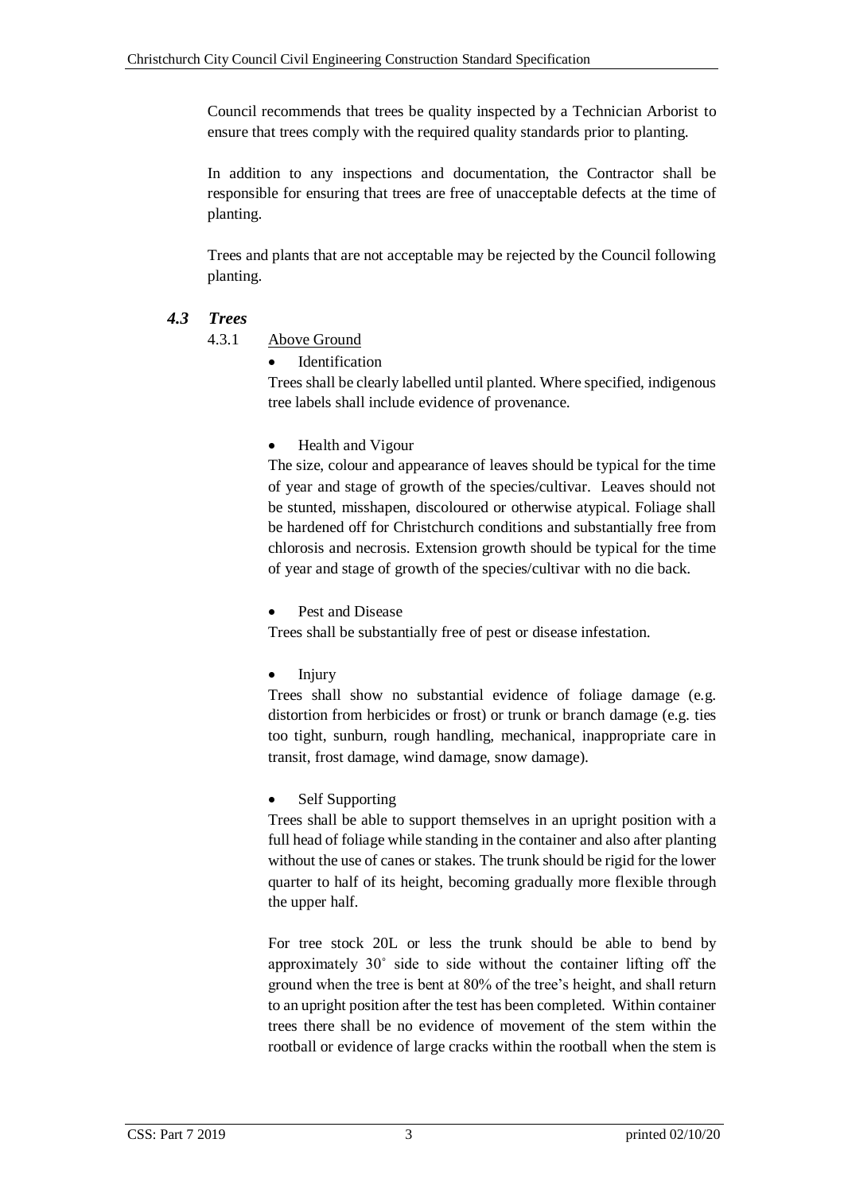Council recommends that trees be quality inspected by a Technician Arborist to ensure that trees comply with the required quality standards prior to planting.

In addition to any inspections and documentation, the Contractor shall be responsible for ensuring that trees are free of unacceptable defects at the time of planting.

Trees and plants that are not acceptable may be rejected by the Council following planting.

# <span id="page-8-1"></span><span id="page-8-0"></span>*4.3 Trees*

4.3.1 Above Ground

Identification

Trees shall be clearly labelled until planted. Where specified, indigenous tree labels shall include evidence of provenance.

Health and Vigour

The size, colour and appearance of leaves should be typical for the time of year and stage of growth of the species/cultivar. Leaves should not be stunted, misshapen, discoloured or otherwise atypical. Foliage shall be hardened off for Christchurch conditions and substantially free from chlorosis and necrosis. Extension growth should be typical for the time of year and stage of growth of the species/cultivar with no die back.

Pest and Disease

Trees shall be substantially free of pest or disease infestation.

Injury

Trees shall show no substantial evidence of foliage damage (e.g. distortion from herbicides or frost) or trunk or branch damage (e.g. ties too tight, sunburn, rough handling, mechanical, inappropriate care in transit, frost damage, wind damage, snow damage).

Self Supporting

Trees shall be able to support themselves in an upright position with a full head of foliage while standing in the container and also after planting without the use of canes or stakes. The trunk should be rigid for the lower quarter to half of its height, becoming gradually more flexible through the upper half.

For tree stock 20L or less the trunk should be able to bend by approximately 30˚ side to side without the container lifting off the ground when the tree is bent at 80% of the tree's height, and shall return to an upright position after the test has been completed. Within container trees there shall be no evidence of movement of the stem within the rootball or evidence of large cracks within the rootball when the stem is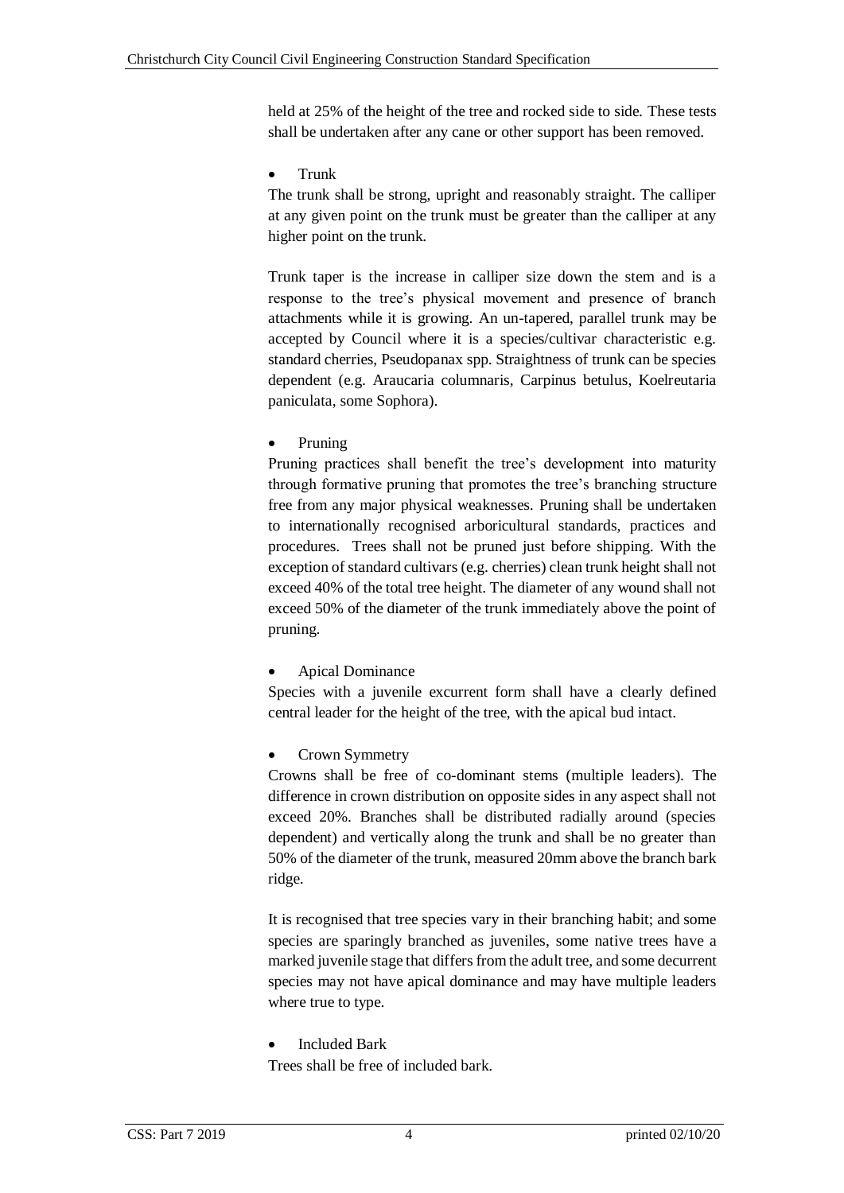held at 25% of the height of the tree and rocked side to side. These tests shall be undertaken after any cane or other support has been removed.

#### Trunk

The trunk shall be strong, upright and reasonably straight. The calliper at any given point on the trunk must be greater than the calliper at any higher point on the trunk.

Trunk taper is the increase in calliper size down the stem and is a response to the tree's physical movement and presence of branch attachments while it is growing. An un-tapered, parallel trunk may be accepted by Council where it is a species/cultivar characteristic e.g. standard cherries, Pseudopanax spp. Straightness of trunk can be species dependent (e.g. Araucaria columnaris, Carpinus betulus, Koelreutaria paniculata, some Sophora).

Pruning

Pruning practices shall benefit the tree's development into maturity through formative pruning that promotes the tree's branching structure free from any major physical weaknesses. Pruning shall be undertaken to internationally recognised arboricultural standards, practices and procedures. Trees shall not be pruned just before shipping. With the exception of standard cultivars (e.g. cherries) clean trunk height shall not exceed 40% of the total tree height. The diameter of any wound shall not exceed 50% of the diameter of the trunk immediately above the point of pruning.

Apical Dominance

Species with a juvenile excurrent form shall have a clearly defined central leader for the height of the tree, with the apical bud intact.

Crown Symmetry

Crowns shall be free of co-dominant stems (multiple leaders). The difference in crown distribution on opposite sides in any aspect shall not exceed 20%. Branches shall be distributed radially around (species dependent) and vertically along the trunk and shall be no greater than 50% of the diameter of the trunk, measured 20mm above the branch bark ridge.

It is recognised that tree species vary in their branching habit; and some species are sparingly branched as juveniles, some native trees have a marked juvenile stage that differs from the adult tree, and some decurrent species may not have apical dominance and may have multiple leaders where true to type.

Included Bark

Trees shall be free of included bark.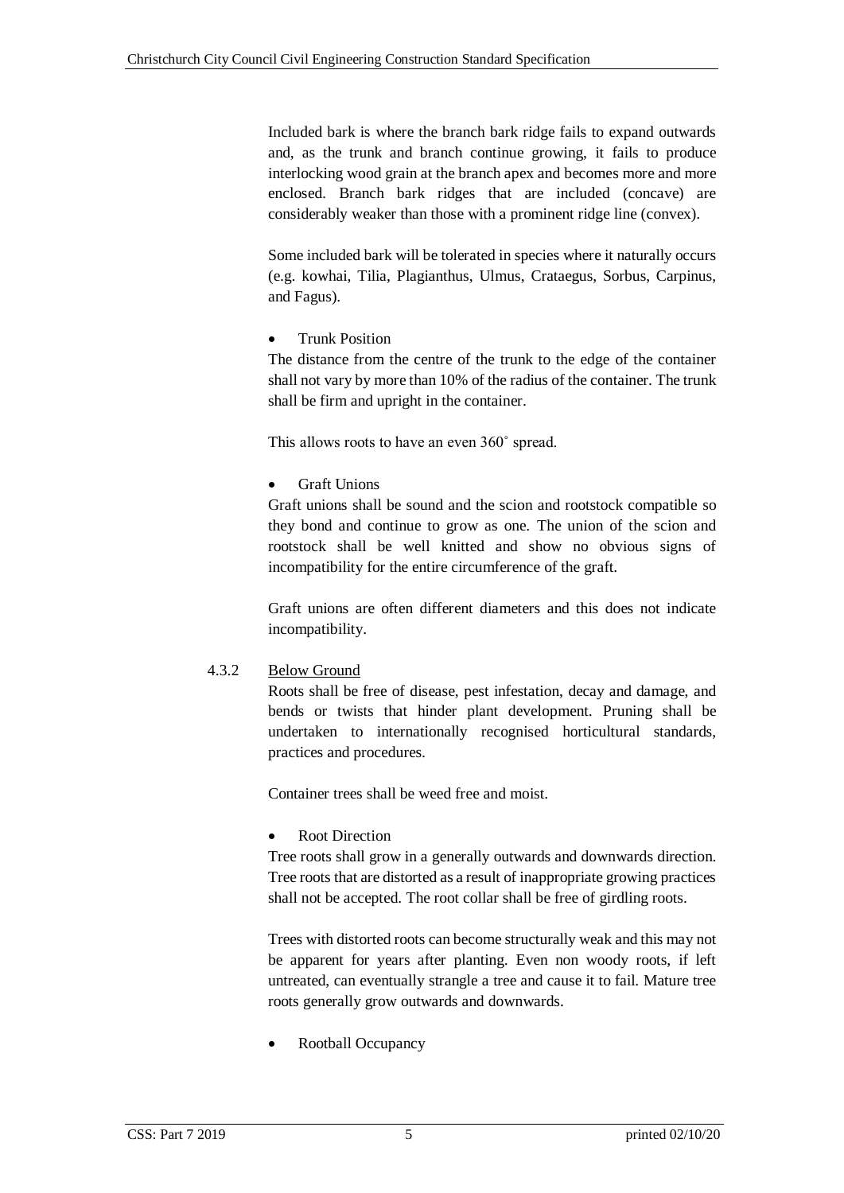Included bark is where the branch bark ridge fails to expand outwards and, as the trunk and branch continue growing, it fails to produce interlocking wood grain at the branch apex and becomes more and more enclosed. Branch bark ridges that are included (concave) are considerably weaker than those with a prominent ridge line (convex).

Some included bark will be tolerated in species where it naturally occurs (e.g. kowhai, Tilia, Plagianthus, Ulmus, Crataegus, Sorbus, Carpinus, and Fagus).

Trunk Position

The distance from the centre of the trunk to the edge of the container shall not vary by more than 10% of the radius of the container. The trunk shall be firm and upright in the container.

This allows roots to have an even 360˚ spread.

Graft Unions

Graft unions shall be sound and the scion and rootstock compatible so they bond and continue to grow as one. The union of the scion and rootstock shall be well knitted and show no obvious signs of incompatibility for the entire circumference of the graft.

Graft unions are often different diameters and this does not indicate incompatibility.

# <span id="page-10-0"></span>4.3.2 Below Ground

Roots shall be free of disease, pest infestation, decay and damage, and bends or twists that hinder plant development. Pruning shall be undertaken to internationally recognised horticultural standards, practices and procedures.

Container trees shall be weed free and moist.

Root Direction

Tree roots shall grow in a generally outwards and downwards direction. Tree roots that are distorted as a result of inappropriate growing practices shall not be accepted. The root collar shall be free of girdling roots.

Trees with distorted roots can become structurally weak and this may not be apparent for years after planting. Even non woody roots, if left untreated, can eventually strangle a tree and cause it to fail. Mature tree roots generally grow outwards and downwards.

Rootball Occupancy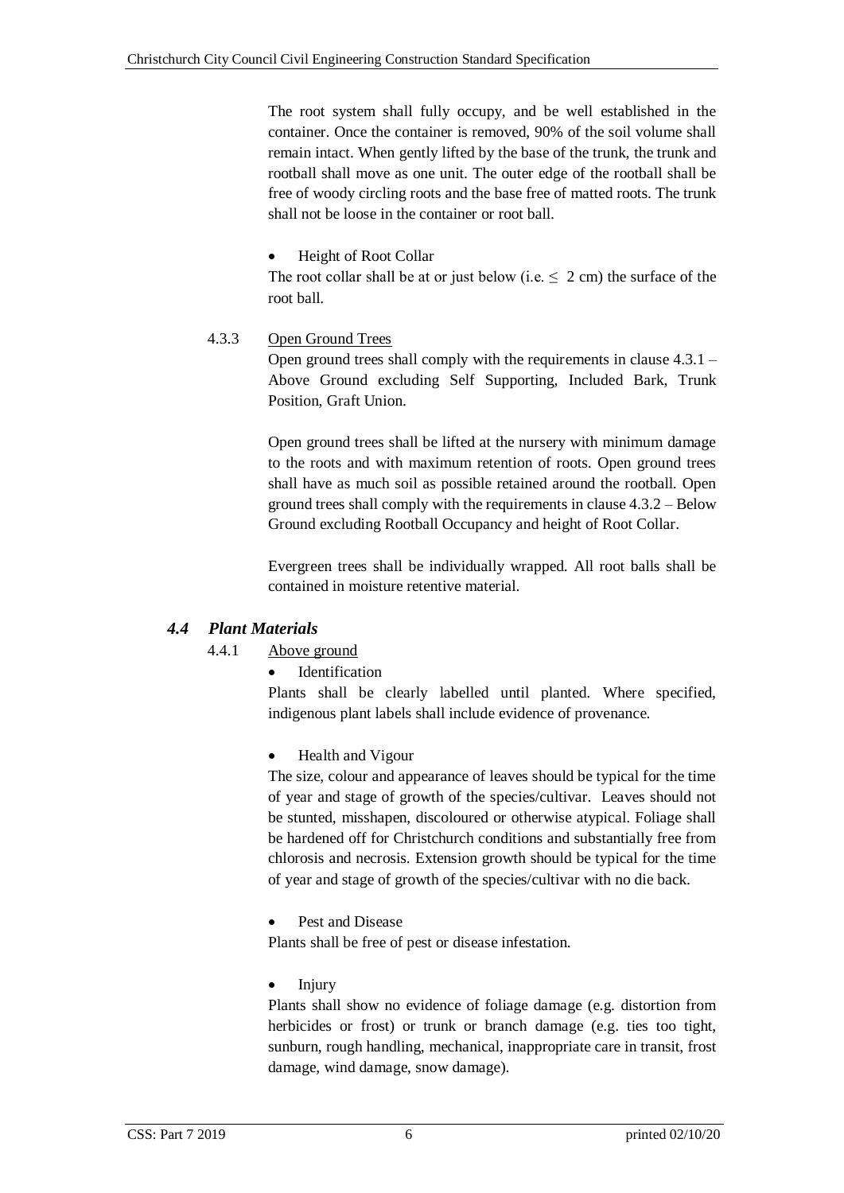The root system shall fully occupy, and be well established in the container. Once the container is removed, 90% of the soil volume shall remain intact. When gently lifted by the base of the trunk, the trunk and rootball shall move as one unit. The outer edge of the rootball shall be free of woody circling roots and the base free of matted roots. The trunk shall not be loose in the container or root ball.

Height of Root Collar

The root collar shall be at or just below (i.e.  $\leq 2$  cm) the surface of the root ball.

### <span id="page-11-0"></span>4.3.3 Open Ground Trees

Open ground trees shall comply with the requirements in clause 4.3.1 – Above Ground excluding Self Supporting, Included Bark, Trunk Position, Graft Union.

Open ground trees shall be lifted at the nursery with minimum damage to the roots and with maximum retention of roots. Open ground trees shall have as much soil as possible retained around the rootball. Open ground trees shall comply with the requirements in clause 4.3.2 – Below Ground excluding Rootball Occupancy and height of Root Collar.

Evergreen trees shall be individually wrapped. All root balls shall be contained in moisture retentive material.

# <span id="page-11-2"></span><span id="page-11-1"></span>*4.4 Plant Materials*

# 4.4.1 Above ground

Identification

Plants shall be clearly labelled until planted. Where specified, indigenous plant labels shall include evidence of provenance.

Health and Vigour

The size, colour and appearance of leaves should be typical for the time of year and stage of growth of the species/cultivar. Leaves should not be stunted, misshapen, discoloured or otherwise atypical. Foliage shall be hardened off for Christchurch conditions and substantially free from chlorosis and necrosis. Extension growth should be typical for the time of year and stage of growth of the species/cultivar with no die back.

#### Pest and Disease

Plants shall be free of pest or disease infestation.

Injury

Plants shall show no evidence of foliage damage (e.g. distortion from herbicides or frost) or trunk or branch damage (e.g. ties too tight, sunburn, rough handling, mechanical, inappropriate care in transit, frost damage, wind damage, snow damage).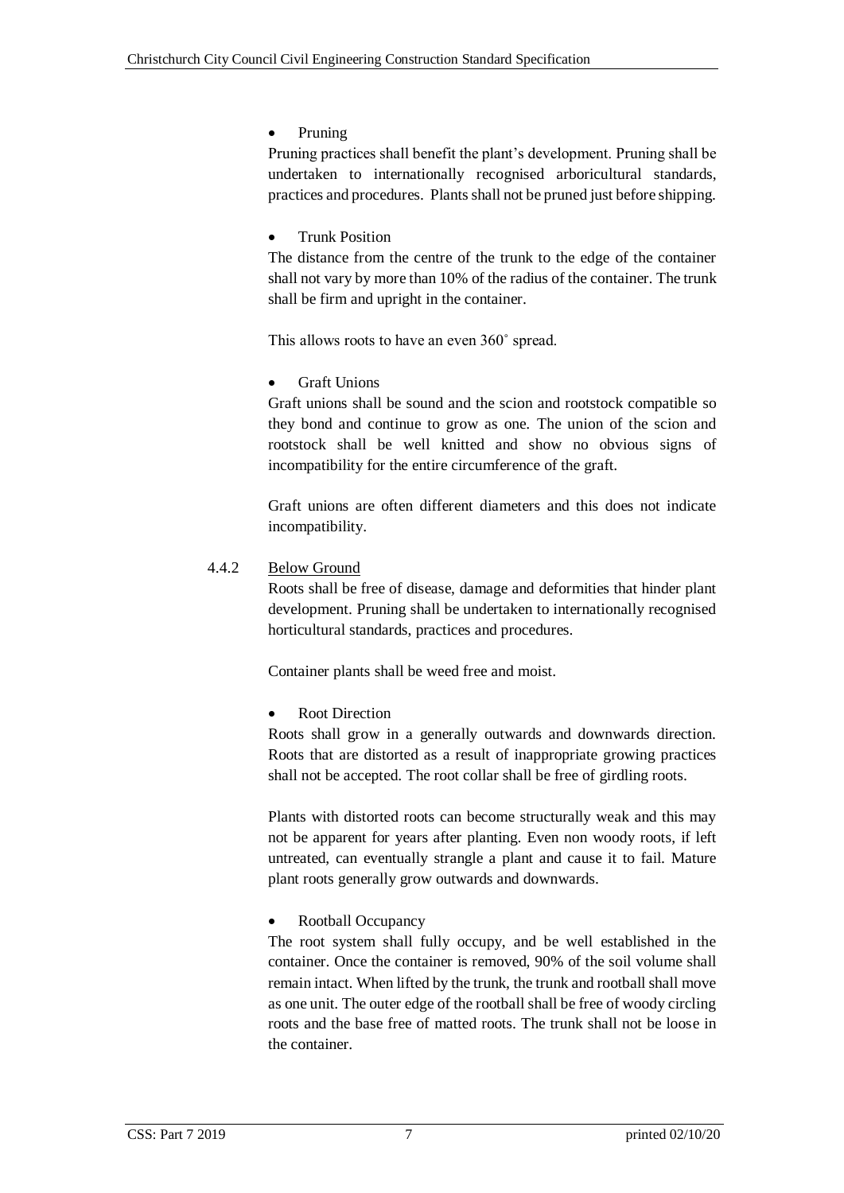Pruning

Pruning practices shall benefit the plant's development. Pruning shall be undertaken to internationally recognised arboricultural standards, practices and procedures. Plants shall not be pruned just before shipping.

# Trunk Position

The distance from the centre of the trunk to the edge of the container shall not vary by more than 10% of the radius of the container. The trunk shall be firm and upright in the container.

This allows roots to have an even 360˚ spread.

Graft Unions

Graft unions shall be sound and the scion and rootstock compatible so they bond and continue to grow as one. The union of the scion and rootstock shall be well knitted and show no obvious signs of incompatibility for the entire circumference of the graft.

Graft unions are often different diameters and this does not indicate incompatibility.

<span id="page-12-0"></span>4.4.2 Below Ground

Roots shall be free of disease, damage and deformities that hinder plant development. Pruning shall be undertaken to internationally recognised horticultural standards, practices and procedures.

Container plants shall be weed free and moist.

Root Direction

Roots shall grow in a generally outwards and downwards direction. Roots that are distorted as a result of inappropriate growing practices shall not be accepted. The root collar shall be free of girdling roots.

Plants with distorted roots can become structurally weak and this may not be apparent for years after planting. Even non woody roots, if left untreated, can eventually strangle a plant and cause it to fail. Mature plant roots generally grow outwards and downwards.

# Rootball Occupancy

The root system shall fully occupy, and be well established in the container. Once the container is removed, 90% of the soil volume shall remain intact. When lifted by the trunk, the trunk and rootball shall move as one unit. The outer edge of the rootball shall be free of woody circling roots and the base free of matted roots. The trunk shall not be loose in the container.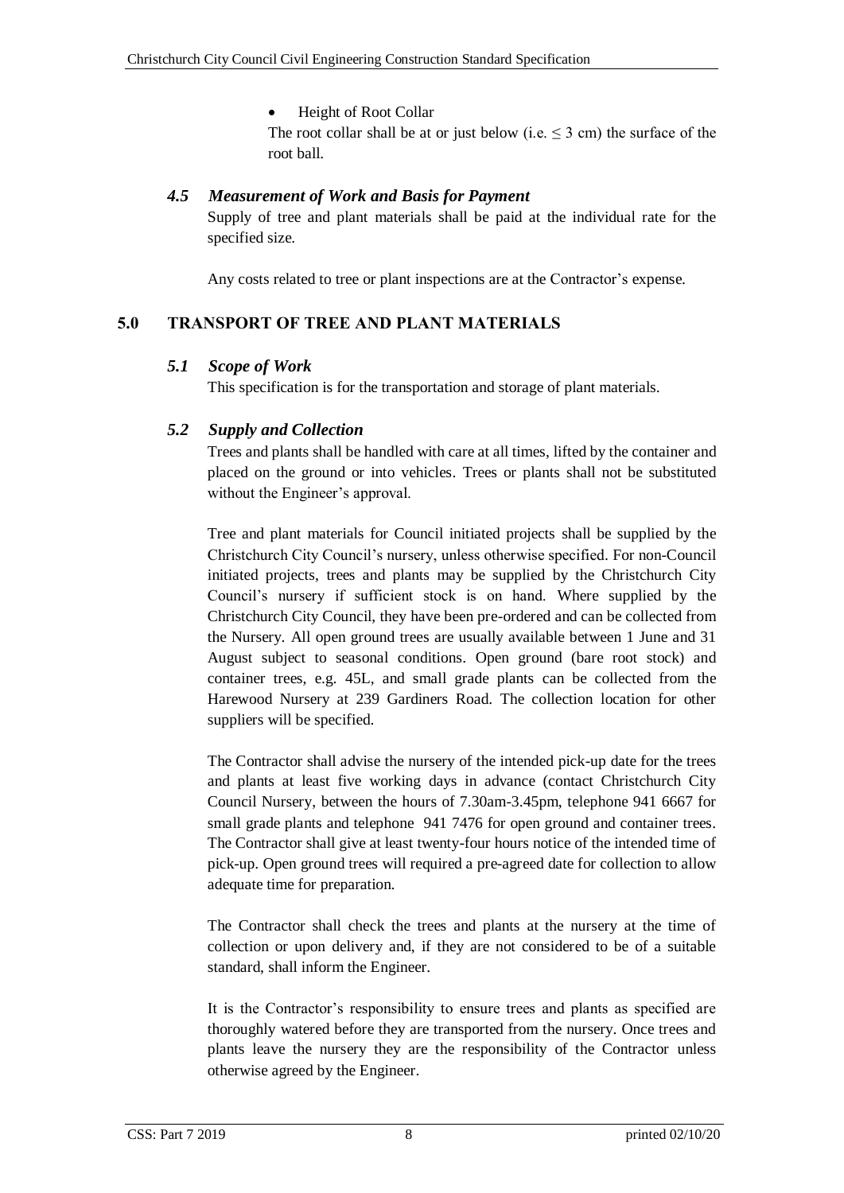Height of Root Collar

The root collar shall be at or just below (i.e.  $\leq$  3 cm) the surface of the root ball.

### <span id="page-13-0"></span>*4.5 Measurement of Work and Basis for Payment*

Supply of tree and plant materials shall be paid at the individual rate for the specified size.

Any costs related to tree or plant inspections are at the Contractor's expense.

### <span id="page-13-2"></span><span id="page-13-1"></span>**5.0 TRANSPORT OF TREE AND PLANT MATERIALS**

#### *5.1 Scope of Work*

This specification is for the transportation and storage of plant materials.

### <span id="page-13-3"></span>*5.2 Supply and Collection*

Trees and plants shall be handled with care at all times, lifted by the container and placed on the ground or into vehicles. Trees or plants shall not be substituted without the Engineer's approval.

Tree and plant materials for Council initiated projects shall be supplied by the Christchurch City Council's nursery, unless otherwise specified. For non-Council initiated projects, trees and plants may be supplied by the Christchurch City Council's nursery if sufficient stock is on hand. Where supplied by the Christchurch City Council, they have been pre-ordered and can be collected from the Nursery. All open ground trees are usually available between 1 June and 31 August subject to seasonal conditions. Open ground (bare root stock) and container trees, e.g. 45L, and small grade plants can be collected from the Harewood Nursery at 239 Gardiners Road. The collection location for other suppliers will be specified.

The Contractor shall advise the nursery of the intended pick-up date for the trees and plants at least five working days in advance (contact Christchurch City Council Nursery, between the hours of 7.30am-3.45pm, telephone 941 6667 for small grade plants and telephone 941 7476 for open ground and container trees. The Contractor shall give at least twenty-four hours notice of the intended time of pick-up. Open ground trees will required a pre-agreed date for collection to allow adequate time for preparation.

The Contractor shall check the trees and plants at the nursery at the time of collection or upon delivery and, if they are not considered to be of a suitable standard, shall inform the Engineer.

It is the Contractor's responsibility to ensure trees and plants as specified are thoroughly watered before they are transported from the nursery. Once trees and plants leave the nursery they are the responsibility of the Contractor unless otherwise agreed by the Engineer.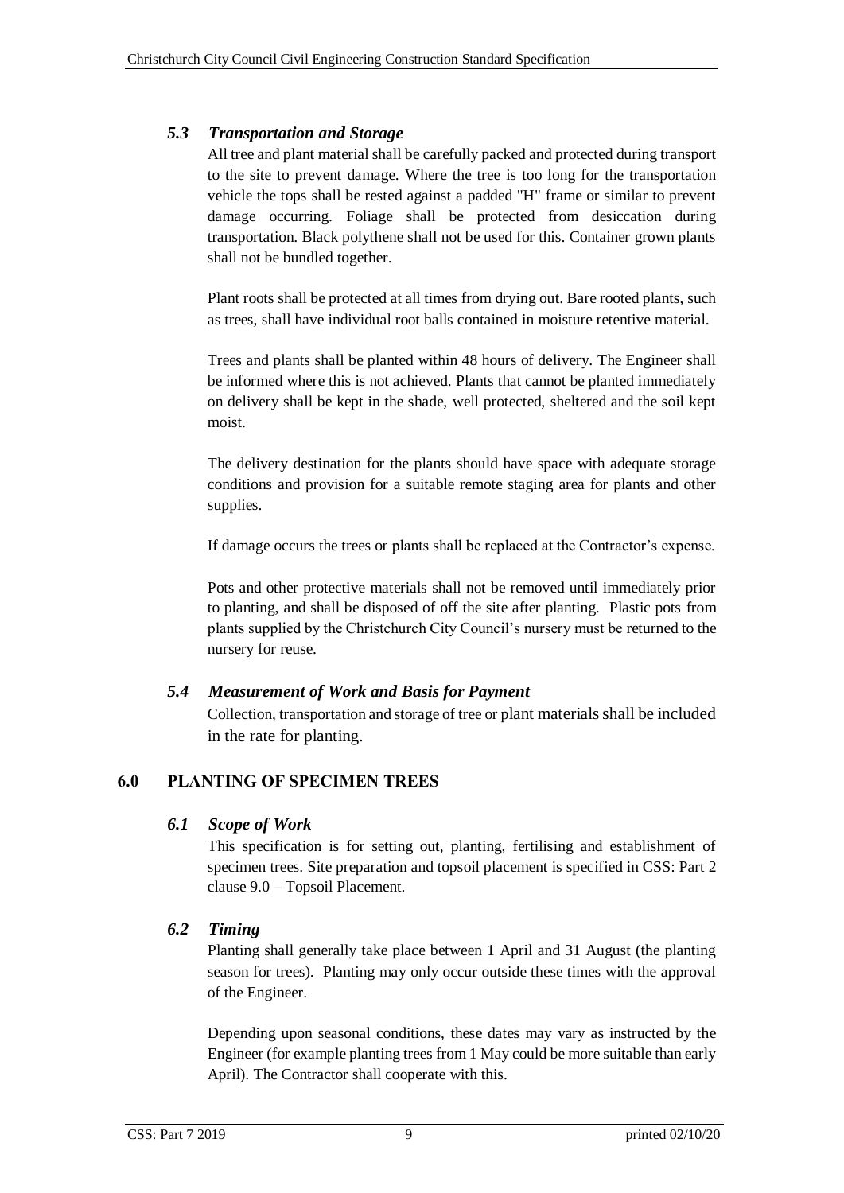# <span id="page-14-0"></span>*5.3 Transportation and Storage*

All tree and plant material shall be carefully packed and protected during transport to the site to prevent damage. Where the tree is too long for the transportation vehicle the tops shall be rested against a padded "H" frame or similar to prevent damage occurring. Foliage shall be protected from desiccation during transportation. Black polythene shall not be used for this. Container grown plants shall not be bundled together.

Plant roots shall be protected at all times from drying out. Bare rooted plants, such as trees, shall have individual root balls contained in moisture retentive material.

Trees and plants shall be planted within 48 hours of delivery. The Engineer shall be informed where this is not achieved. Plants that cannot be planted immediately on delivery shall be kept in the shade, well protected, sheltered and the soil kept moist.

The delivery destination for the plants should have space with adequate storage conditions and provision for a suitable remote staging area for plants and other supplies.

If damage occurs the trees or plants shall be replaced at the Contractor's expense.

Pots and other protective materials shall not be removed until immediately prior to planting, and shall be disposed of off the site after planting. Plastic pots from plants supplied by the Christchurch City Council's nursery must be returned to the nursery for reuse.

# <span id="page-14-1"></span>*5.4 Measurement of Work and Basis for Payment*

Collection, transportation and storage of tree or plant materials shall be included in the rate for planting.

# <span id="page-14-3"></span><span id="page-14-2"></span>**6.0 PLANTING OF SPECIMEN TREES**

# *6.1 Scope of Work*

This specification is for setting out, planting, fertilising and establishment of specimen trees. Site preparation and topsoil placement is specified in CSS: Part 2 clause 9.0 – Topsoil Placement.

# <span id="page-14-4"></span>*6.2 Timing*

Planting shall generally take place between 1 April and 31 August (the planting season for trees). Planting may only occur outside these times with the approval of the Engineer.

Depending upon seasonal conditions, these dates may vary as instructed by the Engineer (for example planting trees from 1 May could be more suitable than early April). The Contractor shall cooperate with this.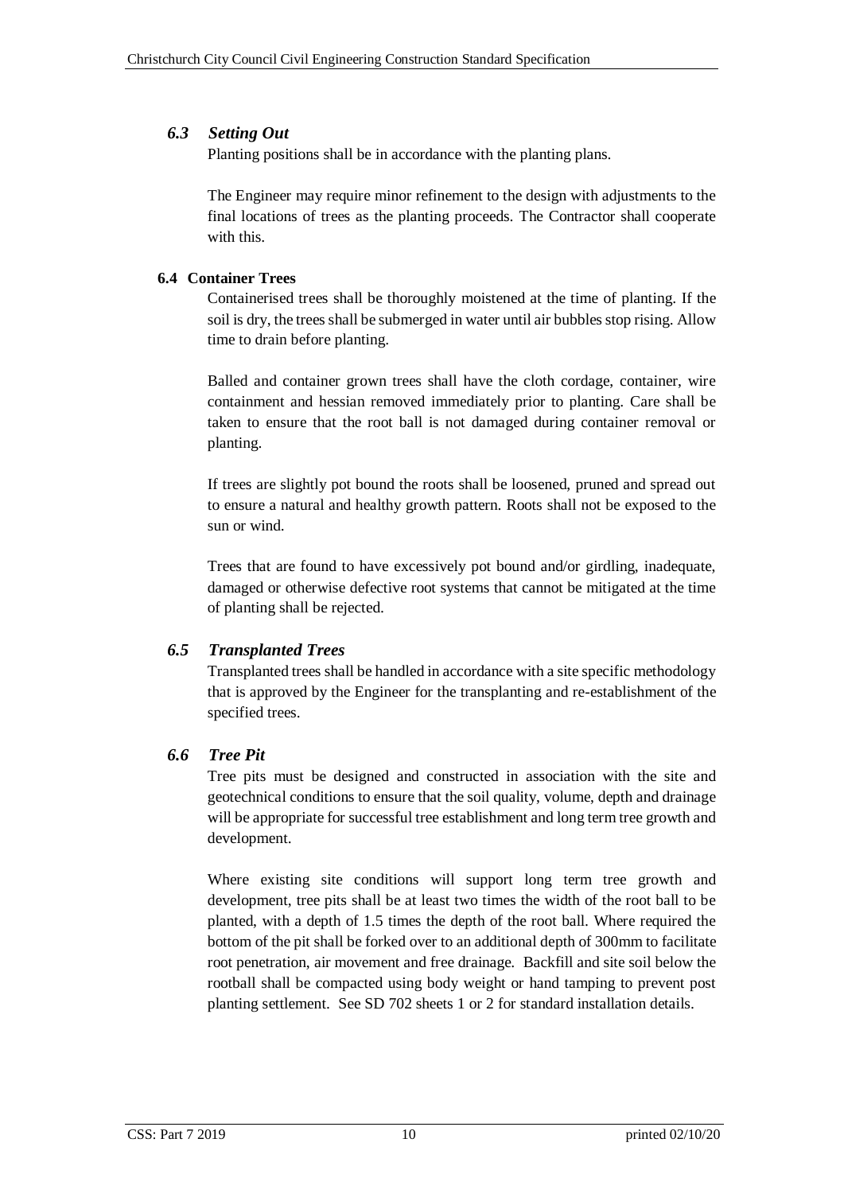# <span id="page-15-0"></span>*6.3 Setting Out*

Planting positions shall be in accordance with the planting plans.

The Engineer may require minor refinement to the design with adjustments to the final locations of trees as the planting proceeds. The Contractor shall cooperate with this.

# <span id="page-15-1"></span>**6.4 Container Trees**

Containerised trees shall be thoroughly moistened at the time of planting. If the soil is dry, the trees shall be submerged in water until air bubbles stop rising. Allow time to drain before planting.

Balled and container grown trees shall have the cloth cordage, container, wire containment and hessian removed immediately prior to planting. Care shall be taken to ensure that the root ball is not damaged during container removal or planting.

If trees are slightly pot bound the roots shall be loosened, pruned and spread out to ensure a natural and healthy growth pattern. Roots shall not be exposed to the sun or wind.

Trees that are found to have excessively pot bound and/or girdling, inadequate, damaged or otherwise defective root systems that cannot be mitigated at the time of planting shall be rejected.

# <span id="page-15-2"></span>*6.5 Transplanted Trees*

Transplanted trees shall be handled in accordance with a site specific methodology that is approved by the Engineer for the transplanting and re-establishment of the specified trees.

# <span id="page-15-3"></span>*6.6 Tree Pit*

Tree pits must be designed and constructed in association with the site and geotechnical conditions to ensure that the soil quality, volume, depth and drainage will be appropriate for successful tree establishment and long term tree growth and development.

Where existing site conditions will support long term tree growth and development, tree pits shall be at least two times the width of the root ball to be planted, with a depth of 1.5 times the depth of the root ball. Where required the bottom of the pit shall be forked over to an additional depth of 300mm to facilitate root penetration, air movement and free drainage. Backfill and site soil below the rootball shall be compacted using body weight or hand tamping to prevent post planting settlement. See SD 702 sheets 1 or 2 for standard installation details.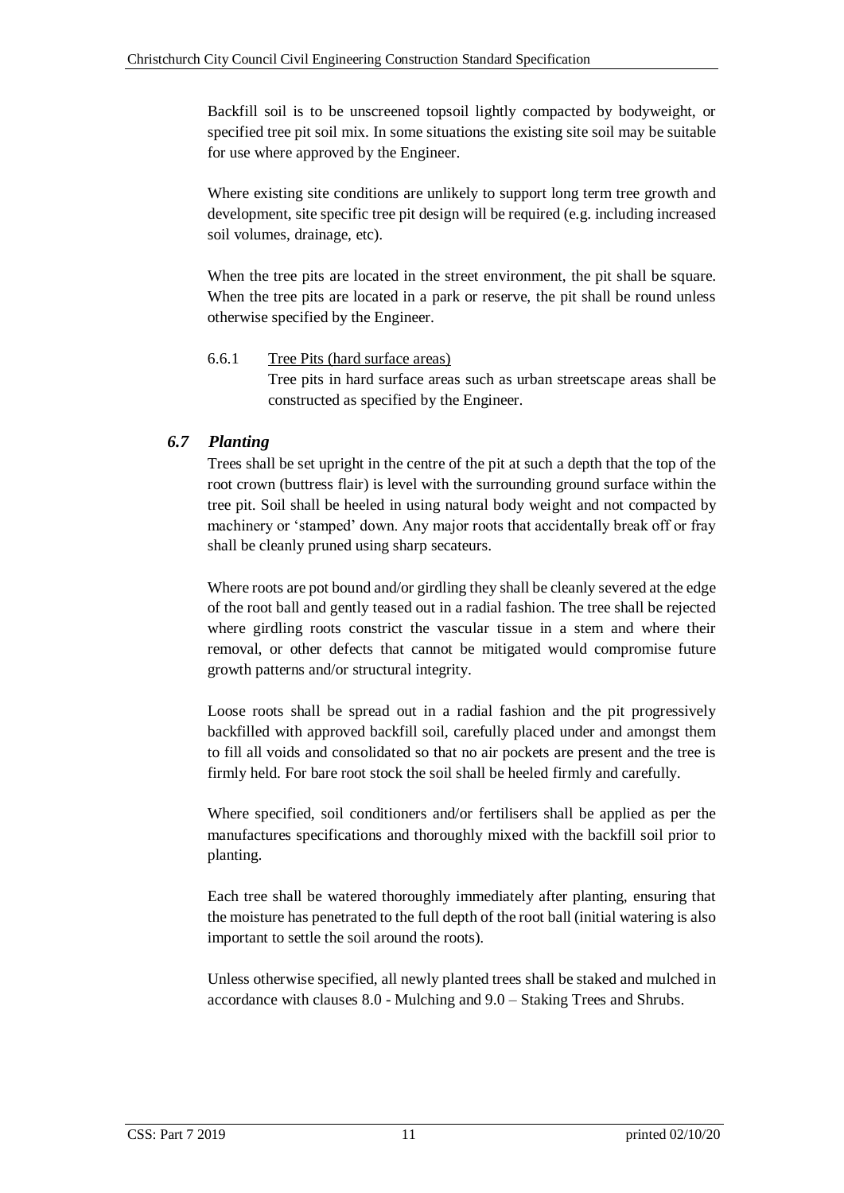Backfill soil is to be unscreened topsoil lightly compacted by bodyweight, or specified tree pit soil mix. In some situations the existing site soil may be suitable for use where approved by the Engineer.

Where existing site conditions are unlikely to support long term tree growth and development, site specific tree pit design will be required (e.g. including increased soil volumes, drainage, etc).

When the tree pits are located in the street environment, the pit shall be square. When the tree pits are located in a park or reserve, the pit shall be round unless otherwise specified by the Engineer.

### <span id="page-16-0"></span>6.6.1 Tree Pits (hard surface areas)

Tree pits in hard surface areas such as urban streetscape areas shall be constructed as specified by the Engineer.

# <span id="page-16-1"></span>*6.7 Planting*

Trees shall be set upright in the centre of the pit at such a depth that the top of the root crown (buttress flair) is level with the surrounding ground surface within the tree pit. Soil shall be heeled in using natural body weight and not compacted by machinery or 'stamped' down. Any major roots that accidentally break off or fray shall be cleanly pruned using sharp secateurs.

Where roots are pot bound and/or girdling they shall be cleanly severed at the edge of the root ball and gently teased out in a radial fashion. The tree shall be rejected where girdling roots constrict the vascular tissue in a stem and where their removal, or other defects that cannot be mitigated would compromise future growth patterns and/or structural integrity.

Loose roots shall be spread out in a radial fashion and the pit progressively backfilled with approved backfill soil, carefully placed under and amongst them to fill all voids and consolidated so that no air pockets are present and the tree is firmly held. For bare root stock the soil shall be heeled firmly and carefully.

Where specified, soil conditioners and/or fertilisers shall be applied as per the manufactures specifications and thoroughly mixed with the backfill soil prior to planting.

Each tree shall be watered thoroughly immediately after planting, ensuring that the moisture has penetrated to the full depth of the root ball (initial watering is also important to settle the soil around the roots).

Unless otherwise specified, all newly planted trees shall be staked and mulched in accordance with clauses 8.0 - Mulching and 9.0 – Staking Trees and Shrubs.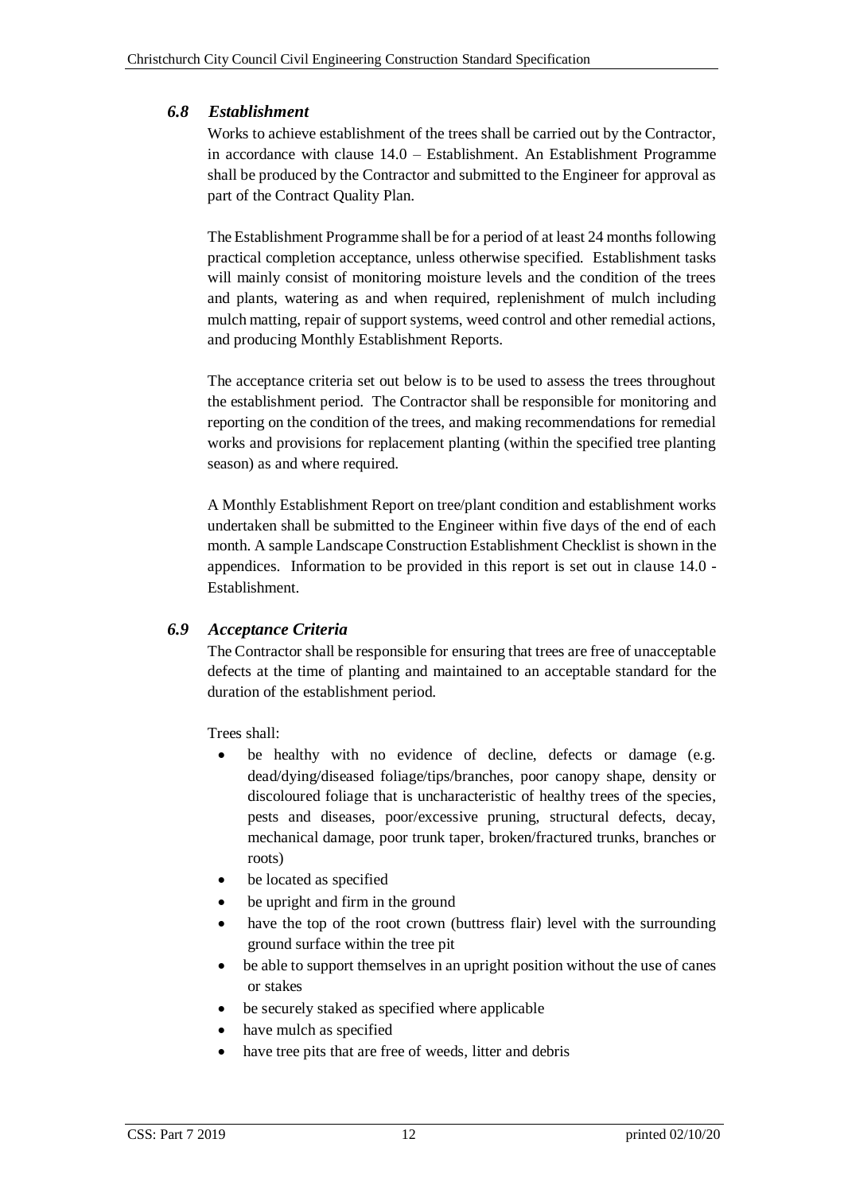# <span id="page-17-0"></span>*6.8 Establishment*

Works to achieve establishment of the trees shall be carried out by the Contractor, in accordance with clause 14.0 – Establishment. An Establishment Programme shall be produced by the Contractor and submitted to the Engineer for approval as part of the Contract Quality Plan.

The Establishment Programme shall be for a period of at least 24 months following practical completion acceptance, unless otherwise specified. Establishment tasks will mainly consist of monitoring moisture levels and the condition of the trees and plants, watering as and when required, replenishment of mulch including mulch matting, repair of support systems, weed control and other remedial actions, and producing Monthly Establishment Reports.

The acceptance criteria set out below is to be used to assess the trees throughout the establishment period. The Contractor shall be responsible for monitoring and reporting on the condition of the trees, and making recommendations for remedial works and provisions for replacement planting (within the specified tree planting season) as and where required.

A Monthly Establishment Report on tree/plant condition and establishment works undertaken shall be submitted to the Engineer within five days of the end of each month. A sample Landscape Construction Establishment Checklist is shown in the appendices. Information to be provided in this report is set out in clause 14.0 - Establishment.

# <span id="page-17-1"></span>*6.9 Acceptance Criteria*

The Contractor shall be responsible for ensuring that trees are free of unacceptable defects at the time of planting and maintained to an acceptable standard for the duration of the establishment period.

Trees shall:

- be healthy with no evidence of decline, defects or damage (e.g. dead/dying/diseased foliage/tips/branches, poor canopy shape, density or discoloured foliage that is uncharacteristic of healthy trees of the species, pests and diseases, poor/excessive pruning, structural defects, decay, mechanical damage, poor trunk taper, broken/fractured trunks, branches or roots)
- be located as specified
- be upright and firm in the ground
- have the top of the root crown (buttress flair) level with the surrounding ground surface within the tree pit
- be able to support themselves in an upright position without the use of canes or stakes
- be securely staked as specified where applicable
- have mulch as specified
- have tree pits that are free of weeds, litter and debris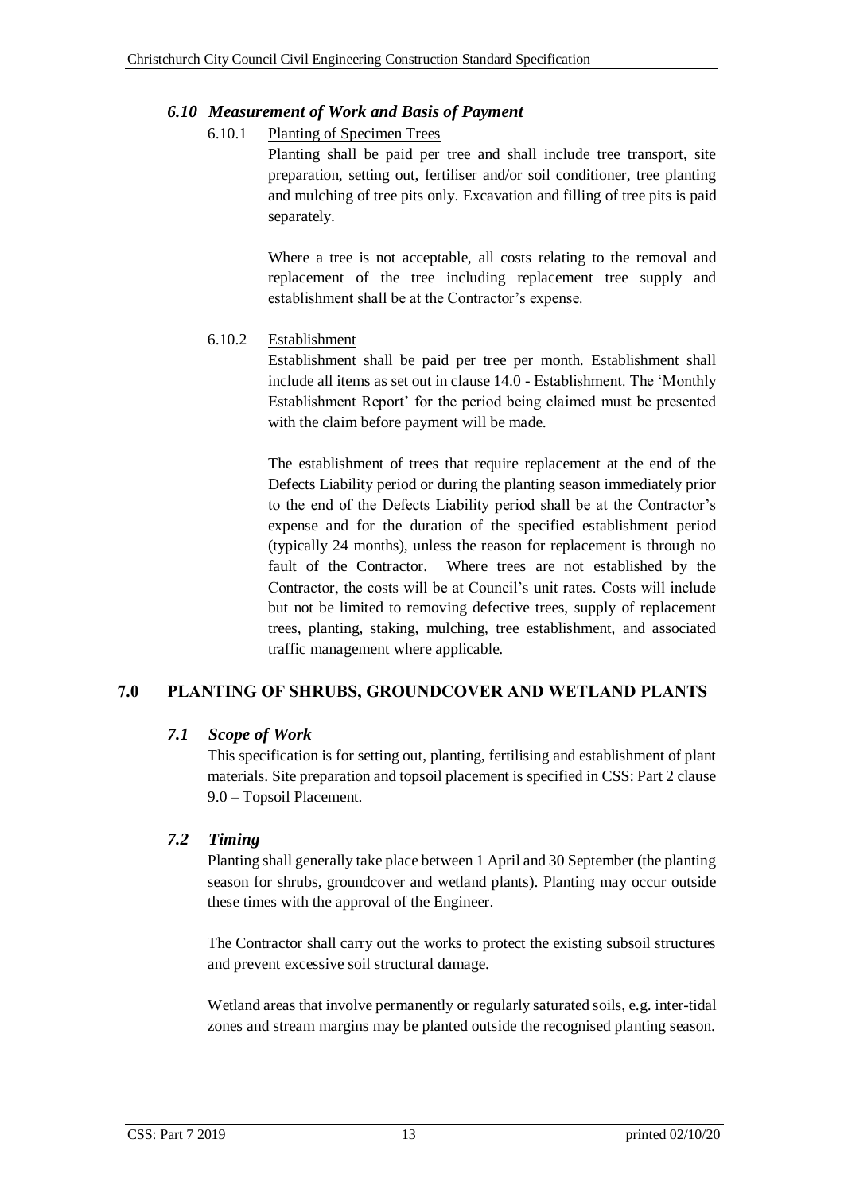# <span id="page-18-1"></span><span id="page-18-0"></span>*6.10 Measurement of Work and Basis of Payment*

# 6.10.1 Planting of Specimen Trees

Planting shall be paid per tree and shall include tree transport, site preparation, setting out, fertiliser and/or soil conditioner, tree planting and mulching of tree pits only. Excavation and filling of tree pits is paid separately.

Where a tree is not acceptable, all costs relating to the removal and replacement of the tree including replacement tree supply and establishment shall be at the Contractor's expense.

# <span id="page-18-2"></span>6.10.2 Establishment

Establishment shall be paid per tree per month. Establishment shall include all items as set out in clause 14.0 - Establishment. The 'Monthly Establishment Report' for the period being claimed must be presented with the claim before payment will be made.

The establishment of trees that require replacement at the end of the Defects Liability period or during the planting season immediately prior to the end of the Defects Liability period shall be at the Contractor's expense and for the duration of the specified establishment period (typically 24 months), unless the reason for replacement is through no fault of the Contractor. Where trees are not established by the Contractor, the costs will be at Council's unit rates. Costs will include but not be limited to removing defective trees, supply of replacement trees, planting, staking, mulching, tree establishment, and associated traffic management where applicable.

# <span id="page-18-3"></span>**7.0 PLANTING OF SHRUBS, GROUNDCOVER AND WETLAND PLANTS**

# <span id="page-18-4"></span>*7.1 Scope of Work*

This specification is for setting out, planting, fertilising and establishment of plant materials. Site preparation and topsoil placement is specified in CSS: Part 2 clause 9.0 – Topsoil Placement.

# <span id="page-18-5"></span>*7.2 Timing*

Planting shall generally take place between 1 April and 30 September (the planting season for shrubs, groundcover and wetland plants). Planting may occur outside these times with the approval of the Engineer.

The Contractor shall carry out the works to protect the existing subsoil structures and prevent excessive soil structural damage.

Wetland areas that involve permanently or regularly saturated soils, e.g. inter-tidal zones and stream margins may be planted outside the recognised planting season.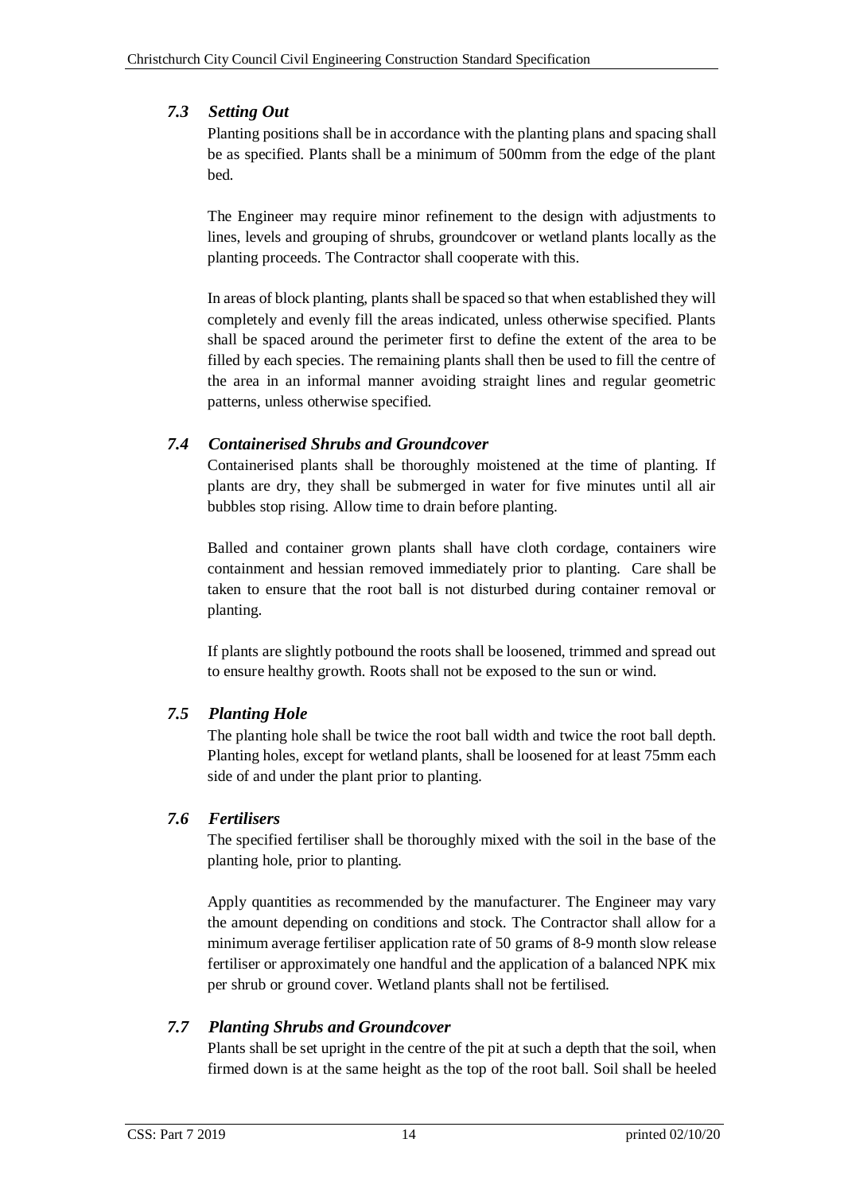# <span id="page-19-0"></span>*7.3 Setting Out*

Planting positions shall be in accordance with the planting plans and spacing shall be as specified. Plants shall be a minimum of 500mm from the edge of the plant bed.

The Engineer may require minor refinement to the design with adjustments to lines, levels and grouping of shrubs, groundcover or wetland plants locally as the planting proceeds. The Contractor shall cooperate with this.

In areas of block planting, plants shall be spaced so that when established they will completely and evenly fill the areas indicated, unless otherwise specified. Plants shall be spaced around the perimeter first to define the extent of the area to be filled by each species. The remaining plants shall then be used to fill the centre of the area in an informal manner avoiding straight lines and regular geometric patterns, unless otherwise specified.

# <span id="page-19-1"></span>*7.4 Containerised Shrubs and Groundcover*

Containerised plants shall be thoroughly moistened at the time of planting. If plants are dry, they shall be submerged in water for five minutes until all air bubbles stop rising. Allow time to drain before planting.

Balled and container grown plants shall have cloth cordage, containers wire containment and hessian removed immediately prior to planting. Care shall be taken to ensure that the root ball is not disturbed during container removal or planting.

If plants are slightly potbound the roots shall be loosened, trimmed and spread out to ensure healthy growth. Roots shall not be exposed to the sun or wind.

# <span id="page-19-2"></span>*7.5 Planting Hole*

The planting hole shall be twice the root ball width and twice the root ball depth. Planting holes, except for wetland plants, shall be loosened for at least 75mm each side of and under the plant prior to planting.

# <span id="page-19-3"></span>*7.6 Fertilisers*

The specified fertiliser shall be thoroughly mixed with the soil in the base of the planting hole, prior to planting.

Apply quantities as recommended by the manufacturer. The Engineer may vary the amount depending on conditions and stock. The Contractor shall allow for a minimum average fertiliser application rate of 50 grams of 8-9 month slow release fertiliser or approximately one handful and the application of a balanced NPK mix per shrub or ground cover. Wetland plants shall not be fertilised.

# <span id="page-19-4"></span>*7.7 Planting Shrubs and Groundcover*

Plants shall be set upright in the centre of the pit at such a depth that the soil, when firmed down is at the same height as the top of the root ball. Soil shall be heeled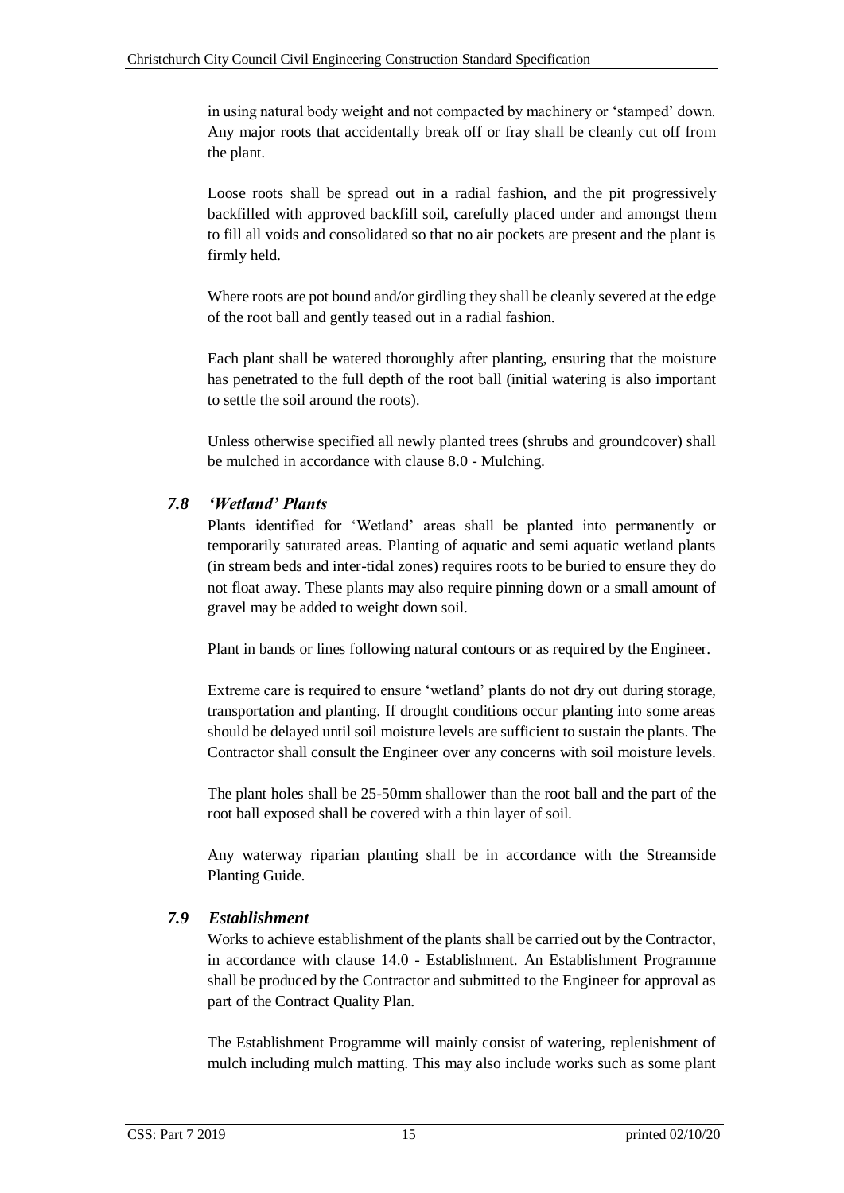in using natural body weight and not compacted by machinery or 'stamped' down. Any major roots that accidentally break off or fray shall be cleanly cut off from the plant.

Loose roots shall be spread out in a radial fashion, and the pit progressively backfilled with approved backfill soil, carefully placed under and amongst them to fill all voids and consolidated so that no air pockets are present and the plant is firmly held.

Where roots are pot bound and/or girdling they shall be cleanly severed at the edge of the root ball and gently teased out in a radial fashion.

Each plant shall be watered thoroughly after planting, ensuring that the moisture has penetrated to the full depth of the root ball (initial watering is also important to settle the soil around the roots).

Unless otherwise specified all newly planted trees (shrubs and groundcover) shall be mulched in accordance with clause 8.0 - Mulching.

# <span id="page-20-0"></span>*7.8 'Wetland' Plants*

Plants identified for 'Wetland' areas shall be planted into permanently or temporarily saturated areas. Planting of aquatic and semi aquatic wetland plants (in stream beds and inter-tidal zones) requires roots to be buried to ensure they do not float away. These plants may also require pinning down or a small amount of gravel may be added to weight down soil.

Plant in bands or lines following natural contours or as required by the Engineer.

Extreme care is required to ensure 'wetland' plants do not dry out during storage, transportation and planting. If drought conditions occur planting into some areas should be delayed until soil moisture levels are sufficient to sustain the plants. The Contractor shall consult the Engineer over any concerns with soil moisture levels.

The plant holes shall be 25-50mm shallower than the root ball and the part of the root ball exposed shall be covered with a thin layer of soil.

Any waterway riparian planting shall be in accordance with the Streamside Planting Guide.

# <span id="page-20-1"></span>*7.9 Establishment*

Works to achieve establishment of the plants shall be carried out by the Contractor, in accordance with clause 14.0 - Establishment. An Establishment Programme shall be produced by the Contractor and submitted to the Engineer for approval as part of the Contract Quality Plan.

The Establishment Programme will mainly consist of watering, replenishment of mulch including mulch matting. This may also include works such as some plant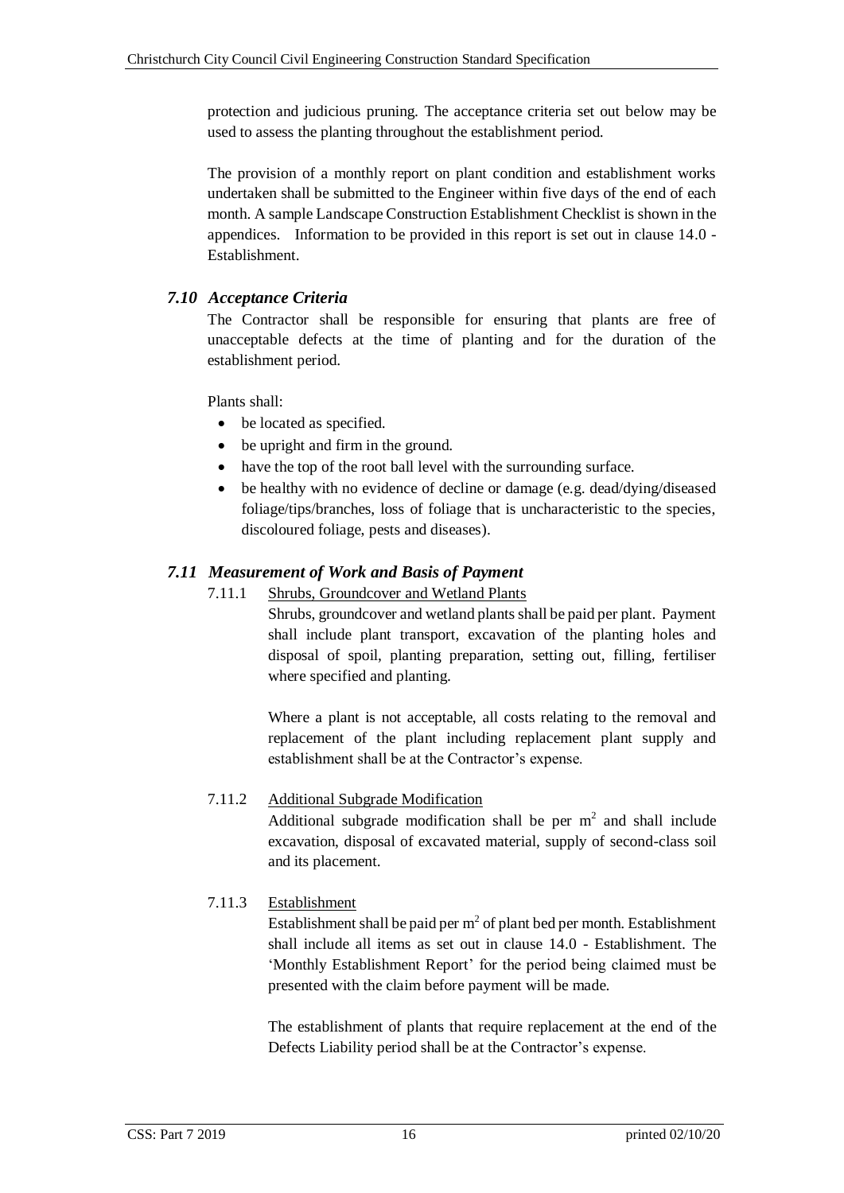protection and judicious pruning. The acceptance criteria set out below may be used to assess the planting throughout the establishment period.

The provision of a monthly report on plant condition and establishment works undertaken shall be submitted to the Engineer within five days of the end of each month. A sample Landscape Construction Establishment Checklist is shown in the appendices. Information to be provided in this report is set out in clause 14.0 - Establishment.

# <span id="page-21-0"></span>*7.10 Acceptance Criteria*

The Contractor shall be responsible for ensuring that plants are free of unacceptable defects at the time of planting and for the duration of the establishment period.

Plants shall:

- be located as specified.
- be upright and firm in the ground.
- have the top of the root ball level with the surrounding surface.
- be healthy with no evidence of decline or damage (e.g. dead/dying/diseased foliage/tips/branches, loss of foliage that is uncharacteristic to the species, discoloured foliage, pests and diseases).

# <span id="page-21-2"></span><span id="page-21-1"></span>*7.11 Measurement of Work and Basis of Payment*

# 7.11.1 Shrubs, Groundcover and Wetland Plants

Shrubs, groundcover and wetland plants shall be paid per plant. Payment shall include plant transport, excavation of the planting holes and disposal of spoil, planting preparation, setting out, filling, fertiliser where specified and planting.

Where a plant is not acceptable, all costs relating to the removal and replacement of the plant including replacement plant supply and establishment shall be at the Contractor's expense.

# <span id="page-21-3"></span>7.11.2 Additional Subgrade Modification

Additional subgrade modification shall be per  $m<sup>2</sup>$  and shall include excavation, disposal of excavated material, supply of second-class soil and its placement.

# <span id="page-21-4"></span>7.11.3 Establishment

Establishment shall be paid per  $m^2$  of plant bed per month. Establishment shall include all items as set out in clause 14.0 - Establishment. The ['Monthly Establishment Report'](#page-39-0) for the period being claimed must be presented with the claim before payment will be made.

The establishment of plants that require replacement at the end of the Defects Liability period shall be at the Contractor's expense.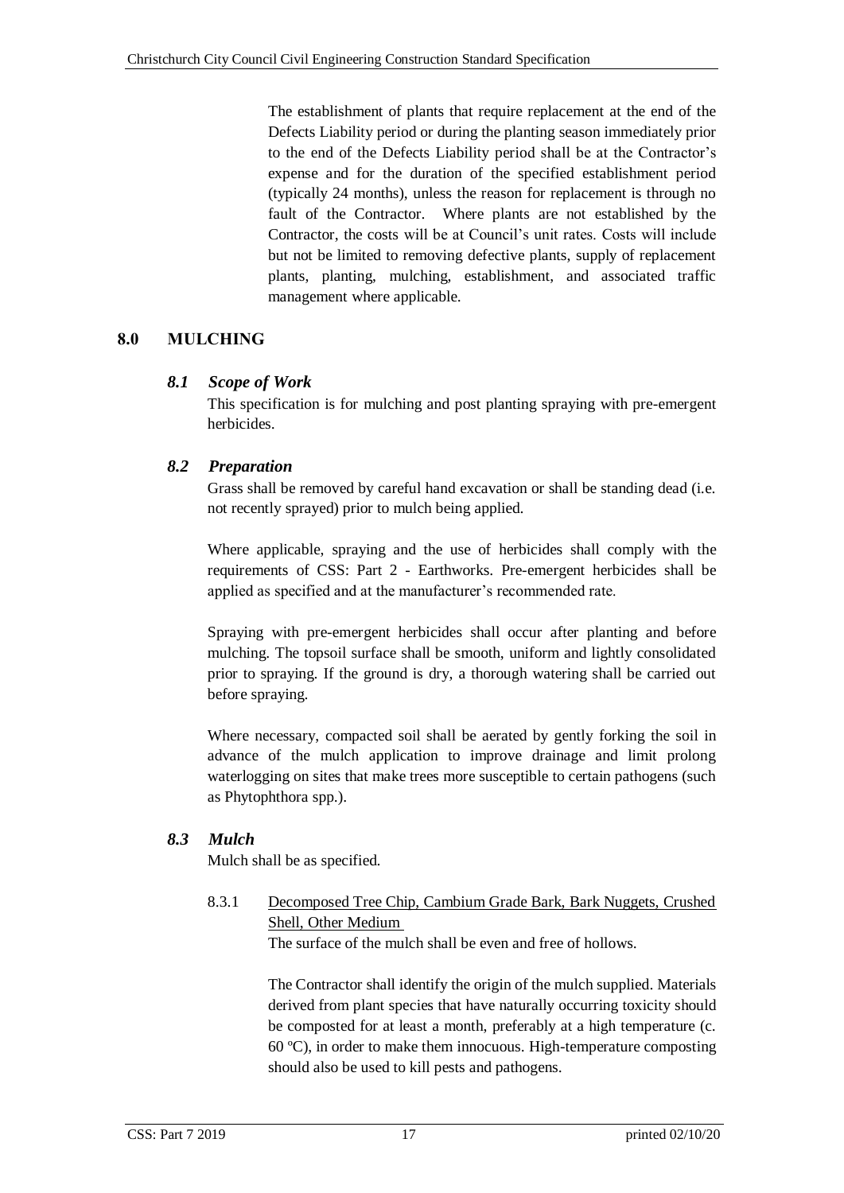The establishment of plants that require replacement at the end of the Defects Liability period or during the planting season immediately prior to the end of the Defects Liability period shall be at the Contractor's expense and for the duration of the specified establishment period (typically 24 months), unless the reason for replacement is through no fault of the Contractor. Where plants are not established by the Contractor, the costs will be at Council's unit rates. Costs will include but not be limited to removing defective plants, supply of replacement plants, planting, mulching, establishment, and associated traffic management where applicable.

# <span id="page-22-0"></span>**8.0 MULCHING**

# <span id="page-22-1"></span>*8.1 Scope of Work*

This specification is for mulching and post planting spraying with pre-emergent herbicides.

# <span id="page-22-2"></span>*8.2 Preparation*

Grass shall be removed by careful hand excavation or shall be standing dead (i.e. not recently sprayed) prior to mulch being applied.

Where applicable, spraying and the use of herbicides shall comply with the requirements of CSS: Part 2 - Earthworks. Pre-emergent herbicides shall be applied as specified and at the manufacturer's recommended rate.

Spraying with pre-emergent herbicides shall occur after planting and before mulching. The topsoil surface shall be smooth, uniform and lightly consolidated prior to spraying. If the ground is dry, a thorough watering shall be carried out before spraying.

Where necessary, compacted soil shall be aerated by gently forking the soil in advance of the mulch application to improve drainage and limit prolong waterlogging on sites that make trees more susceptible to certain pathogens (such as Phytophthora spp.).

# <span id="page-22-4"></span><span id="page-22-3"></span>*8.3 Mulch*

Mulch shall be as specified.

8.3.1 Decomposed Tree Chip, Cambium Grade Bark, Bark Nuggets, Crushed Shell, Other Medium

The surface of the mulch shall be even and free of hollows.

The Contractor shall identify the origin of the mulch supplied. Materials derived from plant species that have naturally occurring toxicity should be composted for at least a month, preferably at a high temperature (c. 60 ºC), in order to make them innocuous. High-temperature composting should also be used to kill pests and pathogens.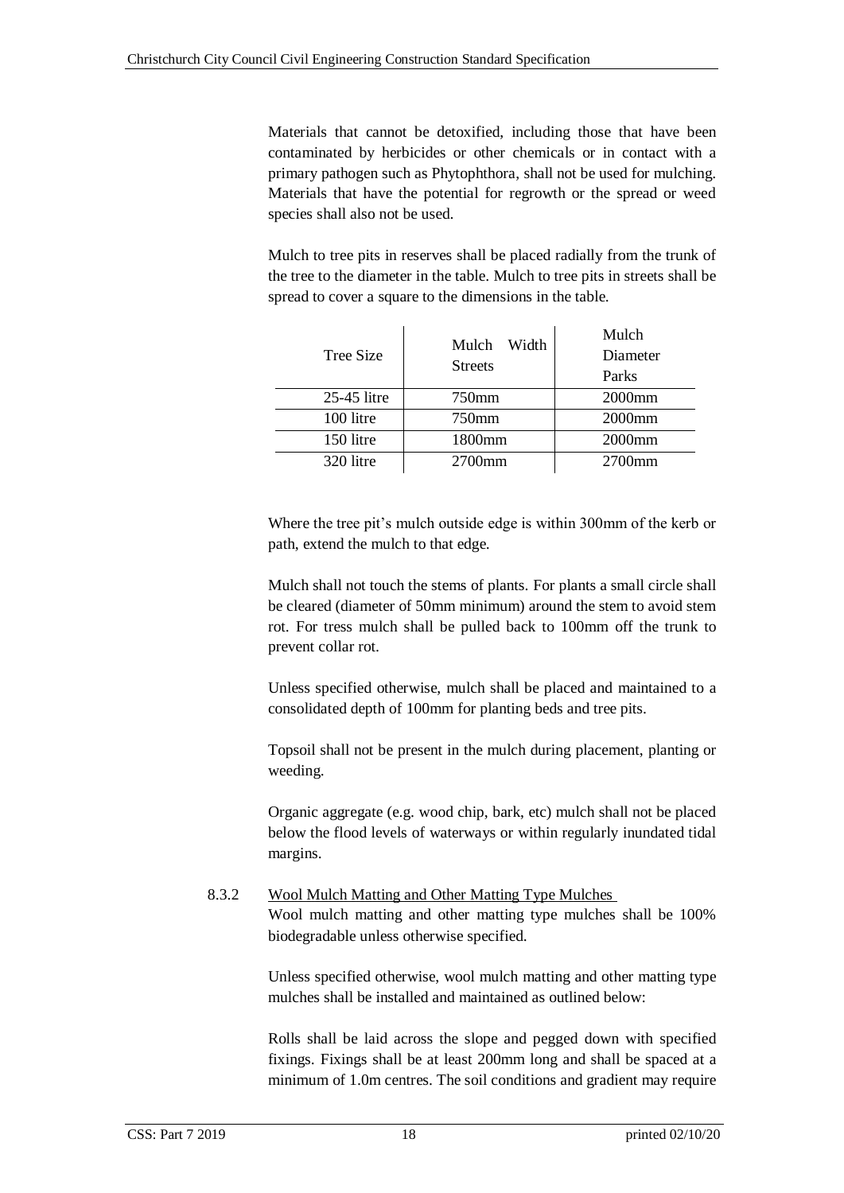Materials that cannot be detoxified, including those that have been contaminated by herbicides or other chemicals or in contact with a primary pathogen such as Phytophthora, shall not be used for mulching. Materials that have the potential for regrowth or the spread or weed species shall also not be used.

Mulch to tree pits in reserves shall be placed radially from the trunk of the tree to the diameter in the table. Mulch to tree pits in streets shall be spread to cover a square to the dimensions in the table.

| Tree Size   | Width<br>Mulch<br><b>Streets</b> | Mulch<br>Diameter<br>Parks |  |  |
|-------------|----------------------------------|----------------------------|--|--|
| 25-45 litre | 750mm                            | 2000 <sub>mm</sub>         |  |  |
| 100 litre   | 750mm                            | 2000 <sub>mm</sub>         |  |  |
| 150 litre   | 1800mm                           | 2000 <sub>mm</sub>         |  |  |
| 320 litre   | $2700$ mm                        | $2700$ mm                  |  |  |

Where the tree pit's mulch outside edge is within 300mm of the kerb or path, extend the mulch to that edge.

Mulch shall not touch the stems of plants. For plants a small circle shall be cleared (diameter of 50mm minimum) around the stem to avoid stem rot. For tress mulch shall be pulled back to 100mm off the trunk to prevent collar rot.

Unless specified otherwise, mulch shall be placed and maintained to a consolidated depth of 100mm for planting beds and tree pits.

Topsoil shall not be present in the mulch during placement, planting or weeding.

Organic aggregate (e.g. wood chip, bark, etc) mulch shall not be placed below the flood levels of waterways or within regularly inundated tidal margins.

## 8.3.2 Wool Mulch Matting and Other Matting Type Mulches Wool mulch matting and other matting type mulches shall be 100% biodegradable unless otherwise specified.

Unless specified otherwise, wool mulch matting and other matting type mulches shall be installed and maintained as outlined below:

Rolls shall be laid across the slope and pegged down with specified fixings. Fixings shall be at least 200mm long and shall be spaced at a minimum of 1.0m centres. The soil conditions and gradient may require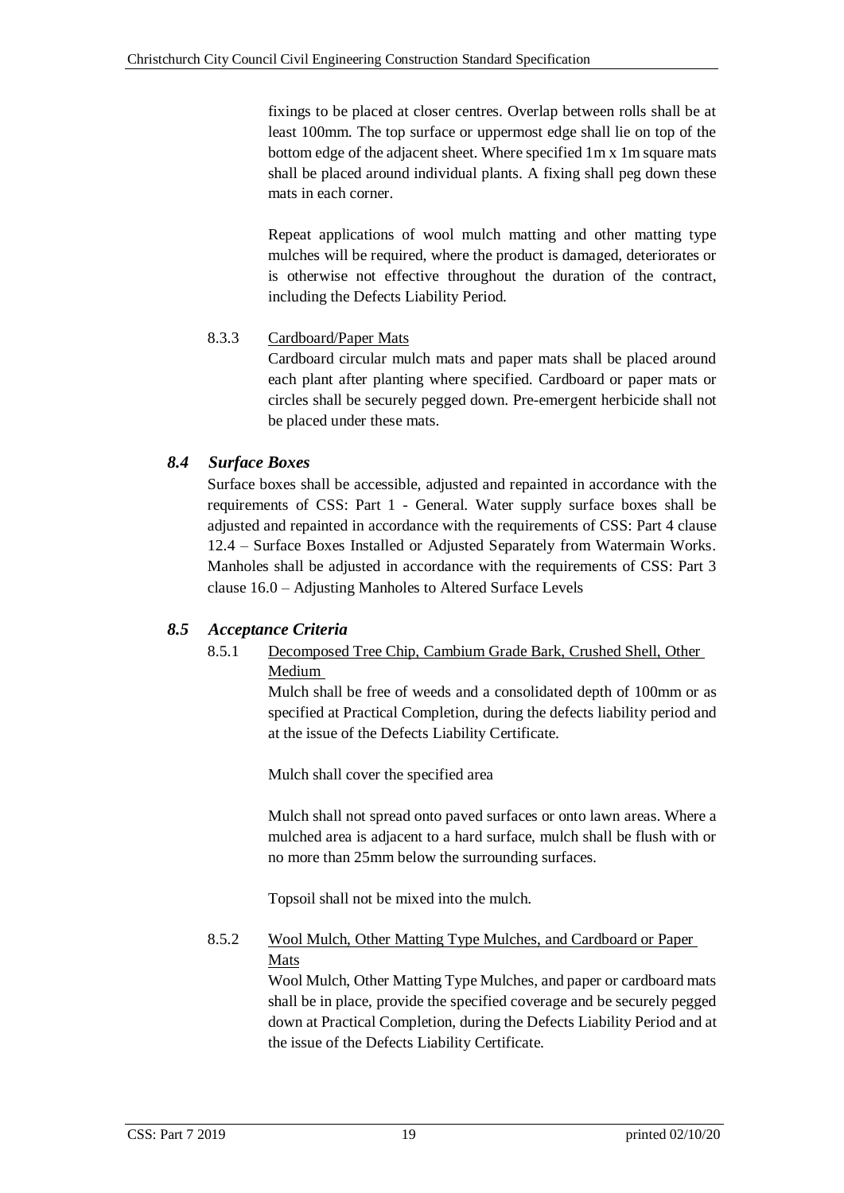fixings to be placed at closer centres. Overlap between rolls shall be at least 100mm. The top surface or uppermost edge shall lie on top of the bottom edge of the adjacent sheet. Where specified 1m x 1m square mats shall be placed around individual plants. A fixing shall peg down these mats in each corner.

Repeat applications of wool mulch matting and other matting type mulches will be required, where the product is damaged, deteriorates or is otherwise not effective throughout the duration of the contract, including the Defects Liability Period.

# <span id="page-24-0"></span>8.3.3 Cardboard/Paper Mats

Cardboard circular mulch mats and paper mats shall be placed around each plant after planting where specified. Cardboard or paper mats or circles shall be securely pegged down. Pre-emergent herbicide shall not be placed under these mats.

# <span id="page-24-1"></span>*8.4 Surface Boxes*

Surface boxes shall be accessible, adjusted and repainted in accordance with the requirements of CSS: Part 1 - General. Water supply surface boxes shall be adjusted and repainted in accordance with the requirements of CSS: Part 4 clause 12.4 – Surface Boxes Installed or Adjusted Separately from Watermain Works. Manholes shall be adjusted in accordance with the requirements of CSS: Part 3 clause 16.0 – Adjusting Manholes to Altered Surface Levels

# <span id="page-24-3"></span><span id="page-24-2"></span>*8.5 Acceptance Criteria*

# 8.5.1 Decomposed Tree Chip, Cambium Grade Bark, Crushed Shell, Other Medium

Mulch shall be free of weeds and a consolidated depth of 100mm or as specified at Practical Completion, during the defects liability period and at the issue of the Defects Liability Certificate.

Mulch shall cover the specified area

Mulch shall not spread onto paved surfaces or onto lawn areas. Where a mulched area is adjacent to a hard surface, mulch shall be flush with or no more than 25mm below the surrounding surfaces.

Topsoil shall not be mixed into the mulch.

# <span id="page-24-4"></span>8.5.2 Wool Mulch, Other Matting Type Mulches, and Cardboard or Paper Mats

Wool Mulch, Other Matting Type Mulches, and paper or cardboard mats shall be in place, provide the specified coverage and be securely pegged down at Practical Completion, during the Defects Liability Period and at the issue of the Defects Liability Certificate.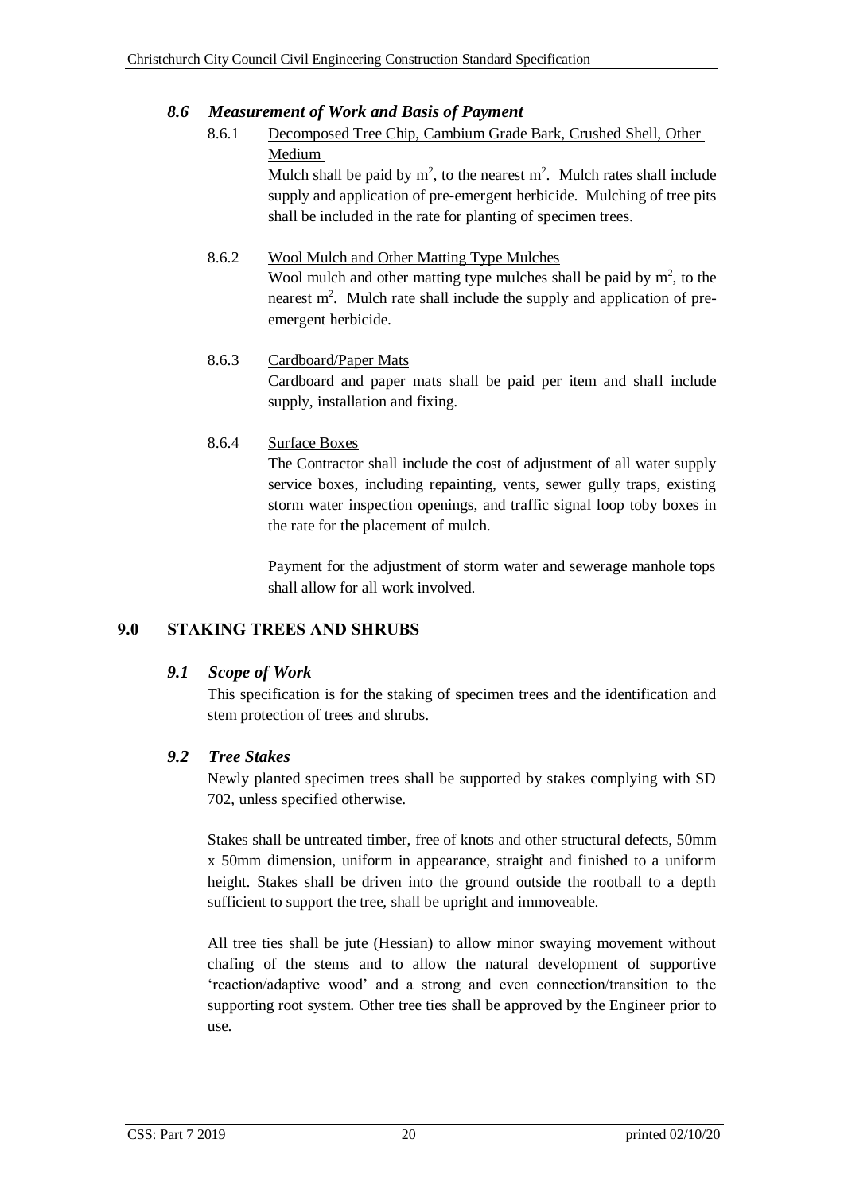# <span id="page-25-1"></span><span id="page-25-0"></span>*8.6 Measurement of Work and Basis of Payment*

# 8.6.1 Decomposed Tree Chip, Cambium Grade Bark, Crushed Shell, Other Medium

Mulch shall be paid by  $m^2$ , to the nearest  $m^2$ . Mulch rates shall include supply and application of pre-emergent herbicide. Mulching of tree pits shall be included in the rate for planting of specimen trees.

## 8.6.2 Wool Mulch and Other Matting Type Mulches

Wool mulch and other matting type mulches shall be paid by  $m<sup>2</sup>$ , to the nearest  $m<sup>2</sup>$ . Mulch rate shall include the supply and application of preemergent herbicide.

### 8.6.3 Cardboard/Paper Mats

Cardboard and paper mats shall be paid per item and shall include supply, installation and fixing.

# <span id="page-25-2"></span>8.6.4 Surface Boxes

The Contractor shall include the cost of adjustment of all water supply service boxes, including repainting, vents, sewer gully traps, existing storm water inspection openings, and traffic signal loop toby boxes in the rate for the placement of mulch.

Payment for the adjustment of storm water and sewerage manhole tops shall allow for all work involved.

# <span id="page-25-3"></span>**9.0 STAKING TREES AND SHRUBS**

# <span id="page-25-4"></span>*9.1 Scope of Work*

This specification is for the staking of specimen trees and the identification and stem protection of trees and shrubs.

# <span id="page-25-5"></span>*9.2 Tree Stakes*

Newly planted specimen trees shall be supported by stakes complying with SD 702, unless specified otherwise.

Stakes shall be untreated timber, free of knots and other structural defects, 50mm x 50mm dimension, uniform in appearance, straight and finished to a uniform height. Stakes shall be driven into the ground outside the rootball to a depth sufficient to support the tree, shall be upright and immoveable.

All tree ties shall be jute (Hessian) to allow minor swaying movement without chafing of the stems and to allow the natural development of supportive 'reaction/adaptive wood' and a strong and even connection/transition to the supporting root system. Other tree ties shall be approved by the Engineer prior to use.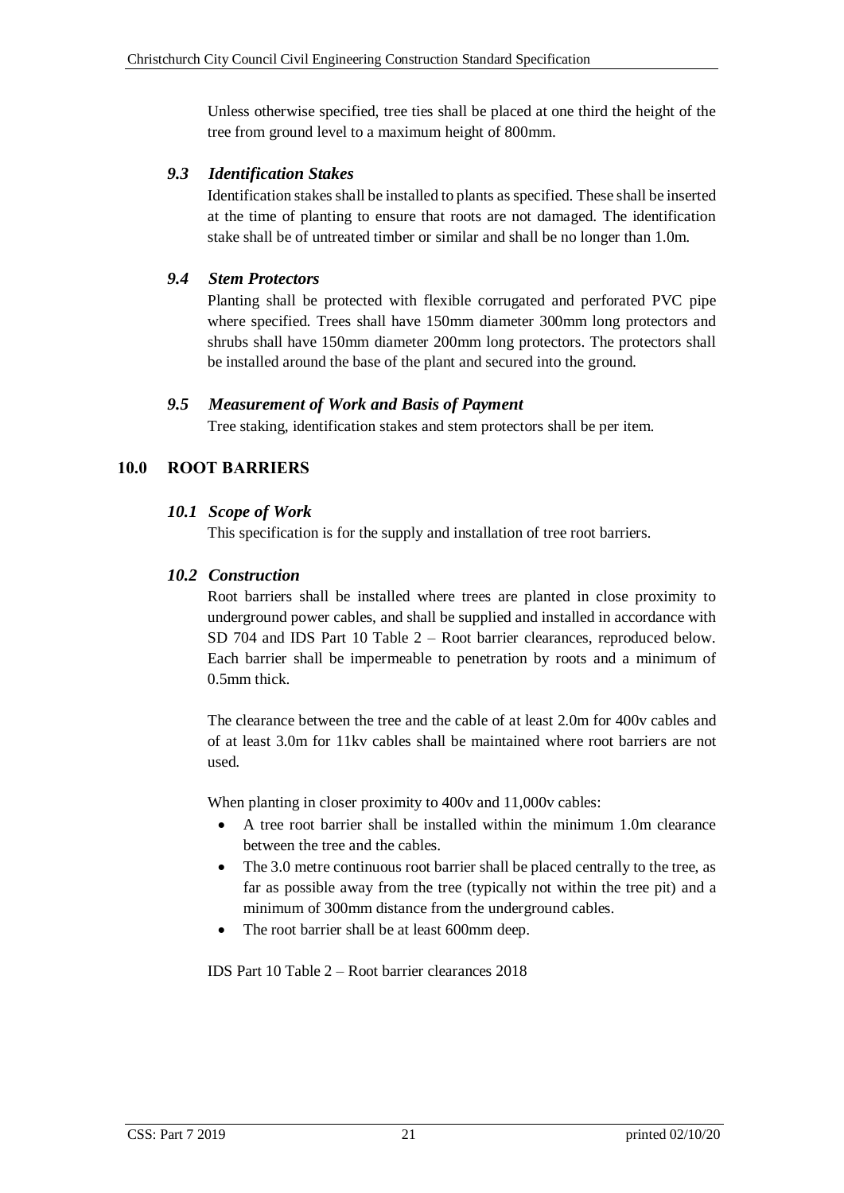Unless otherwise specified, tree ties shall be placed at one third the height of the tree from ground level to a maximum height of 800mm.

# <span id="page-26-0"></span>*9.3 Identification Stakes*

Identification stakes shall be installed to plants as specified. These shall be inserted at the time of planting to ensure that roots are not damaged. The identification stake shall be of untreated timber or similar and shall be no longer than 1.0m.

### <span id="page-26-1"></span>*9.4 Stem Protectors*

Planting shall be protected with flexible corrugated and perforated PVC pipe where specified. Trees shall have 150mm diameter 300mm long protectors and shrubs shall have 150mm diameter 200mm long protectors. The protectors shall be installed around the base of the plant and secured into the ground.

### <span id="page-26-2"></span>*9.5 Measurement of Work and Basis of Payment*

Tree staking, identification stakes and stem protectors shall be per item.

# <span id="page-26-4"></span><span id="page-26-3"></span>**10.0 ROOT BARRIERS**

### *10.1 Scope of Work*

This specification is for the supply and installation of tree root barriers.

### <span id="page-26-5"></span>*10.2 Construction*

Root barriers shall be installed where trees are planted in close proximity to underground power cables, and shall be supplied and installed in accordance with SD 704 and IDS Part 10 Table 2 – Root barrier clearances, reproduced below. Each barrier shall be impermeable to penetration by roots and a minimum of 0.5mm thick.

The clearance between the tree and the cable of at least 2.0m for 400v cables and of at least 3.0m for 11kv cables shall be maintained where root barriers are not used.

When planting in closer proximity to 400y and 11,000y cables:

- A tree root barrier shall be installed within the minimum 1.0m clearance between the tree and the cables.
- The 3.0 metre continuous root barrier shall be placed centrally to the tree, as far as possible away from the tree (typically not within the tree pit) and a minimum of 300mm distance from the underground cables.
- The root barrier shall be at least 600mm deep.

IDS Part 10 Table 2 – Root barrier clearances 2018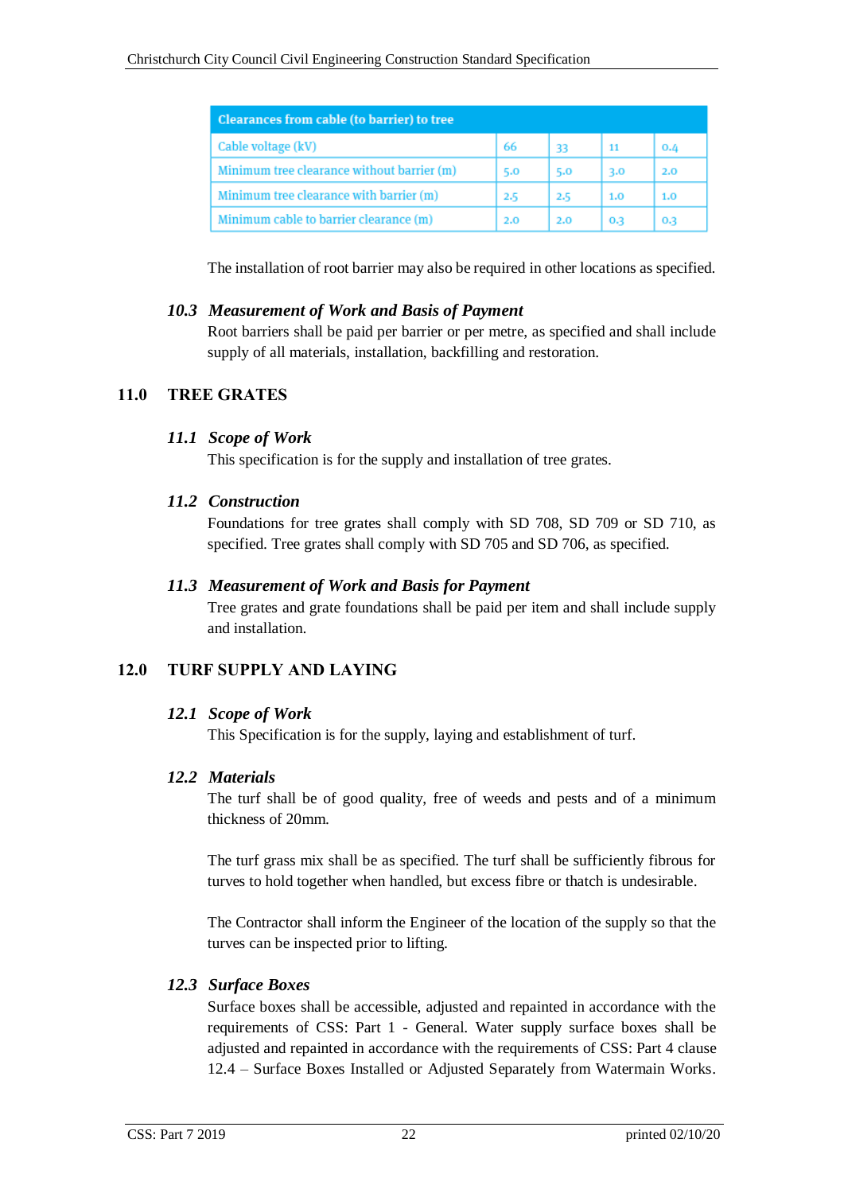| Clearances from cable (to barrier) to tree |     |     |     |     |
|--------------------------------------------|-----|-----|-----|-----|
| Cable voltage (kV)                         | -66 | -33 | 11  | 0.4 |
| Minimum tree clearance without barrier (m) | 5.0 | 5.0 | 3.0 | 2.0 |
| Minimum tree clearance with barrier (m)    | 2.5 | 2.5 | 1.0 | 1.0 |
| Minimum cable to barrier clearance (m)     | 2.0 | 2.0 | 0.3 | 0.3 |

The installation of root barrier may also be required in other locations as specified.

# <span id="page-27-0"></span>*10.3 Measurement of Work and Basis of Payment*

Root barriers shall be paid per barrier or per metre, as specified and shall include supply of all materials, installation, backfilling and restoration.

# <span id="page-27-2"></span><span id="page-27-1"></span>**11.0 TREE GRATES**

### *11.1 Scope of Work*

This specification is for the supply and installation of tree grates.

### <span id="page-27-3"></span>*11.2 Construction*

Foundations for tree grates shall comply with SD 708, SD 709 or SD 710, as specified. Tree grates shall comply with SD 705 and SD 706, as specified.

### <span id="page-27-4"></span>*11.3 Measurement of Work and Basis for Payment*

Tree grates and grate foundations shall be paid per item and shall include supply and installation.

# <span id="page-27-5"></span>**12.0 TURF SUPPLY AND LAYING**

# <span id="page-27-6"></span>*12.1 Scope of Work*

This Specification is for the supply, laying and establishment of turf.

# <span id="page-27-7"></span>*12.2 Materials*

The turf shall be of good quality, free of weeds and pests and of a minimum thickness of 20mm.

The turf grass mix shall be as specified. The turf shall be sufficiently fibrous for turves to hold together when handled, but excess fibre or thatch is undesirable.

The Contractor shall inform the Engineer of the location of the supply so that the turves can be inspected prior to lifting.

# <span id="page-27-8"></span>*12.3 Surface Boxes*

Surface boxes shall be accessible, adjusted and repainted in accordance with the requirements of CSS: Part 1 - General. Water supply surface boxes shall be adjusted and repainted in accordance with the requirements of CSS: Part 4 clause 12.4 – Surface Boxes Installed or Adjusted Separately from Watermain Works.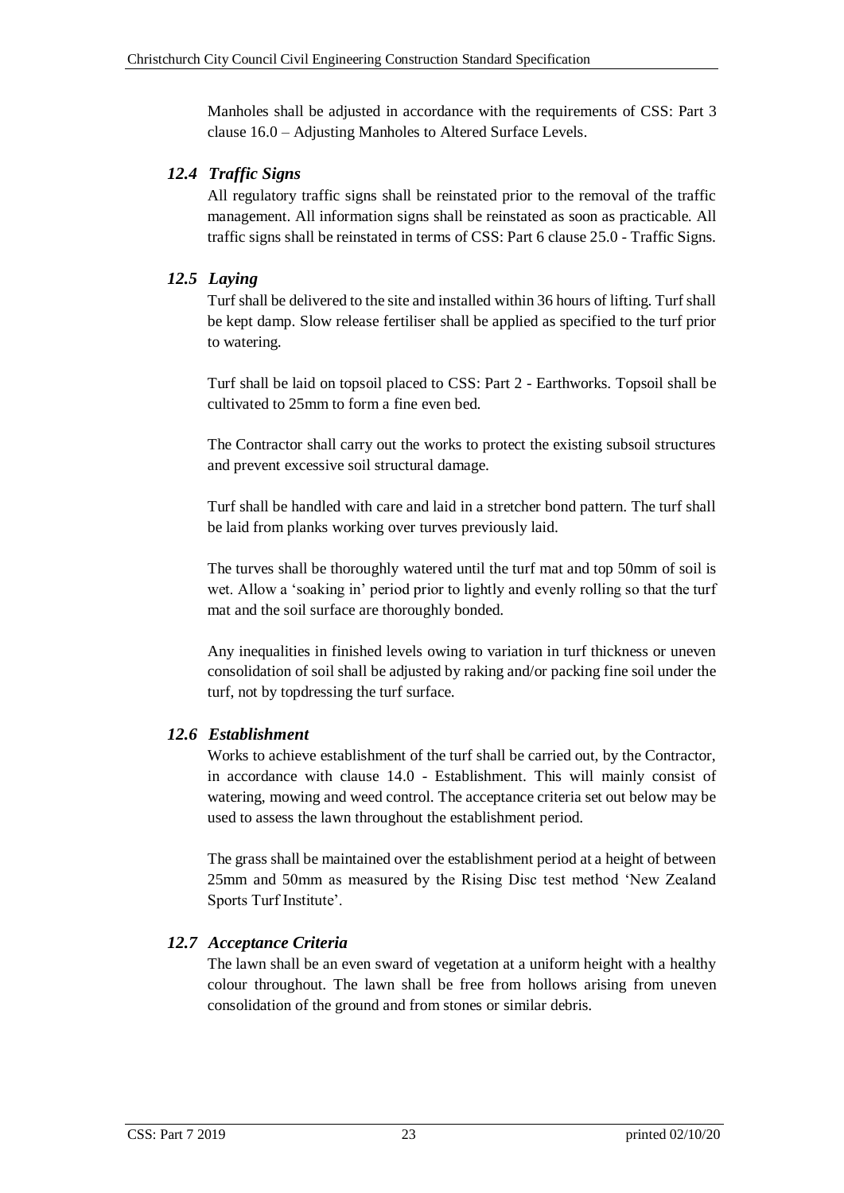Manholes shall be adjusted in accordance with the requirements of CSS: Part 3 clause 16.0 – Adjusting Manholes to Altered Surface Levels.

# <span id="page-28-0"></span>*12.4 Traffic Signs*

All regulatory traffic signs shall be reinstated prior to the removal of the traffic management. All information signs shall be reinstated as soon as practicable. All traffic signs shall be reinstated in terms of CSS: Part 6 clause 25.0 - Traffic Signs.

# <span id="page-28-1"></span>*12.5 Laying*

Turf shall be delivered to the site and installed within 36 hours of lifting. Turf shall be kept damp. Slow release fertiliser shall be applied as specified to the turf prior to watering.

Turf shall be laid on topsoil placed to CSS: Part 2 - Earthworks. Topsoil shall be cultivated to 25mm to form a fine even bed.

The Contractor shall carry out the works to protect the existing subsoil structures and prevent excessive soil structural damage.

Turf shall be handled with care and laid in a stretcher bond pattern. The turf shall be laid from planks working over turves previously laid.

The turves shall be thoroughly watered until the turf mat and top 50mm of soil is wet. Allow a 'soaking in' period prior to lightly and evenly rolling so that the turf mat and the soil surface are thoroughly bonded.

Any inequalities in finished levels owing to variation in turf thickness or uneven consolidation of soil shall be adjusted by raking and/or packing fine soil under the turf, not by topdressing the turf surface.

# <span id="page-28-2"></span>*12.6 Establishment*

Works to achieve establishment of the turf shall be carried out, by the Contractor, in accordance with clause 14.0 - Establishment. This will mainly consist of watering, mowing and weed control. The acceptance criteria set out below may be used to assess the lawn throughout the establishment period.

The grass shall be maintained over the establishment period at a height of between 25mm and 50mm as measured by the Rising Disc test method 'New Zealand Sports Turf Institute'.

# <span id="page-28-3"></span>*12.7 Acceptance Criteria*

The lawn shall be an even sward of vegetation at a uniform height with a healthy colour throughout. The lawn shall be free from hollows arising from uneven consolidation of the ground and from stones or similar debris.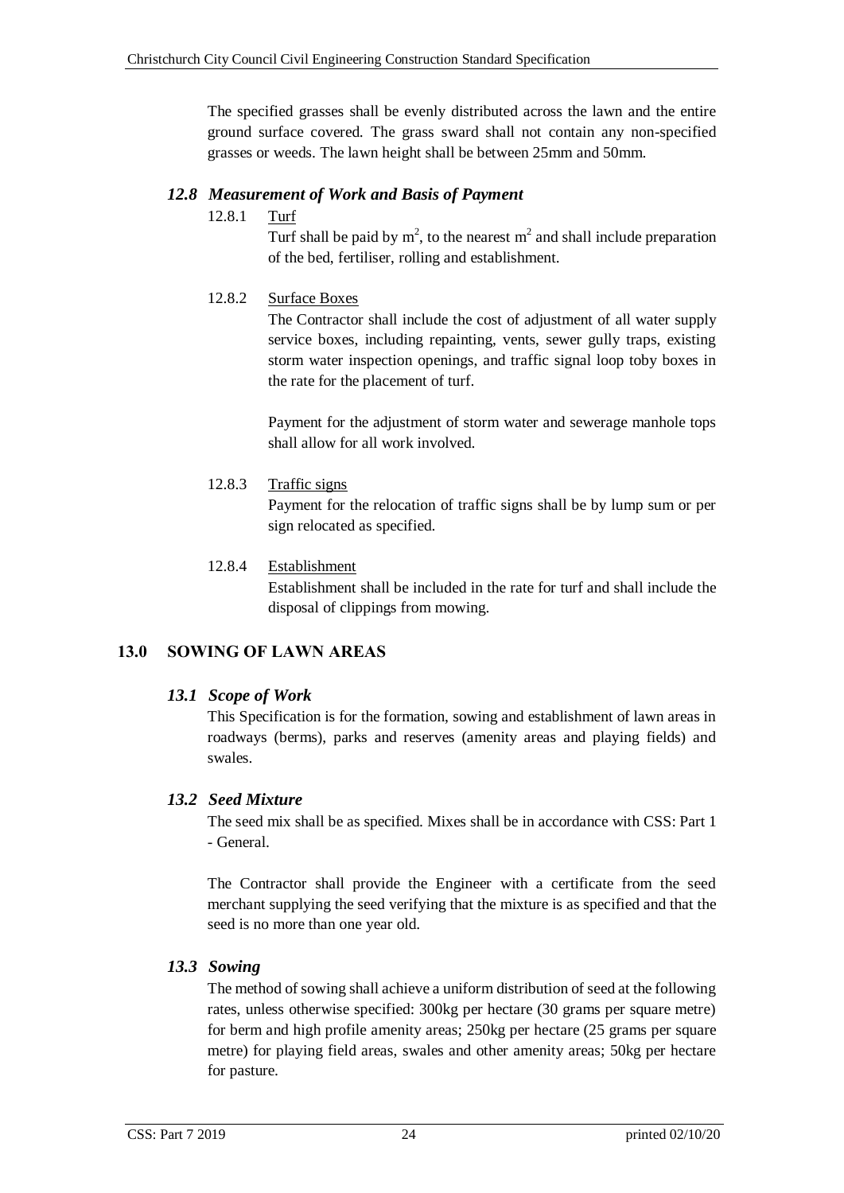The specified grasses shall be evenly distributed across the lawn and the entire ground surface covered. The grass sward shall not contain any non-specified grasses or weeds. The lawn height shall be between 25mm and 50mm.

# <span id="page-29-1"></span><span id="page-29-0"></span>*12.8 Measurement of Work and Basis of Payment*

12.8.1 Turf

Turf shall be paid by  $m^2$ , to the nearest  $m^2$  and shall include preparation of the bed, fertiliser, rolling and establishment.

### <span id="page-29-2"></span>12.8.2 Surface Boxes

The Contractor shall include the cost of adjustment of all water supply service boxes, including repainting, vents, sewer gully traps, existing storm water inspection openings, and traffic signal loop toby boxes in the rate for the placement of turf.

Payment for the adjustment of storm water and sewerage manhole tops shall allow for all work involved.

<span id="page-29-3"></span>12.8.3 Traffic signs

Payment for the relocation of traffic signs shall be by lump sum or per sign relocated as specified.

### <span id="page-29-4"></span>12.8.4 Establishment

Establishment shall be included in the rate for turf and shall include the disposal of clippings from mowing.

# <span id="page-29-6"></span><span id="page-29-5"></span>**13.0 SOWING OF LAWN AREAS**

# *13.1 Scope of Work*

This Specification is for the formation, sowing and establishment of lawn areas in roadways (berms), parks and reserves (amenity areas and playing fields) and swales.

# <span id="page-29-7"></span>*13.2 Seed Mixture*

The seed mix shall be as specified. Mixes shall be in accordance with CSS: Part 1 - General.

The Contractor shall provide the Engineer with a certificate from the seed merchant supplying the seed verifying that the mixture is as specified and that the seed is no more than one year old.

# <span id="page-29-8"></span>*13.3 Sowing*

The method of sowing shall achieve a uniform distribution of seed at the following rates, unless otherwise specified: 300kg per hectare (30 grams per square metre) for berm and high profile amenity areas; 250kg per hectare (25 grams per square metre) for playing field areas, swales and other amenity areas; 50kg per hectare for pasture.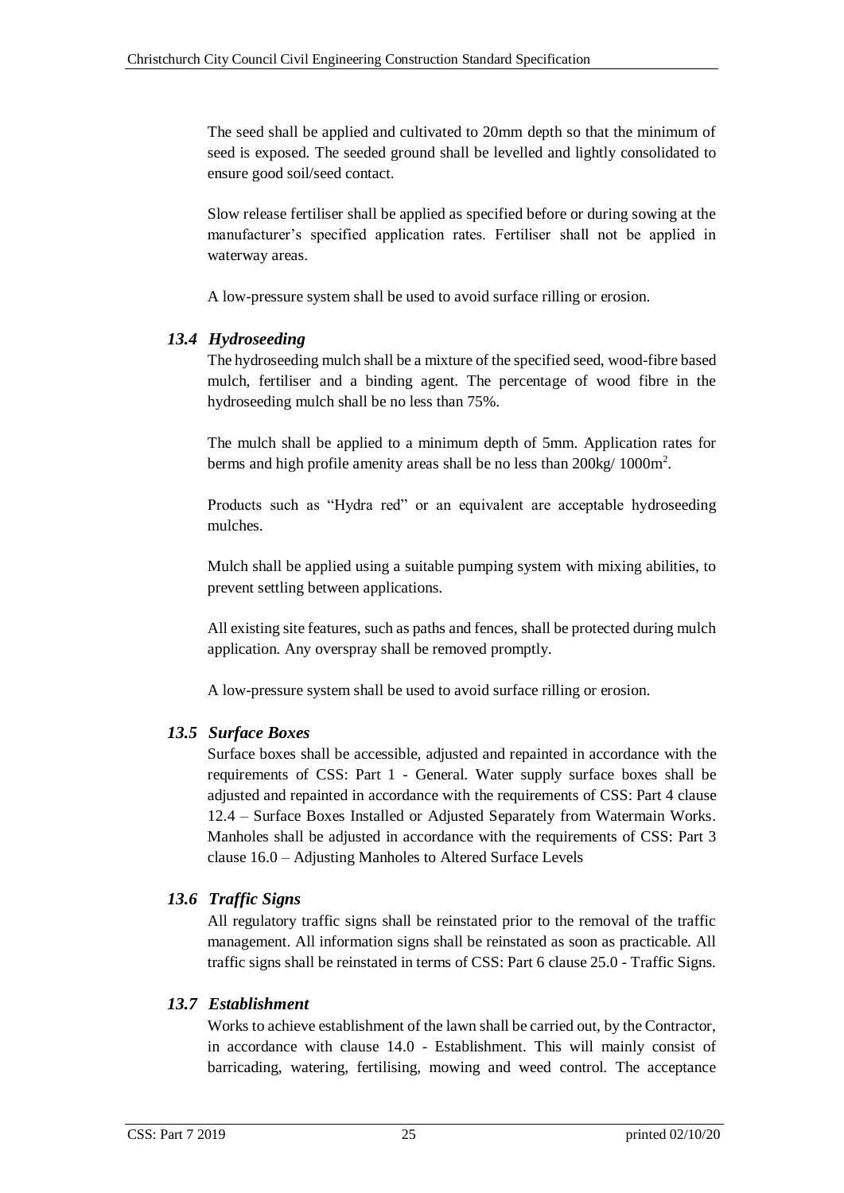The seed shall be applied and cultivated to 20mm depth so that the minimum of seed is exposed. The seeded ground shall be levelled and lightly consolidated to ensure good soil/seed contact.

Slow release fertiliser shall be applied as specified before or during sowing at the manufacturer's specified application rates. Fertiliser shall not be applied in waterway areas.

A low-pressure system shall be used to avoid surface rilling or erosion.

# <span id="page-30-0"></span>*13.4 Hydroseeding*

The hydroseeding mulch shall be a mixture of the specified seed, wood-fibre based mulch, fertiliser and a binding agent. The percentage of wood fibre in the hydroseeding mulch shall be no less than 75%.

The mulch shall be applied to a minimum depth of 5mm. Application rates for berms and high profile amenity areas shall be no less than  $200$ kg/  $1000$ m<sup>2</sup>.

Products such as "Hydra red" or an equivalent are acceptable hydroseeding mulches.

Mulch shall be applied using a suitable pumping system with mixing abilities, to prevent settling between applications.

All existing site features, such as paths and fences, shall be protected during mulch application. Any overspray shall be removed promptly.

A low-pressure system shall be used to avoid surface rilling or erosion.

# <span id="page-30-1"></span>*13.5 Surface Boxes*

Surface boxes shall be accessible, adjusted and repainted in accordance with the requirements of CSS: Part 1 - General. Water supply surface boxes shall be adjusted and repainted in accordance with the requirements of CSS: Part 4 clause 12.4 – Surface Boxes Installed or Adjusted Separately from Watermain Works. Manholes shall be adjusted in accordance with the requirements of CSS: Part 3 clause 16.0 – Adjusting Manholes to Altered Surface Levels

# <span id="page-30-2"></span>*13.6 Traffic Signs*

All regulatory traffic signs shall be reinstated prior to the removal of the traffic management. All information signs shall be reinstated as soon as practicable. All traffic signs shall be reinstated in terms of CSS: Part 6 clause 25.0 - Traffic Signs.

# <span id="page-30-3"></span>*13.7 Establishment*

Works to achieve establishment of the lawn shall be carried out, by the Contractor, in accordance with clause 14.0 - Establishment. This will mainly consist of barricading, watering, fertilising, mowing and weed control. The acceptance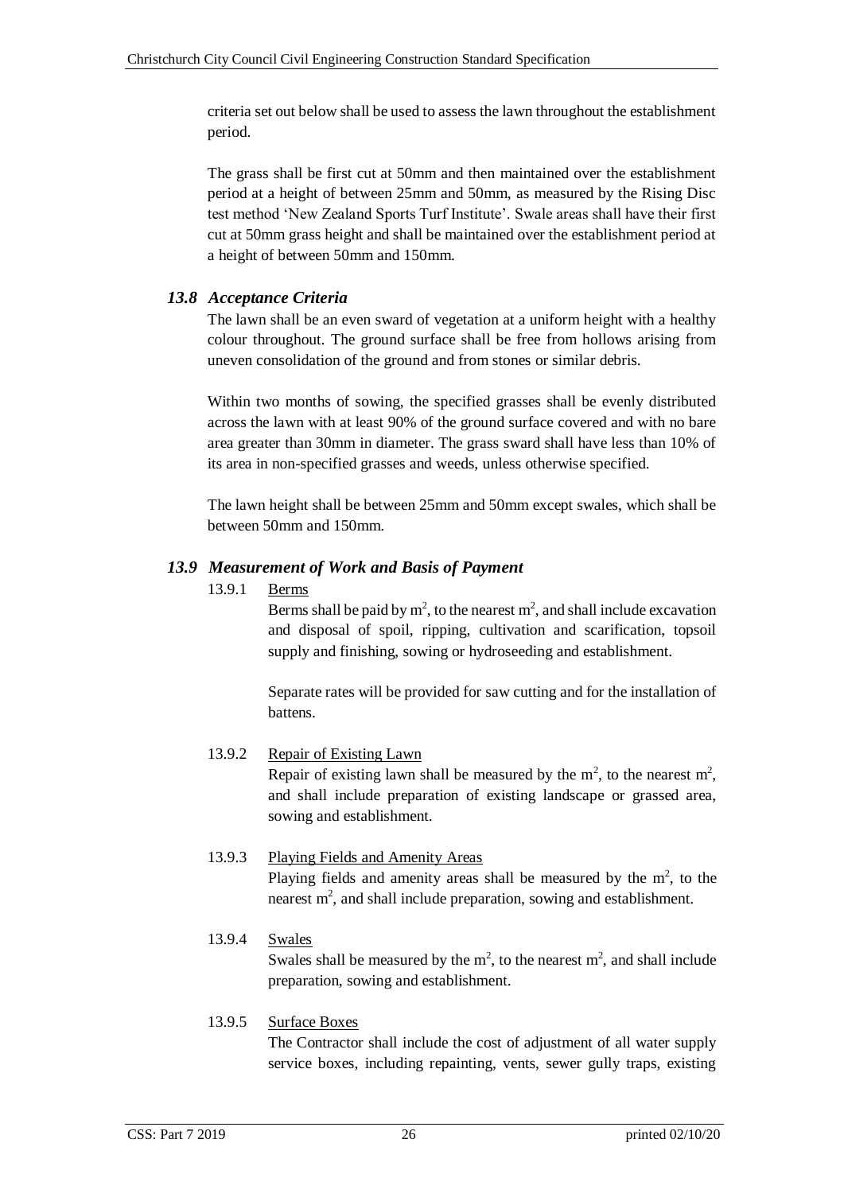criteria set out below shall be used to assess the lawn throughout the establishment period.

The grass shall be first cut at 50mm and then maintained over the establishment period at a height of between 25mm and 50mm, as measured by the Rising Disc test method 'New Zealand Sports Turf Institute'. Swale areas shall have their first cut at 50mm grass height and shall be maintained over the establishment period at a height of between 50mm and 150mm.

# <span id="page-31-0"></span>*13.8 Acceptance Criteria*

The lawn shall be an even sward of vegetation at a uniform height with a healthy colour throughout. The ground surface shall be free from hollows arising from uneven consolidation of the ground and from stones or similar debris.

Within two months of sowing, the specified grasses shall be evenly distributed across the lawn with at least 90% of the ground surface covered and with no bare area greater than 30mm in diameter. The grass sward shall have less than 10% of its area in non-specified grasses and weeds, unless otherwise specified.

The lawn height shall be between 25mm and 50mm except swales, which shall be between 50mm and 150mm.

# <span id="page-31-2"></span><span id="page-31-1"></span>*13.9 Measurement of Work and Basis of Payment*

### 13.9.1 Berms

Berms shall be paid by  $m^2$ , to the nearest  $m^2$ , and shall include excavation and disposal of spoil, ripping, cultivation and scarification, topsoil supply and finishing, sowing or hydroseeding and establishment.

Separate rates will be provided for saw cutting and for the installation of battens.

# <span id="page-31-3"></span>13.9.2 Repair of Existing Lawn

Repair of existing lawn shall be measured by the  $m^2$ , to the nearest  $m^2$ , and shall include preparation of existing landscape or grassed area, sowing and establishment.

# <span id="page-31-4"></span>13.9.3 Playing Fields and Amenity Areas

Playing fields and amenity areas shall be measured by the  $m<sup>2</sup>$ , to the nearest  $m<sup>2</sup>$ , and shall include preparation, sowing and establishment.

# <span id="page-31-5"></span>13.9.4 Swales

Swales shall be measured by the  $m^2$ , to the nearest  $m^2$ , and shall include preparation, sowing and establishment.

# <span id="page-31-6"></span>13.9.5 Surface Boxes

The Contractor shall include the cost of adjustment of all water supply service boxes, including repainting, vents, sewer gully traps, existing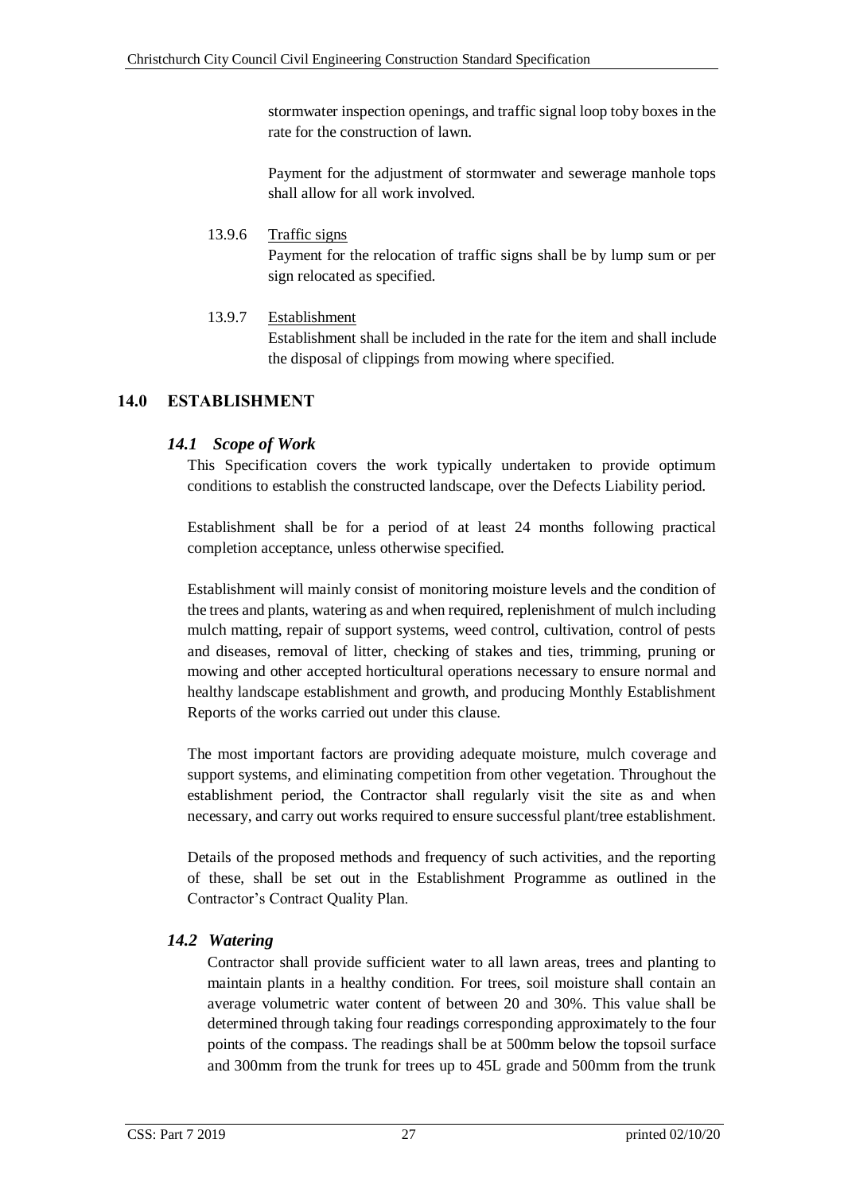stormwater inspection openings, and traffic signal loop toby boxes in the rate for the construction of lawn.

Payment for the adjustment of stormwater and sewerage manhole tops shall allow for all work involved.

### <span id="page-32-0"></span>13.9.6 Traffic signs

Payment for the relocation of traffic signs shall be by lump sum or per sign relocated as specified.

# <span id="page-32-1"></span>13.9.7 Establishment

Establishment shall be included in the rate for the item and shall include the disposal of clippings from mowing where specified.

# <span id="page-32-2"></span>**14.0 ESTABLISHMENT**

# <span id="page-32-3"></span>*14.1 Scope of Work*

This Specification covers the work typically undertaken to provide optimum conditions to establish the constructed landscape, over the Defects Liability period.

Establishment shall be for a period of at least 24 months following practical completion acceptance, unless otherwise specified.

Establishment will mainly consist of monitoring moisture levels and the condition of the trees and plants, watering as and when required, replenishment of mulch including mulch matting, repair of support systems, weed control, cultivation, control of pests and diseases, removal of litter, checking of stakes and ties, trimming, pruning or mowing and other accepted horticultural operations necessary to ensure normal and healthy landscape establishment and growth, and producing Monthly Establishment Reports of the works carried out under this clause.

The most important factors are providing adequate moisture, mulch coverage and support systems, and eliminating competition from other vegetation. Throughout the establishment period, the Contractor shall regularly visit the site as and when necessary, and carry out works required to ensure successful plant/tree establishment.

Details of the proposed methods and frequency of such activities, and the reporting of these, shall be set out in the Establishment Programme as outlined in the Contractor's Contract Quality Plan.

# <span id="page-32-4"></span>*14.2 Watering*

Contractor shall provide sufficient water to all lawn areas, trees and planting to maintain plants in a healthy condition. For trees, soil moisture shall contain an average volumetric water content of between 20 and 30%. This value shall be determined through taking four readings corresponding approximately to the four points of the compass. The readings shall be at 500mm below the topsoil surface and 300mm from the trunk for trees up to 45L grade and 500mm from the trunk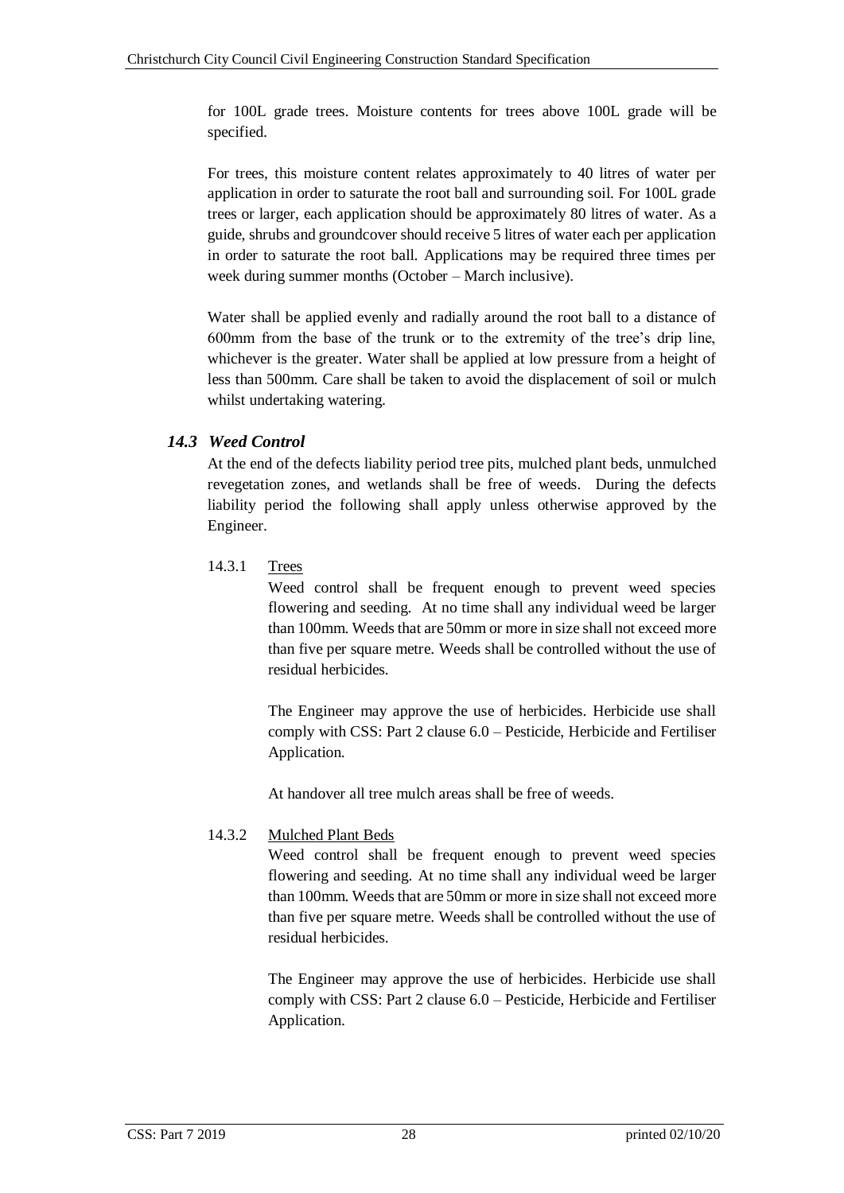for 100L grade trees. Moisture contents for trees above 100L grade will be specified.

For trees, this moisture content relates approximately to 40 litres of water per application in order to saturate the root ball and surrounding soil. For 100L grade trees or larger, each application should be approximately 80 litres of water. As a guide, shrubs and groundcover should receive 5 litres of water each per application in order to saturate the root ball. Applications may be required three times per week during summer months (October – March inclusive).

Water shall be applied evenly and radially around the root ball to a distance of 600mm from the base of the trunk or to the extremity of the tree's drip line, whichever is the greater. Water shall be applied at low pressure from a height of less than 500mm. Care shall be taken to avoid the displacement of soil or mulch whilst undertaking watering.

# <span id="page-33-0"></span>*14.3 Weed Control*

At the end of the defects liability period tree pits, mulched plant beds, unmulched revegetation zones, and wetlands shall be free of weeds. During the defects liability period the following shall apply unless otherwise approved by the Engineer.

# <span id="page-33-1"></span>14.3.1 Trees

Weed control shall be frequent enough to prevent weed species flowering and seeding. At no time shall any individual weed be larger than 100mm. Weeds that are 50mm or more in size shall not exceed more than five per square metre. Weeds shall be controlled without the use of residual herbicides.

The Engineer may approve the use of herbicides. Herbicide use shall comply with CSS: Part 2 clause 6.0 – Pesticide, Herbicide and Fertiliser Application.

At handover all tree mulch areas shall be free of weeds.

# <span id="page-33-2"></span>14.3.2 Mulched Plant Beds

Weed control shall be frequent enough to prevent weed species flowering and seeding. At no time shall any individual weed be larger than 100mm. Weeds that are 50mm or more in size shall not exceed more than five per square metre. Weeds shall be controlled without the use of residual herbicides.

The Engineer may approve the use of herbicides. Herbicide use shall comply with CSS: Part 2 clause 6.0 – Pesticide, Herbicide and Fertiliser Application.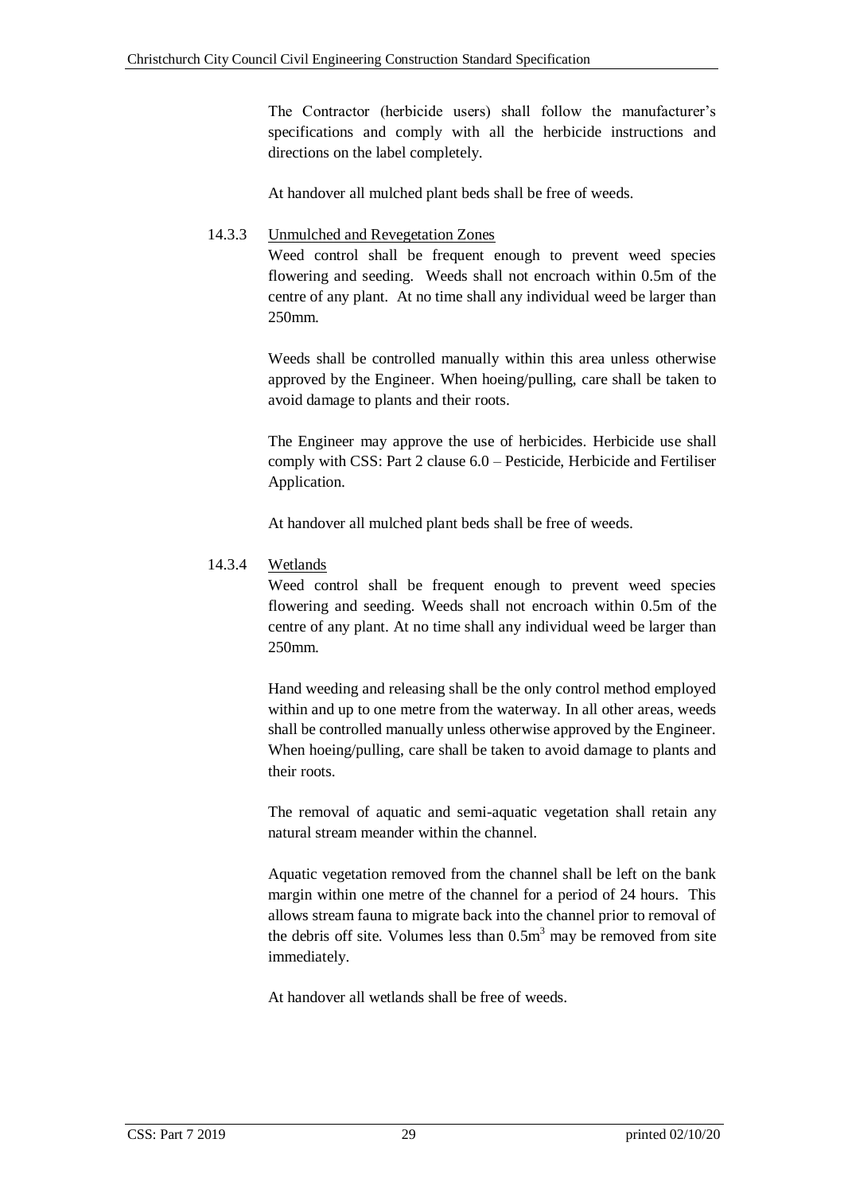The Contractor (herbicide users) shall follow the manufacturer's specifications and comply with all the herbicide instructions and directions on the label completely.

At handover all mulched plant beds shall be free of weeds.

# <span id="page-34-0"></span>14.3.3 Unmulched and Revegetation Zones

Weed control shall be frequent enough to prevent weed species flowering and seeding. Weeds shall not encroach within 0.5m of the centre of any plant. At no time shall any individual weed be larger than 250mm.

Weeds shall be controlled manually within this area unless otherwise approved by the Engineer. When hoeing/pulling, care shall be taken to avoid damage to plants and their roots.

The Engineer may approve the use of herbicides. Herbicide use shall comply with CSS: Part 2 clause 6.0 – Pesticide, Herbicide and Fertiliser Application.

At handover all mulched plant beds shall be free of weeds.

# <span id="page-34-1"></span>14.3.4 Wetlands

Weed control shall be frequent enough to prevent weed species flowering and seeding. Weeds shall not encroach within 0.5m of the centre of any plant. At no time shall any individual weed be larger than 250mm.

Hand weeding and releasing shall be the only control method employed within and up to one metre from the waterway. In all other areas, weeds shall be controlled manually unless otherwise approved by the Engineer. When hoeing/pulling, care shall be taken to avoid damage to plants and their roots.

The removal of aquatic and semi-aquatic vegetation shall retain any natural stream meander within the channel.

Aquatic vegetation removed from the channel shall be left on the bank margin within one metre of the channel for a period of 24 hours. This allows stream fauna to migrate back into the channel prior to removal of the debris off site. Volumes less than  $0.5m<sup>3</sup>$  may be removed from site immediately.

At handover all wetlands shall be free of weeds.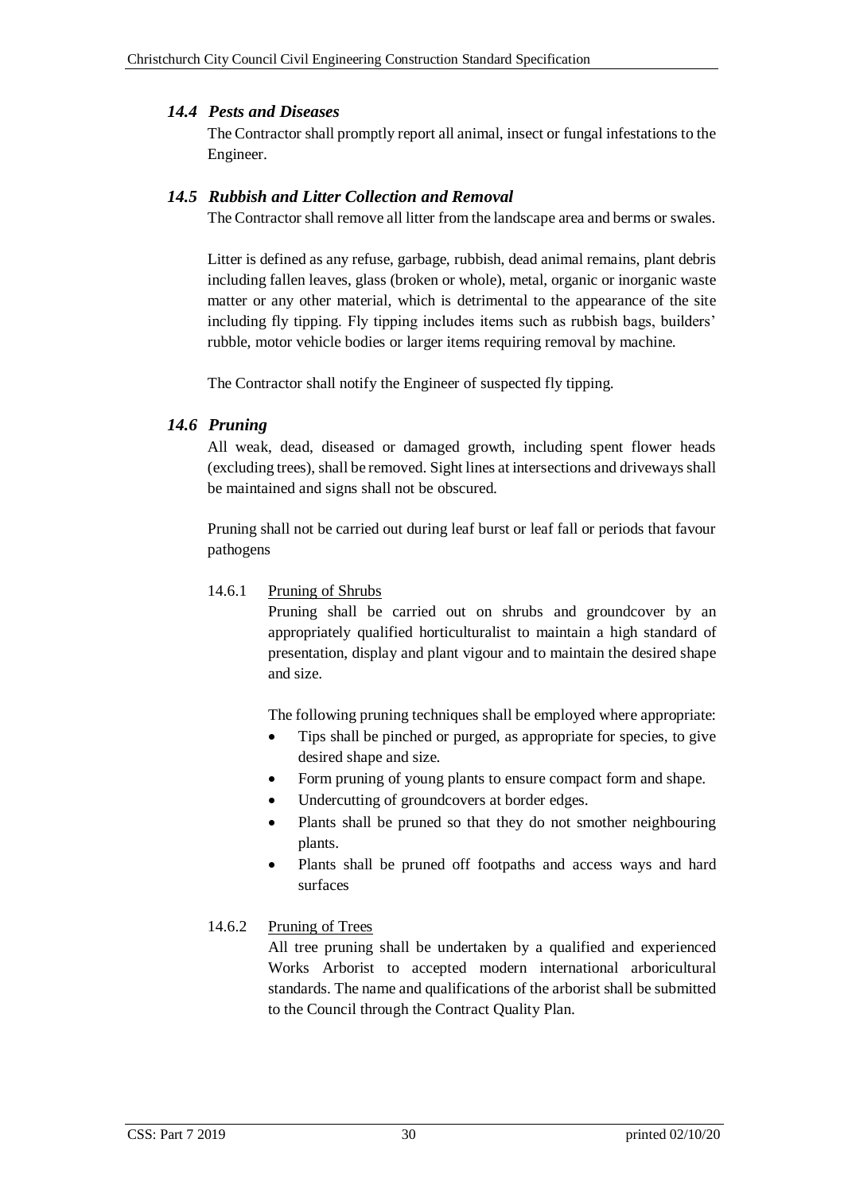## <span id="page-35-0"></span>*14.4 Pests and Diseases*

The Contractor shall promptly report all animal, insect or fungal infestations to the Engineer.

## <span id="page-35-1"></span>*14.5 Rubbish and Litter Collection and Removal*

The Contractor shall remove all litter from the landscape area and berms or swales.

Litter is defined as any refuse, garbage, rubbish, dead animal remains, plant debris including fallen leaves, glass (broken or whole), metal, organic or inorganic waste matter or any other material, which is detrimental to the appearance of the site including fly tipping. Fly tipping includes items such as rubbish bags, builders' rubble, motor vehicle bodies or larger items requiring removal by machine.

The Contractor shall notify the Engineer of suspected fly tipping.

# <span id="page-35-2"></span>*14.6 Pruning*

All weak, dead, diseased or damaged growth, including spent flower heads (excluding trees), shall be removed. Sight lines at intersections and driveways shall be maintained and signs shall not be obscured.

Pruning shall not be carried out during leaf burst or leaf fall or periods that favour pathogens

### <span id="page-35-3"></span>14.6.1 Pruning of Shrubs

Pruning shall be carried out on shrubs and groundcover by an appropriately qualified horticulturalist to maintain a high standard of presentation, display and plant vigour and to maintain the desired shape and size.

The following pruning techniques shall be employed where appropriate:

- Tips shall be pinched or purged, as appropriate for species, to give desired shape and size.
- Form pruning of young plants to ensure compact form and shape.
- Undercutting of groundcovers at border edges.
- Plants shall be pruned so that they do not smother neighbouring plants.
- Plants shall be pruned off footpaths and access ways and hard surfaces

# <span id="page-35-4"></span>14.6.2 Pruning of Trees

All tree pruning shall be undertaken by a qualified and experienced Works Arborist to accepted modern international arboricultural standards. The name and qualifications of the arborist shall be submitted to the Council through the Contract Quality Plan.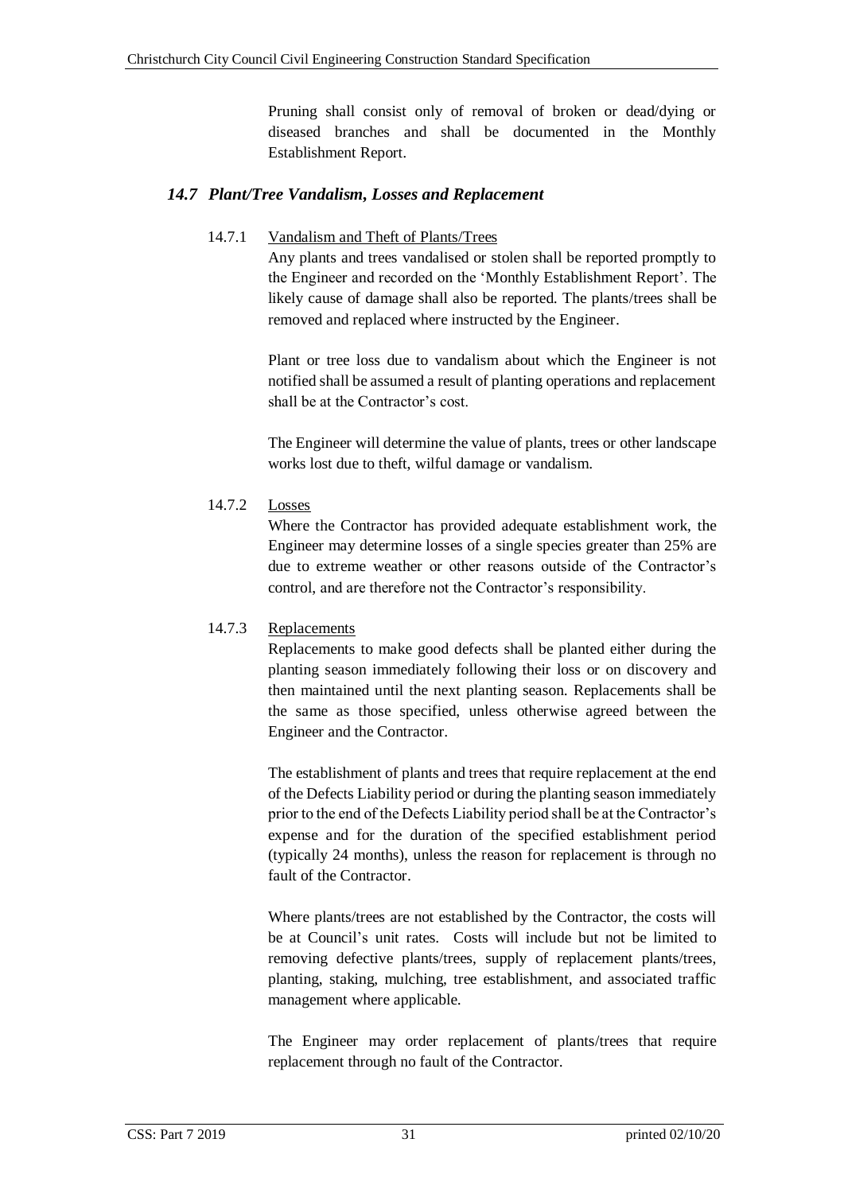Pruning shall consist only of removal of broken or dead/dying or diseased branches and shall be documented in the Monthly Establishment Report.

# <span id="page-36-1"></span><span id="page-36-0"></span>*14.7 Plant/Tree Vandalism, Losses and Replacement*

### 14.7.1 Vandalism and Theft of Plants/Trees

Any plants and trees vandalised or stolen shall be reported promptly to the Engineer and recorded on the ['Monthly Establishment Report'](#page-39-0). The likely cause of damage shall also be reported. The plants/trees shall be removed and replaced where instructed by the Engineer.

Plant or tree loss due to vandalism about which the Engineer is not notified shall be assumed a result of planting operations and replacement shall be at the Contractor's cost.

The Engineer will determine the value of plants, trees or other landscape works lost due to theft, wilful damage or vandalism.

### <span id="page-36-2"></span>14.7.2 Losses

Where the Contractor has provided adequate establishment work, the Engineer may determine losses of a single species greater than 25% are due to extreme weather or other reasons outside of the Contractor's control, and are therefore not the Contractor's responsibility.

#### <span id="page-36-3"></span>14.7.3 Replacements

Replacements to make good defects shall be planted either during the planting season immediately following their loss or on discovery and then maintained until the next planting season. Replacements shall be the same as those specified, unless otherwise agreed between the Engineer and the Contractor.

The establishment of plants and trees that require replacement at the end of the Defects Liability period or during the planting season immediately prior to the end of the Defects Liability period shall be at the Contractor's expense and for the duration of the specified establishment period (typically 24 months), unless the reason for replacement is through no fault of the Contractor.

Where plants/trees are not established by the Contractor, the costs will be at Council's unit rates. Costs will include but not be limited to removing defective plants/trees, supply of replacement plants/trees, planting, staking, mulching, tree establishment, and associated traffic management where applicable.

The Engineer may order replacement of plants/trees that require replacement through no fault of the Contractor.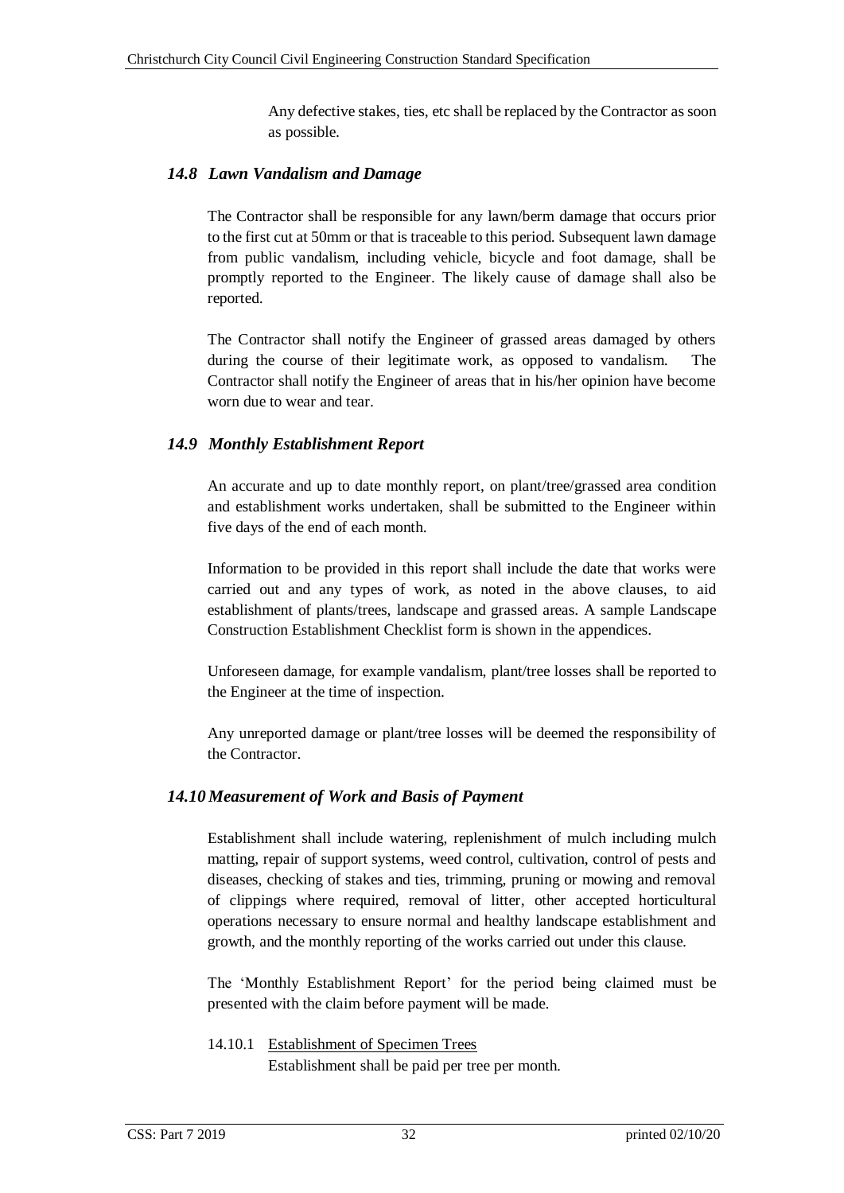Any defective stakes, ties, etc shall be replaced by the Contractor as soon as possible.

## <span id="page-37-0"></span>*14.8 Lawn Vandalism and Damage*

The Contractor shall be responsible for any lawn/berm damage that occurs prior to the first cut at 50mm or that is traceable to this period. Subsequent lawn damage from public vandalism, including vehicle, bicycle and foot damage, shall be promptly reported to the Engineer. The likely cause of damage shall also be reported.

The Contractor shall notify the Engineer of grassed areas damaged by others during the course of their legitimate work, as opposed to vandalism. The Contractor shall notify the Engineer of areas that in his/her opinion have become worn due to wear and tear.

# <span id="page-37-1"></span>*14.9 Monthly Establishment Report*

An accurate and up to date monthly report, on plant/tree/grassed area condition and establishment works undertaken, shall be submitted to the Engineer within five days of the end of each month.

Information to be provided in this report shall include the date that works were carried out and any types of work, as noted in the above clauses, to aid establishment of plants/trees, landscape and grassed areas. A sample Landscape Construction Establishment Checklist form is shown in the appendices.

Unforeseen damage, for example vandalism, plant/tree losses shall be reported to the Engineer at the time of inspection.

Any unreported damage or plant/tree losses will be deemed the responsibility of the Contractor.

#### <span id="page-37-2"></span>*14.10 Measurement of Work and Basis of Payment*

Establishment shall include watering, replenishment of mulch including mulch matting, repair of support systems, weed control, cultivation, control of pests and diseases, checking of stakes and ties, trimming, pruning or mowing and removal of clippings where required, removal of litter, other accepted horticultural operations necessary to ensure normal and healthy landscape establishment and growth, and the monthly reporting of the works carried out under this clause.

The ['Monthly Establishment Report'](#page-39-0) for the period being claimed must be presented with the claim before payment will be made.

#### <span id="page-37-3"></span>14.10.1 Establishment of Specimen Trees Establishment shall be paid per tree per month.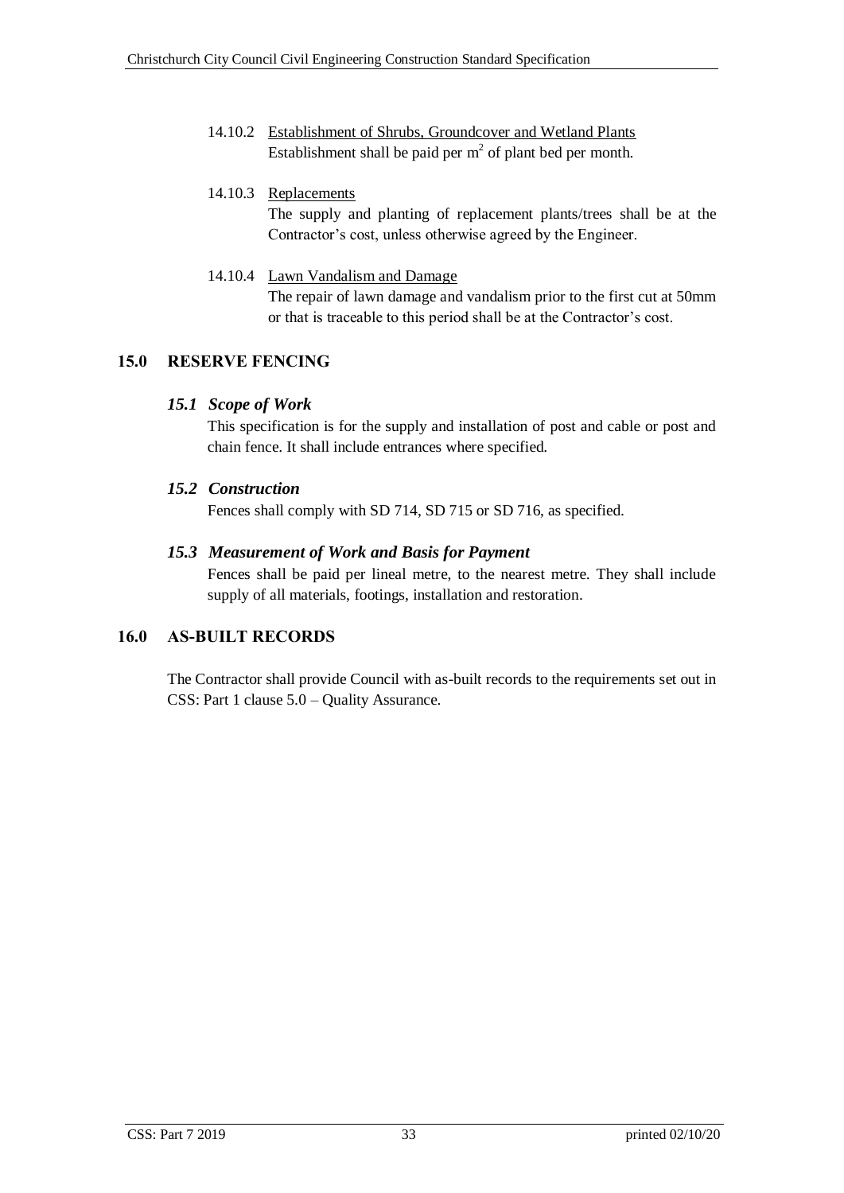<span id="page-38-0"></span>14.10.2 Establishment of Shrubs, Groundcover and Wetland Plants Establishment shall be paid per  $m<sup>2</sup>$  of plant bed per month.

#### <span id="page-38-1"></span>14.10.3 Replacements

The supply and planting of replacement plants/trees shall be at the Contractor's cost, unless otherwise agreed by the Engineer.

<span id="page-38-2"></span>14.10.4 Lawn Vandalism and Damage The repair of lawn damage and vandalism prior to the first cut at 50mm or that is traceable to this period shall be at the Contractor's cost.

# <span id="page-38-4"></span><span id="page-38-3"></span>**15.0 RESERVE FENCING**

### *15.1 Scope of Work*

This specification is for the supply and installation of post and cable or post and chain fence. It shall include entrances where specified.

### <span id="page-38-5"></span>*15.2 Construction*

Fences shall comply with SD 714, SD 715 or SD 716, as specified.

### <span id="page-38-6"></span>*15.3 Measurement of Work and Basis for Payment*

Fences shall be paid per lineal metre, to the nearest metre. They shall include supply of all materials, footings, installation and restoration.

# <span id="page-38-7"></span>**16.0 AS-BUILT RECORDS**

The Contractor shall provide Council with as-built records to the requirements set out in CSS: Part 1 clause 5.0 – Quality Assurance.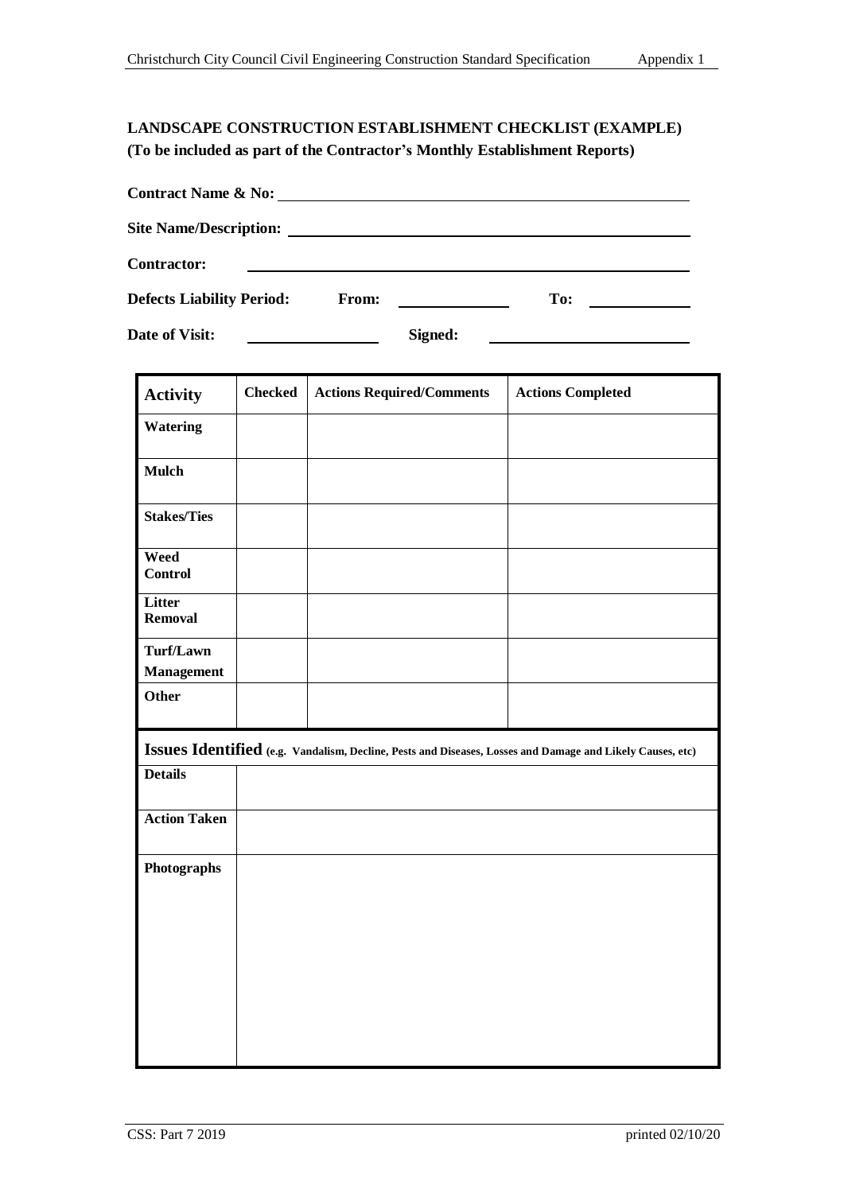# <span id="page-39-0"></span>**LANDSCAPE CONSTRUCTION ESTABLISHMENT CHECKLIST (EXAMPLE) (To be included as part of the Contractor's Monthly Establishment Reports)**

| <b>Contract Name &amp; No:</b>                                                        |              |         |     |  |  |  |  |  |
|---------------------------------------------------------------------------------------|--------------|---------|-----|--|--|--|--|--|
| <b>Site Name/Description:</b><br><u> 1989 - Johann Stein, Amerikaansk politiker (</u> |              |         |     |  |  |  |  |  |
| <b>Contractor:</b>                                                                    |              |         |     |  |  |  |  |  |
| <b>Defects Liability Period:</b>                                                      | <b>From:</b> |         | To: |  |  |  |  |  |
| Date of Visit:                                                                        |              | Signed: |     |  |  |  |  |  |

| <b>Activity</b>                | <b>Checked</b> | <b>Actions Required/Comments</b>                                                                          | <b>Actions Completed</b> |
|--------------------------------|----------------|-----------------------------------------------------------------------------------------------------------|--------------------------|
| Watering                       |                |                                                                                                           |                          |
| <b>Mulch</b>                   |                |                                                                                                           |                          |
| <b>Stakes/Ties</b>             |                |                                                                                                           |                          |
| Weed<br><b>Control</b>         |                |                                                                                                           |                          |
| Litter<br><b>Removal</b>       |                |                                                                                                           |                          |
| Turf/Lawn<br><b>Management</b> |                |                                                                                                           |                          |
| Other                          |                |                                                                                                           |                          |
|                                |                | Issues Identified (e.g. Vandalism, Decline, Pests and Diseases, Losses and Damage and Likely Causes, etc) |                          |
| <b>Details</b>                 |                |                                                                                                           |                          |
| <b>Action Taken</b>            |                |                                                                                                           |                          |
| Photographs                    |                |                                                                                                           |                          |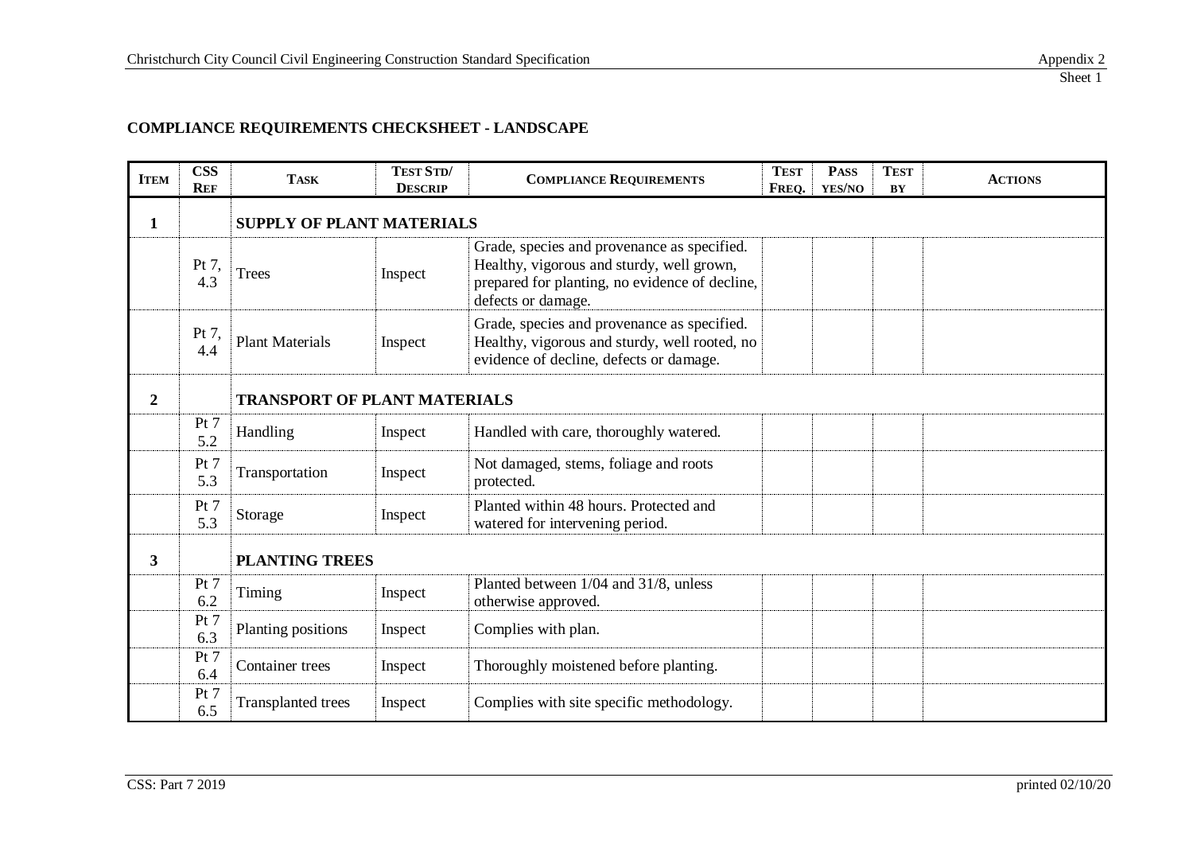| <b>ITEM</b>    | <b>CSS</b><br><b>REF</b> | <b>TASK</b>                         | <b>TEST STD/</b><br><b>DESCRIP</b> | <b>COMPLIANCE REQUIREMENTS</b>                                                                                                                                   | <b>TEST</b><br>FREQ. | <b>PASS</b><br>YES/NO | <b>TEST</b><br>BY | <b>ACTIONS</b> |  |
|----------------|--------------------------|-------------------------------------|------------------------------------|------------------------------------------------------------------------------------------------------------------------------------------------------------------|----------------------|-----------------------|-------------------|----------------|--|
| $\mathbf{1}$   |                          | <b>SUPPLY OF PLANT MATERIALS</b>    |                                    |                                                                                                                                                                  |                      |                       |                   |                |  |
|                | Pt 7,<br>4.3             | <b>Trees</b>                        | Inspect                            | Grade, species and provenance as specified.<br>Healthy, vigorous and sturdy, well grown,<br>prepared for planting, no evidence of decline,<br>defects or damage. |                      |                       |                   |                |  |
|                | Pt 7,<br>4.4             | <b>Plant Materials</b>              | Inspect                            | Grade, species and provenance as specified.<br>Healthy, vigorous and sturdy, well rooted, no<br>evidence of decline, defects or damage.                          |                      |                       |                   |                |  |
| $\overline{2}$ |                          | <b>TRANSPORT OF PLANT MATERIALS</b> |                                    |                                                                                                                                                                  |                      |                       |                   |                |  |
|                | Pt 7<br>5.2              | Handling                            | Inspect                            | Handled with care, thoroughly watered.                                                                                                                           |                      |                       |                   |                |  |
|                | Pt $7$<br>5.3            | Transportation                      | Inspect                            | Not damaged, stems, foliage and roots<br>protected.                                                                                                              |                      |                       |                   |                |  |
|                | Pt 7<br>5.3              | Storage                             | Inspect                            | Planted within 48 hours. Protected and<br>watered for intervening period.                                                                                        |                      |                       |                   |                |  |
| 3              |                          |                                     | <b>PLANTING TREES</b>              |                                                                                                                                                                  |                      |                       |                   |                |  |
|                | Pt $7$<br>6.2            | Timing                              | Inspect                            | Planted between 1/04 and 31/8, unless<br>otherwise approved.                                                                                                     |                      |                       |                   |                |  |
|                | Pt 7<br>6.3              | Planting positions                  | Inspect                            | Complies with plan.                                                                                                                                              |                      |                       |                   |                |  |
|                | Pt 7<br>6.4              | Container trees                     | Inspect                            | Thoroughly moistened before planting.                                                                                                                            |                      |                       |                   |                |  |
|                | Pt 7<br>6.5              | <b>Transplanted trees</b>           | Inspect                            | Complies with site specific methodology.                                                                                                                         |                      |                       |                   |                |  |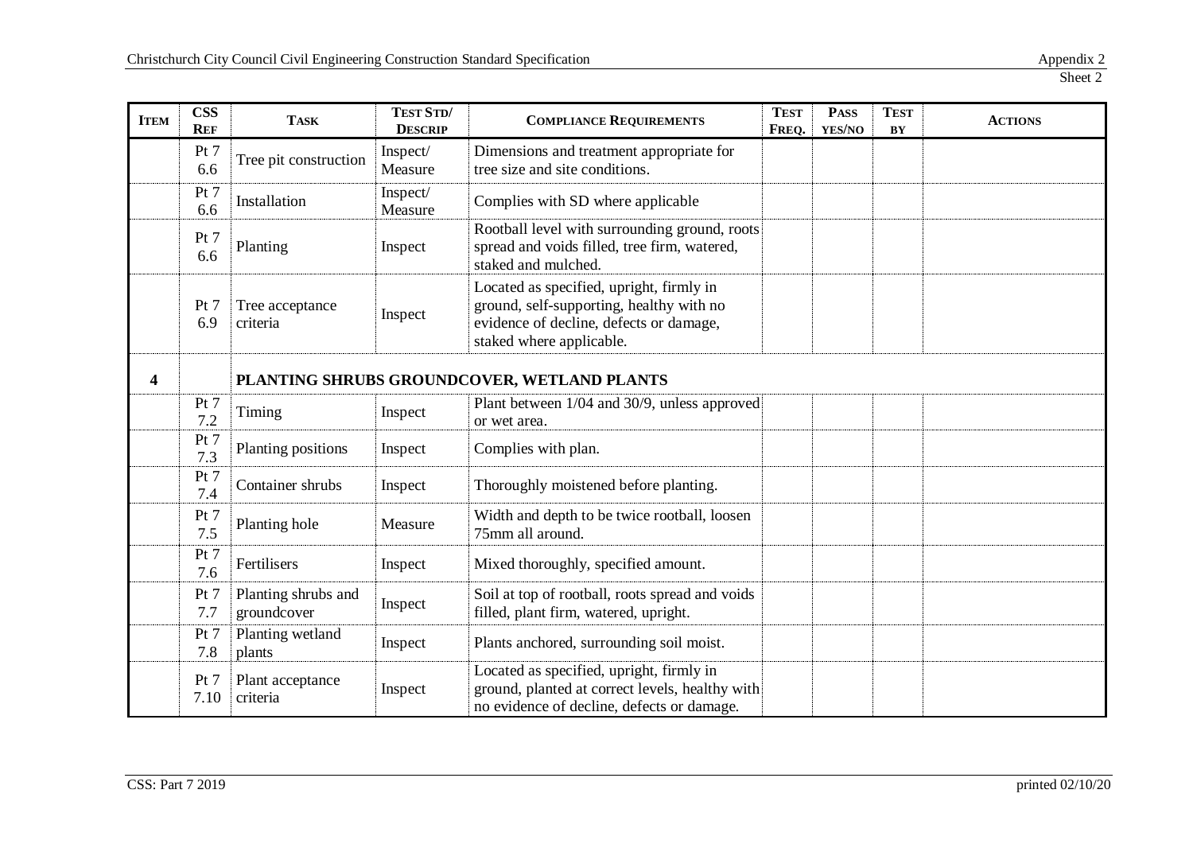| <b>ITEM</b> | <b>CSS</b><br><b>REF</b> | <b>TASK</b>                        | TEST STD/<br><b>DESCRIP</b> | <b>TEST</b><br><b>COMPLIANCE REQUIREMENTS</b><br>FREQ.                                                                                                      |  | <b>PASS</b><br>YES/NO | <b>TEST</b><br>BY | <b>ACTIONS</b> |
|-------------|--------------------------|------------------------------------|-----------------------------|-------------------------------------------------------------------------------------------------------------------------------------------------------------|--|-----------------------|-------------------|----------------|
|             | Pt 7<br>6.6              | Tree pit construction              | Inspect/<br>Measure         | Dimensions and treatment appropriate for<br>tree size and site conditions.                                                                                  |  |                       |                   |                |
|             | Pt 7<br>6.6              | Installation                       | Inspect/<br>Measure         | Complies with SD where applicable                                                                                                                           |  |                       |                   |                |
|             | Pt 7<br>6.6              | Planting                           | Inspect                     | Rootball level with surrounding ground, roots<br>spread and voids filled, tree firm, watered,<br>staked and mulched.                                        |  |                       |                   |                |
|             | Pt 7<br>6.9              | Tree acceptance<br>criteria        | Inspect                     | Located as specified, upright, firmly in<br>ground, self-supporting, healthy with no<br>evidence of decline, defects or damage,<br>staked where applicable. |  |                       |                   |                |
| 4           |                          |                                    |                             | PLANTING SHRUBS GROUNDCOVER, WETLAND PLANTS                                                                                                                 |  |                       |                   |                |
|             | Pt 7<br>7.2              | Timing                             | Inspect                     | Plant between 1/04 and 30/9, unless approved<br>or wet area.                                                                                                |  |                       |                   |                |
|             | Pt 7<br>7.3              | Planting positions                 | Inspect                     | Complies with plan.                                                                                                                                         |  |                       |                   |                |
|             | Pt 7<br>7.4              | Container shrubs                   | Inspect                     | Thoroughly moistened before planting.                                                                                                                       |  |                       |                   |                |
|             | Pt 7<br>7.5              | Planting hole                      | Measure                     | Width and depth to be twice rootball, loosen<br>75mm all around.                                                                                            |  |                       |                   |                |
|             | Pt 7<br>7.6              | Fertilisers                        | Inspect                     | Mixed thoroughly, specified amount.                                                                                                                         |  |                       |                   |                |
|             | Pt 7<br>7.7              | Planting shrubs and<br>groundcover | Inspect                     | Soil at top of rootball, roots spread and voids<br>filled, plant firm, watered, upright.                                                                    |  |                       |                   |                |
|             | Pt 7<br>7.8              | Planting wetland<br>plants         | Inspect                     | Plants anchored, surrounding soil moist.                                                                                                                    |  |                       |                   |                |
|             | Pt 7<br>7.10             | Plant acceptance<br>criteria       | Inspect                     | Located as specified, upright, firmly in<br>ground, planted at correct levels, healthy with<br>no evidence of decline, defects or damage.                   |  |                       |                   |                |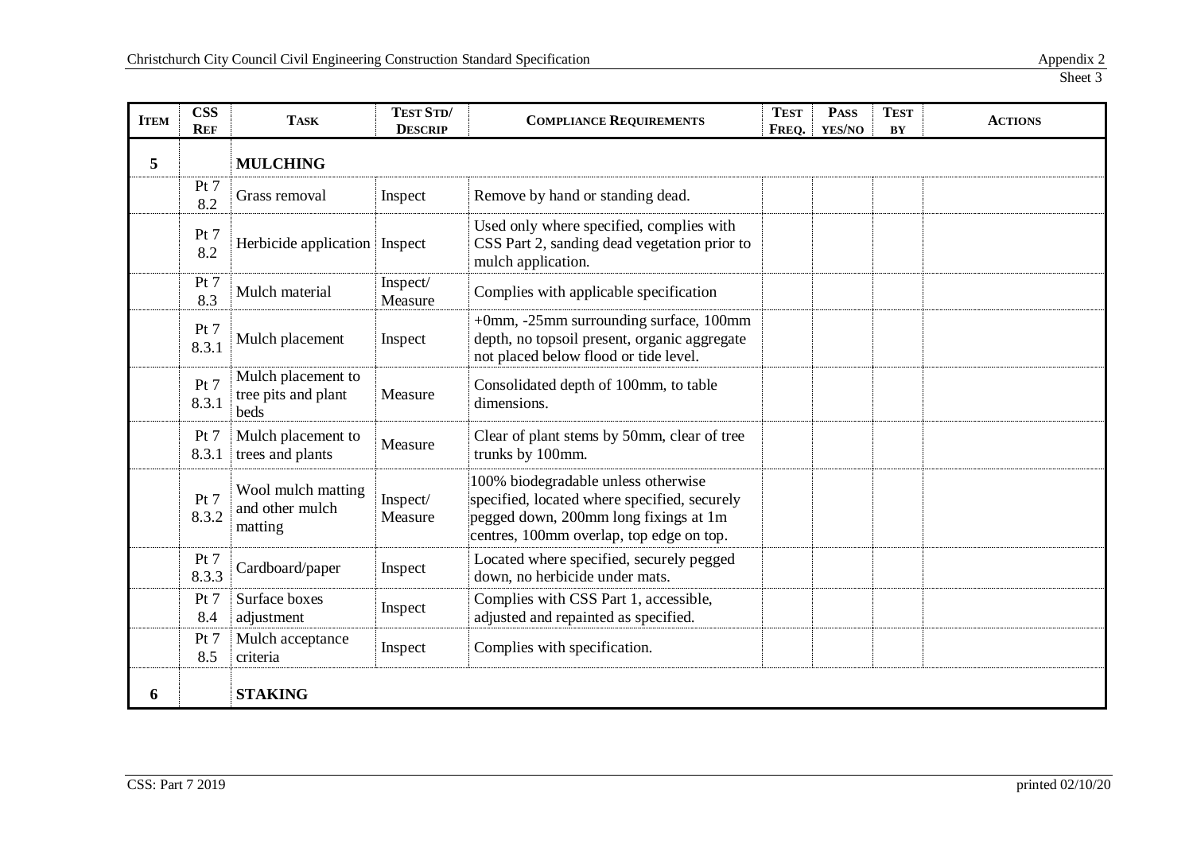| <b>ITEM</b> | <b>CSS</b><br><b>REF</b> | <b>TASK</b>                                       | TEST STD/<br><b>DESCRIP</b> | <b>COMPLIANCE REQUIREMENTS</b>                                                                                                                                           |  | <b>PASS</b><br>YES/NO | <b>TEST</b><br>BY | <b>ACTIONS</b> |
|-------------|--------------------------|---------------------------------------------------|-----------------------------|--------------------------------------------------------------------------------------------------------------------------------------------------------------------------|--|-----------------------|-------------------|----------------|
| 5           |                          | <b>MULCHING</b>                                   |                             |                                                                                                                                                                          |  |                       |                   |                |
|             | Pt 7<br>8.2              | Grass removal                                     | Inspect                     | Remove by hand or standing dead.                                                                                                                                         |  |                       |                   |                |
|             | Pt 7<br>8.2              | Herbicide application                             | Inspect                     | Used only where specified, complies with<br>CSS Part 2, sanding dead vegetation prior to<br>mulch application.                                                           |  |                       |                   |                |
|             | Pt 7<br>8.3              | Mulch material                                    | Inspect/<br>Measure         | Complies with applicable specification                                                                                                                                   |  |                       |                   |                |
|             | Pt 7<br>8.3.1            | Mulch placement                                   | Inspect                     | +0mm, -25mm surrounding surface, 100mm<br>depth, no topsoil present, organic aggregate<br>not placed below flood or tide level.                                          |  |                       |                   |                |
|             | Pt 7<br>8.3.1            | Mulch placement to<br>tree pits and plant<br>beds | Measure                     | Consolidated depth of 100mm, to table<br>dimensions.                                                                                                                     |  |                       |                   |                |
|             | Pt 7<br>8.3.1            | Mulch placement to<br>trees and plants            | Measure                     | Clear of plant stems by 50mm, clear of tree<br>trunks by 100mm.                                                                                                          |  |                       |                   |                |
|             | Pt 7<br>8.3.2            | Wool mulch matting<br>and other mulch<br>matting  | Inspect/<br>Measure         | 100% biodegradable unless otherwise<br>specified, located where specified, securely<br>pegged down, 200mm long fixings at 1m<br>centres, 100mm overlap, top edge on top. |  |                       |                   |                |
|             | Pt 7<br>8.3.3            | Cardboard/paper                                   | Inspect                     | Located where specified, securely pegged<br>down, no herbicide under mats.                                                                                               |  |                       |                   |                |
|             | Pt 7<br>8.4              | Surface boxes<br>adjustment                       | Inspect                     | Complies with CSS Part 1, accessible,<br>adjusted and repainted as specified.                                                                                            |  |                       |                   |                |
|             | Pt 7<br>8.5              | Mulch acceptance<br>criteria                      | Inspect                     | Complies with specification.                                                                                                                                             |  |                       |                   |                |
| 6           |                          | <b>STAKING</b>                                    |                             |                                                                                                                                                                          |  |                       |                   |                |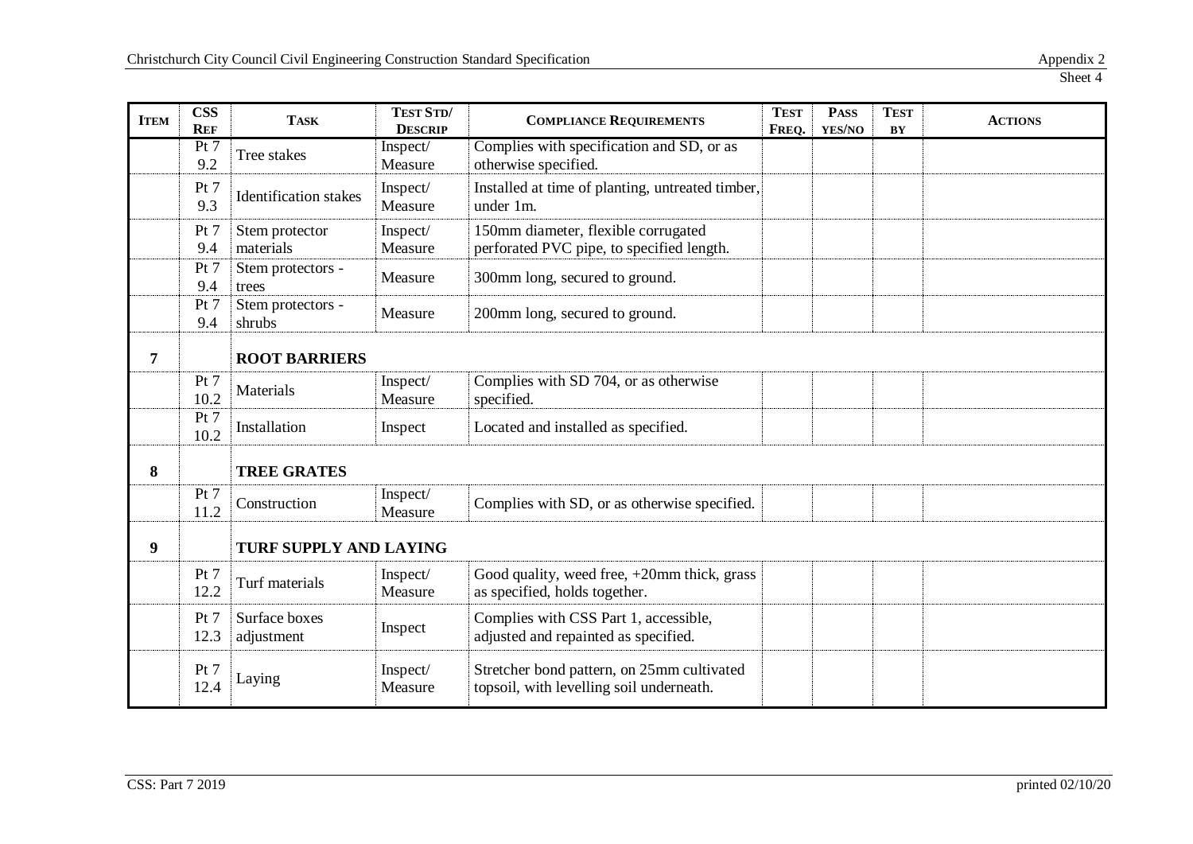| <b>ITEM</b> | <b>CSS</b><br><b>REF</b> | <b>TASK</b>                  | TEST STD/<br><b>DESCRIP</b> | <b>TEST</b><br><b>COMPLIANCE REQUIREMENTS</b><br>FREQ.                                 |  | <b>PASS</b><br>YES/NO | <b>TEST</b><br>BY | <b>ACTIONS</b> |
|-------------|--------------------------|------------------------------|-----------------------------|----------------------------------------------------------------------------------------|--|-----------------------|-------------------|----------------|
|             | Pt 7<br>9.2              | Tree stakes                  | Inspect/<br>Measure         | Complies with specification and SD, or as<br>otherwise specified.                      |  |                       |                   |                |
|             | Pt 7<br>9.3              | <b>Identification</b> stakes | Inspect/<br>Measure         | Installed at time of planting, untreated timber,<br>under 1m.                          |  |                       |                   |                |
|             | Pt 7<br>9.4              | Stem protector<br>materials  | Inspect/<br>Measure         | 150mm diameter, flexible corrugated<br>perforated PVC pipe, to specified length.       |  |                       |                   |                |
|             | Pt 7<br>9.4              | Stem protectors -<br>trees   | Measure                     | 300mm long, secured to ground.                                                         |  |                       |                   |                |
|             | Pt 7<br>9.4              | Stem protectors -<br>shrubs  | Measure                     | 200mm long, secured to ground.                                                         |  |                       |                   |                |
| 7           |                          | <b>ROOT BARRIERS</b>         |                             |                                                                                        |  |                       |                   |                |
|             | Pt $7$<br>10.2           | Materials                    | Inspect/<br>Measure         | Complies with SD 704, or as otherwise<br>specified.                                    |  |                       |                   |                |
|             | Pt 7<br>10.2             | Installation                 | Inspect                     | Located and installed as specified.                                                    |  |                       |                   |                |
| 8           |                          | <b>TREE GRATES</b>           |                             |                                                                                        |  |                       |                   |                |
|             | Pt 7<br>11.2             | Construction                 | Inspect/<br>Measure         | Complies with SD, or as otherwise specified.                                           |  |                       |                   |                |
| 9           |                          | TURF SUPPLY AND LAYING       |                             |                                                                                        |  |                       |                   |                |
|             | Pt 7<br>12.2             | Turf materials               | Inspect/<br>Measure         | Good quality, weed free, $+20$ mm thick, grass<br>as specified, holds together.        |  |                       |                   |                |
|             | Pt 7<br>12.3             | Surface boxes<br>adjustment  | Inspect                     | Complies with CSS Part 1, accessible,<br>adjusted and repainted as specified.          |  |                       |                   |                |
|             | Pt 7<br>12.4             | Laying                       | Inspect/<br>Measure         | Stretcher bond pattern, on 25mm cultivated<br>topsoil, with levelling soil underneath. |  |                       |                   |                |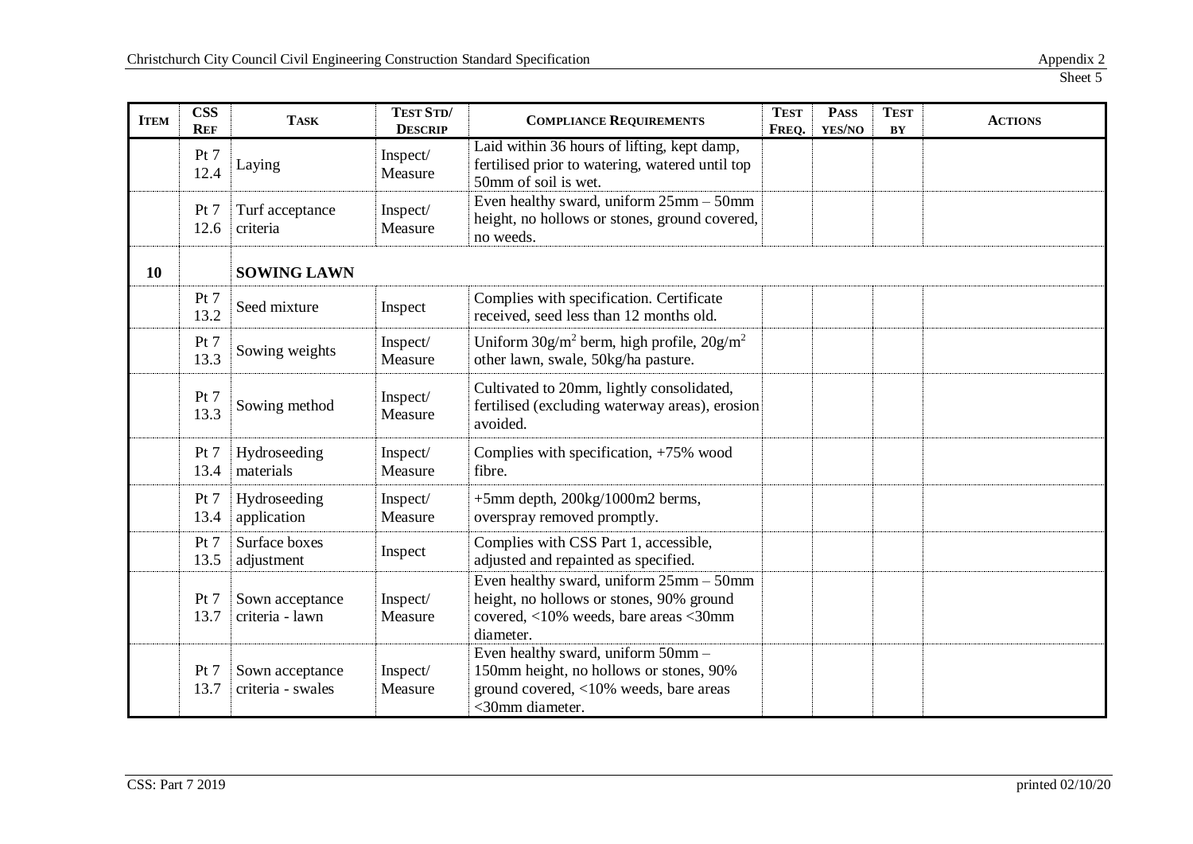| <b>ITEM</b> | <b>CSS</b><br><b>REF</b> | <b>TASK</b>                          | TEST STD/<br><b>DESCRIP</b> | <b>TEST</b><br><b>COMPLIANCE REQUIREMENTS</b><br>FREQ.                                                                                         |  | <b>PASS</b><br>YES/NO | <b>TEST</b><br>BY | <b>ACTIONS</b> |
|-------------|--------------------------|--------------------------------------|-----------------------------|------------------------------------------------------------------------------------------------------------------------------------------------|--|-----------------------|-------------------|----------------|
|             | Pt 7<br>12.4             | Laying                               | Inspect/<br>Measure         | Laid within 36 hours of lifting, kept damp,<br>fertilised prior to watering, watered until top<br>50mm of soil is wet.                         |  |                       |                   |                |
|             | Pt 7<br>12.6             | Turf acceptance<br>criteria          | Inspect/<br>Measure         | Even healthy sward, uniform 25mm - 50mm<br>height, no hollows or stones, ground covered,<br>no weeds.                                          |  |                       |                   |                |
| 10          |                          | <b>SOWING LAWN</b>                   |                             |                                                                                                                                                |  |                       |                   |                |
|             | Pt 7<br>13.2             | Seed mixture                         | Inspect                     | Complies with specification. Certificate<br>received, seed less than 12 months old.                                                            |  |                       |                   |                |
|             | Pt 7<br>13.3             | Sowing weights                       | Inspect/<br>Measure         | Uniform $30g/m^2$ berm, high profile, $20g/m^2$<br>other lawn, swale, 50kg/ha pasture.                                                         |  |                       |                   |                |
|             | Pt 7<br>13.3             | Sowing method                        | Inspect/<br>Measure         | Cultivated to 20mm, lightly consolidated,<br>fertilised (excluding waterway areas), erosion<br>avoided.                                        |  |                       |                   |                |
|             | Pt 7<br>13.4             | Hydroseeding<br>materials            | Inspect/<br>Measure         | Complies with specification, $+75\%$ wood<br>fibre.                                                                                            |  |                       |                   |                |
|             | Pt 7<br>13.4             | Hydroseeding<br>application          | Inspect/<br>Measure         | $+5$ mm depth, 200 $kg/1000$ m2 berms,<br>overspray removed promptly.                                                                          |  |                       |                   |                |
|             | Pt 7<br>13.5             | Surface boxes<br>adjustment          | Inspect                     | Complies with CSS Part 1, accessible,<br>adjusted and repainted as specified.                                                                  |  |                       |                   |                |
|             | Pt 7<br>13.7             | Sown acceptance<br>criteria - lawn   | Inspect/<br>Measure         | Even healthy sward, uniform $25$ mm $-50$ mm<br>height, no hollows or stones, 90% ground<br>covered, <10% weeds, bare areas <30mm<br>diameter. |  |                       |                   |                |
|             | Pt 7<br>13.7             | Sown acceptance<br>criteria - swales | Inspect/<br>Measure         | Even healthy sward, uniform 50mm -<br>150mm height, no hollows or stones, 90%<br>ground covered, <10% weeds, bare areas<br><30mm diameter.     |  |                       |                   |                |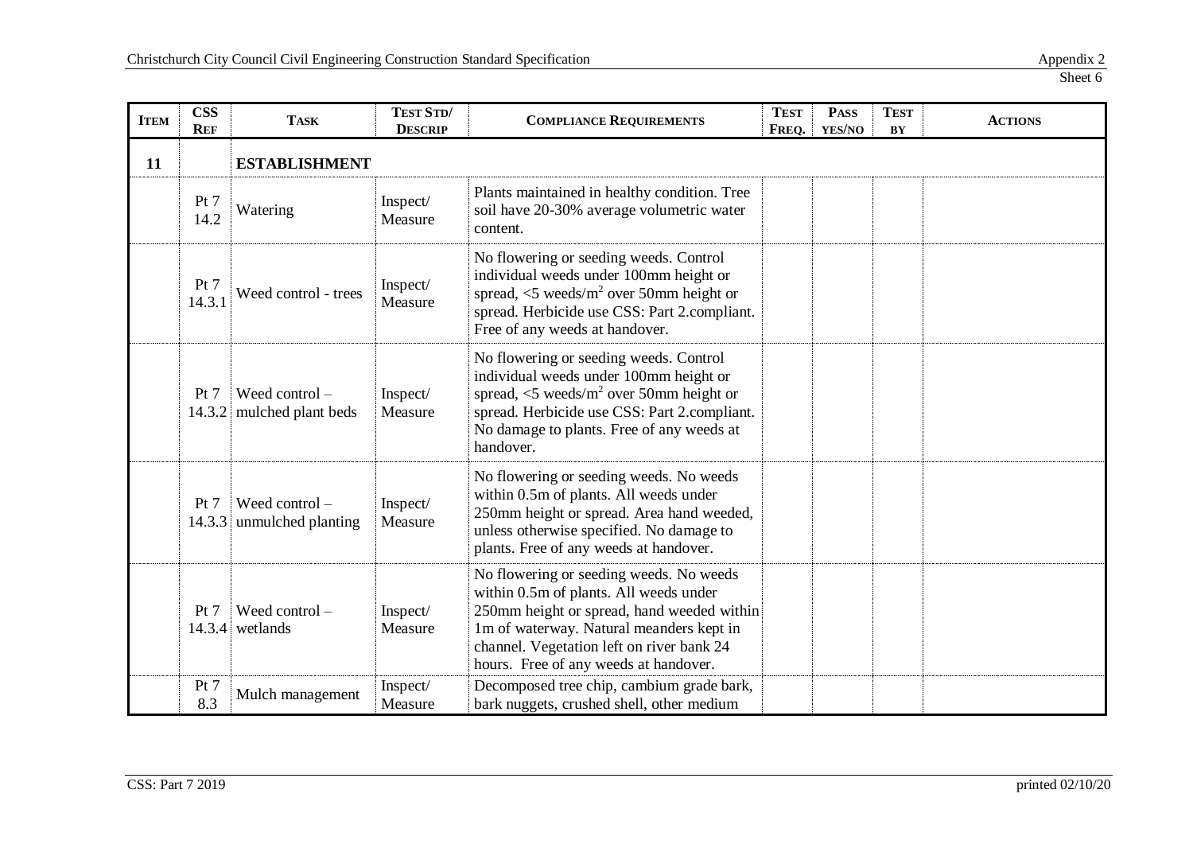| <b>ITEM</b> | <b>CSS</b><br><b>REF</b> | <b>TASK</b>                                   | TEST STD/<br><b>DESCRIP</b> | <b>TEST</b><br><b>COMPLIANCE REQUIREMENTS</b><br>FREQ.                                                                                                                                                                                                            |  | <b>PASS</b><br>YES/NO | <b>TEST</b><br>BY | <b>ACTIONS</b> |
|-------------|--------------------------|-----------------------------------------------|-----------------------------|-------------------------------------------------------------------------------------------------------------------------------------------------------------------------------------------------------------------------------------------------------------------|--|-----------------------|-------------------|----------------|
| 11          |                          | <b>ESTABLISHMENT</b>                          |                             |                                                                                                                                                                                                                                                                   |  |                       |                   |                |
|             | Pt 7<br>14.2             | Watering                                      | Inspect/<br>Measure         | Plants maintained in healthy condition. Tree<br>soil have 20-30% average volumetric water<br>content.                                                                                                                                                             |  |                       |                   |                |
|             | Pt 7<br>14.3.1           | Weed control - trees                          | Inspect/<br>Measure         | No flowering or seeding weeds. Control<br>individual weeds under 100mm height or<br>spread, $\langle 5 \text{ weeds/m}^2 \rangle$ over 50mm height or<br>spread. Herbicide use CSS: Part 2.compliant.<br>Free of any weeds at handover.                           |  |                       |                   |                |
|             | Pt 7                     | Weed control $-$<br>14.3.2 mulched plant beds | Inspect/<br>Measure         | No flowering or seeding weeds. Control<br>individual weeds under 100mm height or<br>spread, $\langle 5 \text{ weeds/m}^2 \rangle$ over 50mm height or<br>spread. Herbicide use CSS: Part 2.compliant.<br>No damage to plants. Free of any weeds at<br>handover.   |  |                       |                   |                |
|             | Pt 7                     | Weed control $-$<br>14.3.3 unmulched planting | Inspect/<br>Measure         | No flowering or seeding weeds. No weeds<br>within 0.5m of plants. All weeds under<br>250mm height or spread. Area hand weeded,<br>unless otherwise specified. No damage to<br>plants. Free of any weeds at handover.                                              |  |                       |                   |                |
|             | Pt 7                     | Weed control $-$<br>$14.3.4$ wetlands         | Inspect/<br>Measure         | No flowering or seeding weeds. No weeds<br>within 0.5m of plants. All weeds under<br>250mm height or spread, hand weeded within<br>1m of waterway. Natural meanders kept in<br>channel. Vegetation left on river bank 24<br>hours. Free of any weeds at handover. |  |                       |                   |                |
|             | Pt 7<br>8.3              | Mulch management                              | Inspect/<br>Measure         | Decomposed tree chip, cambium grade bark,<br>bark nuggets, crushed shell, other medium                                                                                                                                                                            |  |                       |                   |                |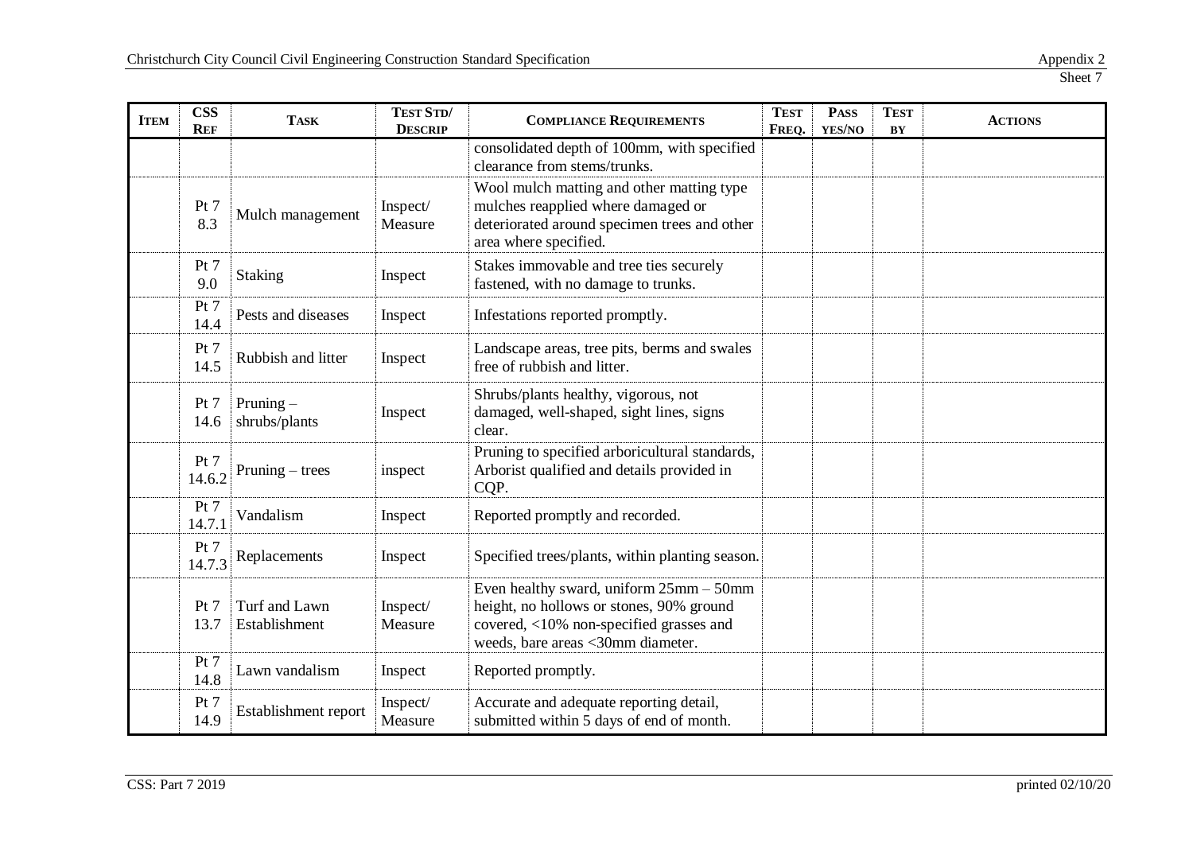| <b>ITEM</b> | <b>CSS</b><br><b>REF</b> | <b>TASK</b>                    | TEST STD/<br><b>DESCRIP</b> | <b>TEST</b><br><b>COMPLIANCE REQUIREMENTS</b><br>FREQ.                                                                                                              |  | <b>PASS</b><br>YES/NO | <b>TEST</b><br>$\mathbf{B}\mathbf{Y}$ | <b>ACTIONS</b> |
|-------------|--------------------------|--------------------------------|-----------------------------|---------------------------------------------------------------------------------------------------------------------------------------------------------------------|--|-----------------------|---------------------------------------|----------------|
|             |                          |                                |                             | consolidated depth of 100mm, with specified<br>clearance from stems/trunks.                                                                                         |  |                       |                                       |                |
|             | Pt 7<br>8.3              | Mulch management               | Inspect/<br>Measure         | Wool mulch matting and other matting type<br>mulches reapplied where damaged or<br>deteriorated around specimen trees and other<br>area where specified.            |  |                       |                                       |                |
|             | Pt 7<br>9.0              | <b>Staking</b>                 | Inspect                     | Stakes immovable and tree ties securely<br>fastened, with no damage to trunks.                                                                                      |  |                       |                                       |                |
|             | Pt 7<br>14.4             | Pests and diseases             | Inspect                     | Infestations reported promptly.                                                                                                                                     |  |                       |                                       |                |
|             | Pt 7<br>14.5             | Rubbish and litter             | Inspect                     | Landscape areas, tree pits, berms and swales<br>free of rubbish and litter.                                                                                         |  |                       |                                       |                |
|             | Pt 7<br>14.6             | Pruning $-$<br>shrubs/plants   | Inspect                     | Shrubs/plants healthy, vigorous, not<br>damaged, well-shaped, sight lines, signs<br>clear.                                                                          |  |                       |                                       |                |
|             | Pt 7<br>14.6.2           | Pruning $-$ trees              | inspect                     | Pruning to specified arboricultural standards,<br>Arborist qualified and details provided in<br>CQP.                                                                |  |                       |                                       |                |
|             | Pt 7<br>14.7.1           | Vandalism                      | Inspect                     | Reported promptly and recorded.                                                                                                                                     |  |                       |                                       |                |
|             | Pt 7<br>14.7.3           | Replacements                   | Inspect                     | Specified trees/plants, within planting season.                                                                                                                     |  |                       |                                       |                |
|             | Pt 7<br>13.7             | Turf and Lawn<br>Establishment | Inspect/<br>Measure         | Even healthy sward, uniform 25mm - 50mm<br>height, no hollows or stones, 90% ground<br>covered, <10% non-specified grasses and<br>weeds, bare areas <30mm diameter. |  |                       |                                       |                |
|             | Pt 7<br>14.8             | Lawn vandalism                 | Inspect                     | Reported promptly.                                                                                                                                                  |  |                       |                                       |                |
|             | Pt 7<br>14.9             | Establishment report           | Inspect/<br>Measure         | Accurate and adequate reporting detail,<br>submitted within 5 days of end of month.                                                                                 |  |                       |                                       |                |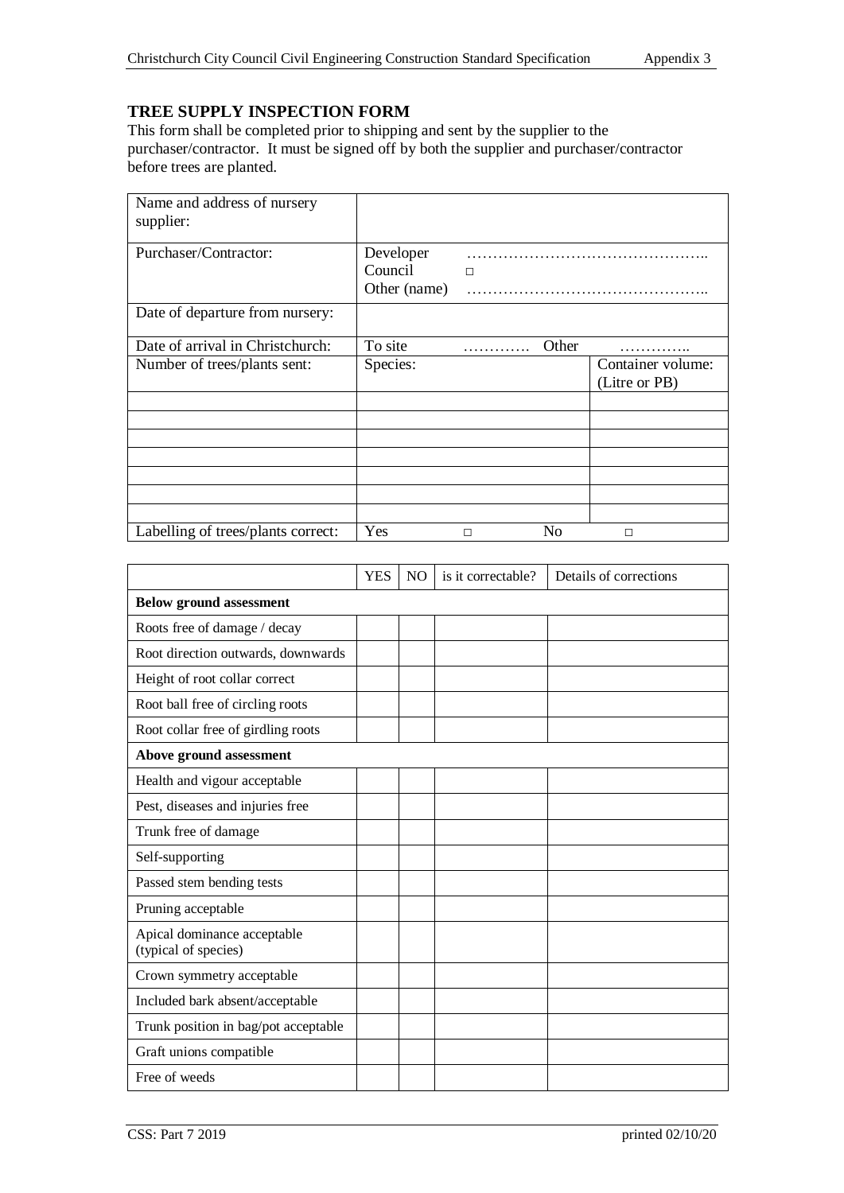# **TREE SUPPLY INSPECTION FORM**

This form shall be completed prior to shipping and sent by the supplier to the purchaser/contractor. It must be signed off by both the supplier and purchaser/contractor before trees are planted.

| Name and address of nursery<br>supplier: |              |        |       |                                    |
|------------------------------------------|--------------|--------|-------|------------------------------------|
| Purchaser/Contractor:                    | Developer    |        |       |                                    |
|                                          | Council      | $\Box$ |       |                                    |
|                                          | Other (name) |        |       |                                    |
| Date of departure from nursery:          |              |        |       |                                    |
| Date of arrival in Christchurch:         | To site      | .      | Other |                                    |
| Number of trees/plants sent:             | Species:     |        |       | Container volume:<br>(Litre or PB) |
|                                          |              |        |       |                                    |
|                                          |              |        |       |                                    |
|                                          |              |        |       |                                    |
|                                          |              |        |       |                                    |
|                                          |              |        |       |                                    |
|                                          |              |        |       |                                    |
|                                          |              |        |       |                                    |
| Labelling of trees/plants correct:       | Yes          | П      | No    | П                                  |

|                                                     | YES | <b>NO</b> | is it correctable? | Details of corrections |
|-----------------------------------------------------|-----|-----------|--------------------|------------------------|
| <b>Below ground assessment</b>                      |     |           |                    |                        |
| Roots free of damage / decay                        |     |           |                    |                        |
| Root direction outwards, downwards                  |     |           |                    |                        |
| Height of root collar correct                       |     |           |                    |                        |
| Root ball free of circling roots                    |     |           |                    |                        |
| Root collar free of girdling roots                  |     |           |                    |                        |
| Above ground assessment                             |     |           |                    |                        |
| Health and vigour acceptable                        |     |           |                    |                        |
| Pest, diseases and injuries free                    |     |           |                    |                        |
| Trunk free of damage                                |     |           |                    |                        |
| Self-supporting                                     |     |           |                    |                        |
| Passed stem bending tests                           |     |           |                    |                        |
| Pruning acceptable                                  |     |           |                    |                        |
| Apical dominance acceptable<br>(typical of species) |     |           |                    |                        |
| Crown symmetry acceptable                           |     |           |                    |                        |
| Included bark absent/acceptable                     |     |           |                    |                        |
| Trunk position in bag/pot acceptable                |     |           |                    |                        |
| Graft unions compatible                             |     |           |                    |                        |
| Free of weeds                                       |     |           |                    |                        |